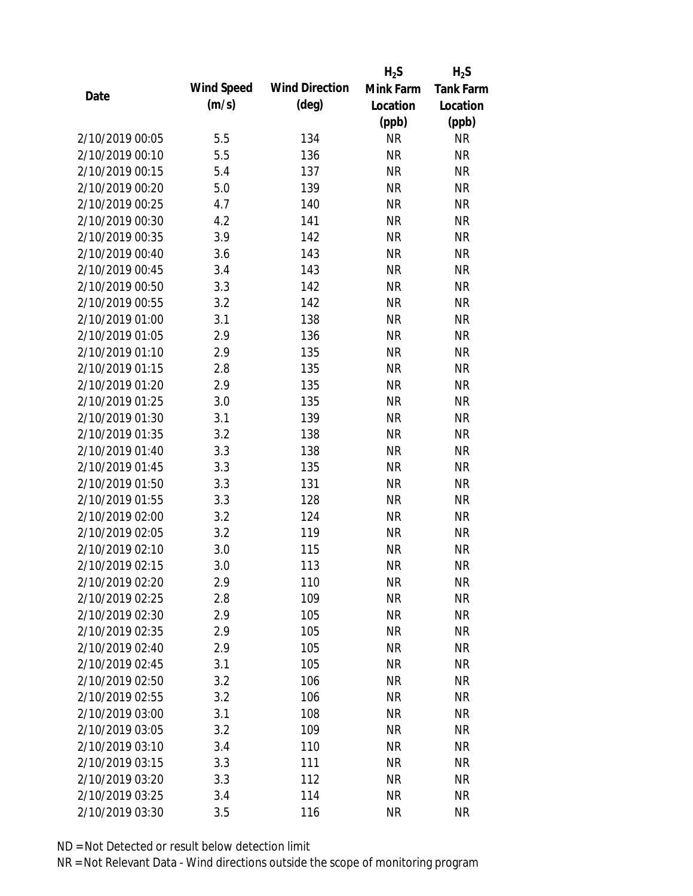|                 |            |                       | $H_2S$    | $H_2S$           |
|-----------------|------------|-----------------------|-----------|------------------|
| Date            | Wind Speed | <b>Wind Direction</b> | Mink Farm | <b>Tank Farm</b> |
|                 | (m/s)      | $(\text{deg})$        | Location  | Location         |
|                 |            |                       | (ppb)     | (ppb)            |
| 2/10/2019 00:05 | 5.5        | 134                   | <b>NR</b> | <b>NR</b>        |
| 2/10/2019 00:10 | 5.5        | 136                   | <b>NR</b> | <b>NR</b>        |
| 2/10/2019 00:15 | 5.4        | 137                   | <b>NR</b> | <b>NR</b>        |
| 2/10/2019 00:20 | 5.0        | 139                   | <b>NR</b> | <b>NR</b>        |
| 2/10/2019 00:25 | 4.7        | 140                   | <b>NR</b> | <b>NR</b>        |
| 2/10/2019 00:30 | 4.2        | 141                   | <b>NR</b> | <b>NR</b>        |
| 2/10/2019 00:35 | 3.9        | 142                   | <b>NR</b> | <b>NR</b>        |
| 2/10/2019 00:40 | 3.6        | 143                   | <b>NR</b> | <b>NR</b>        |
| 2/10/2019 00:45 | 3.4        | 143                   | <b>NR</b> | <b>NR</b>        |
| 2/10/2019 00:50 | 3.3        | 142                   | <b>NR</b> | <b>NR</b>        |
| 2/10/2019 00:55 | 3.2        | 142                   | <b>NR</b> | <b>NR</b>        |
| 2/10/2019 01:00 | 3.1        | 138                   | <b>NR</b> | <b>NR</b>        |
| 2/10/2019 01:05 | 2.9        | 136                   | <b>NR</b> | <b>NR</b>        |
| 2/10/2019 01:10 | 2.9        | 135                   | <b>NR</b> | <b>NR</b>        |
| 2/10/2019 01:15 | 2.8        | 135                   | <b>NR</b> | <b>NR</b>        |
| 2/10/2019 01:20 | 2.9        | 135                   | <b>NR</b> | <b>NR</b>        |
| 2/10/2019 01:25 | 3.0        | 135                   | <b>NR</b> | <b>NR</b>        |
| 2/10/2019 01:30 | 3.1        | 139                   | <b>NR</b> | <b>NR</b>        |
| 2/10/2019 01:35 | 3.2        | 138                   | <b>NR</b> | <b>NR</b>        |
| 2/10/2019 01:40 | 3.3        | 138                   | <b>NR</b> | <b>NR</b>        |
| 2/10/2019 01:45 | 3.3        | 135                   | <b>NR</b> | <b>NR</b>        |
| 2/10/2019 01:50 | 3.3        | 131                   | <b>NR</b> | <b>NR</b>        |
| 2/10/2019 01:55 | 3.3        | 128                   | <b>NR</b> | <b>NR</b>        |
| 2/10/2019 02:00 | 3.2        | 124                   | <b>NR</b> | <b>NR</b>        |
| 2/10/2019 02:05 | 3.2        | 119                   | <b>NR</b> | <b>NR</b>        |
| 2/10/2019 02:10 | 3.0        | 115                   | <b>NR</b> | <b>NR</b>        |
| 2/10/2019 02:15 | 3.0        | 113                   | <b>NR</b> | <b>NR</b>        |
| 2/10/2019 02:20 | 2.9        | 110                   | <b>NR</b> | <b>NR</b>        |
| 2/10/2019 02:25 | 2.8        | 109                   | <b>NR</b> | <b>NR</b>        |
| 2/10/2019 02:30 | 2.9        | 105                   | <b>NR</b> | <b>NR</b>        |
| 2/10/2019 02:35 | 2.9        | 105                   | <b>NR</b> | <b>NR</b>        |
| 2/10/2019 02:40 | 2.9        | 105                   | <b>NR</b> | <b>NR</b>        |
| 2/10/2019 02:45 | 3.1        | 105                   | <b>NR</b> | <b>NR</b>        |
| 2/10/2019 02:50 | 3.2        | 106                   | <b>NR</b> | <b>NR</b>        |
| 2/10/2019 02:55 | 3.2        | 106                   | <b>NR</b> | <b>NR</b>        |
| 2/10/2019 03:00 | 3.1        | 108                   | <b>NR</b> | <b>NR</b>        |
| 2/10/2019 03:05 | 3.2        | 109                   | <b>NR</b> | <b>NR</b>        |
| 2/10/2019 03:10 | 3.4        | 110                   | <b>NR</b> | <b>NR</b>        |
| 2/10/2019 03:15 | 3.3        | 111                   | <b>NR</b> | <b>NR</b>        |
| 2/10/2019 03:20 | 3.3        | 112                   | <b>NR</b> | <b>NR</b>        |
| 2/10/2019 03:25 | 3.4        | 114                   | <b>NR</b> | <b>NR</b>        |
| 2/10/2019 03:30 | 3.5        | 116                   | <b>NR</b> | <b>NR</b>        |
|                 |            |                       |           |                  |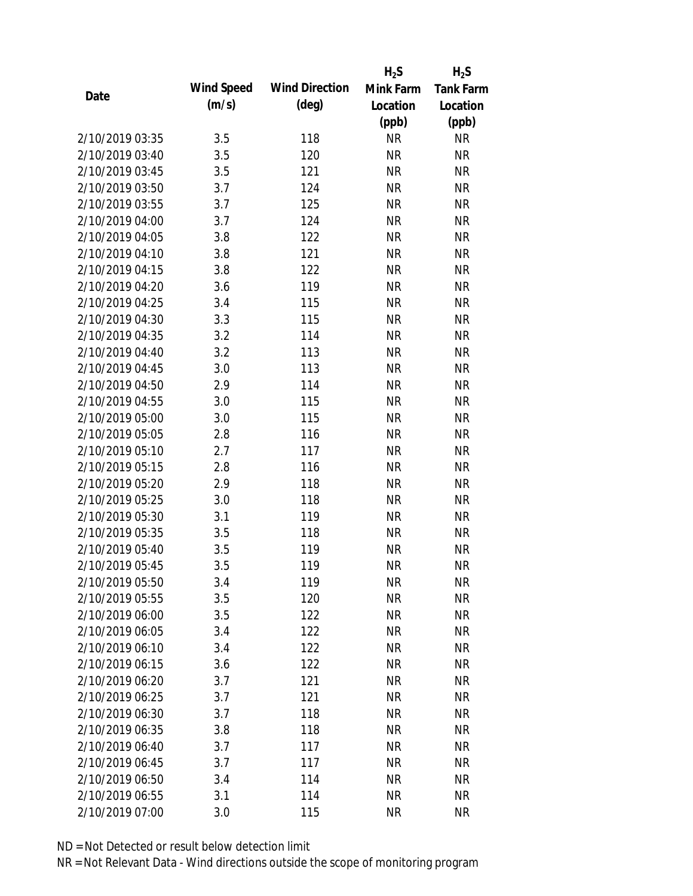|                 |            |                       | $H_2S$    | $H_2S$           |
|-----------------|------------|-----------------------|-----------|------------------|
|                 | Wind Speed | <b>Wind Direction</b> | Mink Farm | <b>Tank Farm</b> |
| Date            | (m/s)      | $(\text{deg})$        | Location  | Location         |
|                 |            |                       | (ppb)     | (ppb)            |
| 2/10/2019 03:35 | 3.5        | 118                   | <b>NR</b> | <b>NR</b>        |
| 2/10/2019 03:40 | 3.5        | 120                   | <b>NR</b> | <b>NR</b>        |
| 2/10/2019 03:45 | 3.5        | 121                   | <b>NR</b> | <b>NR</b>        |
| 2/10/2019 03:50 | 3.7        | 124                   | <b>NR</b> | <b>NR</b>        |
| 2/10/2019 03:55 | 3.7        | 125                   | <b>NR</b> | <b>NR</b>        |
| 2/10/2019 04:00 | 3.7        | 124                   | <b>NR</b> | <b>NR</b>        |
| 2/10/2019 04:05 | 3.8        | 122                   | <b>NR</b> | <b>NR</b>        |
| 2/10/2019 04:10 | 3.8        | 121                   | <b>NR</b> | <b>NR</b>        |
| 2/10/2019 04:15 | 3.8        | 122                   | <b>NR</b> | <b>NR</b>        |
| 2/10/2019 04:20 | 3.6        | 119                   | <b>NR</b> | <b>NR</b>        |
| 2/10/2019 04:25 | 3.4        | 115                   | <b>NR</b> | <b>NR</b>        |
| 2/10/2019 04:30 | 3.3        | 115                   | <b>NR</b> | <b>NR</b>        |
| 2/10/2019 04:35 | 3.2        | 114                   | <b>NR</b> | <b>NR</b>        |
| 2/10/2019 04:40 | 3.2        | 113                   | <b>NR</b> | <b>NR</b>        |
| 2/10/2019 04:45 | 3.0        | 113                   | <b>NR</b> | <b>NR</b>        |
| 2/10/2019 04:50 | 2.9        | 114                   | <b>NR</b> | <b>NR</b>        |
| 2/10/2019 04:55 | 3.0        | 115                   | <b>NR</b> | <b>NR</b>        |
| 2/10/2019 05:00 | 3.0        | 115                   | <b>NR</b> | <b>NR</b>        |
| 2/10/2019 05:05 | 2.8        | 116                   | <b>NR</b> | <b>NR</b>        |
| 2/10/2019 05:10 | 2.7        | 117                   | <b>NR</b> | <b>NR</b>        |
| 2/10/2019 05:15 | 2.8        | 116                   | <b>NR</b> | <b>NR</b>        |
| 2/10/2019 05:20 | 2.9        | 118                   | <b>NR</b> | <b>NR</b>        |
| 2/10/2019 05:25 | 3.0        | 118                   | <b>NR</b> | <b>NR</b>        |
| 2/10/2019 05:30 | 3.1        | 119                   | <b>NR</b> | <b>NR</b>        |
| 2/10/2019 05:35 | 3.5        | 118                   | <b>NR</b> | <b>NR</b>        |
| 2/10/2019 05:40 | 3.5        | 119                   | <b>NR</b> | <b>NR</b>        |
| 2/10/2019 05:45 | 3.5        | 119                   | <b>NR</b> | <b>NR</b>        |
| 2/10/2019 05:50 | 3.4        | 119                   | <b>NR</b> | <b>NR</b>        |
| 2/10/2019 05:55 | 3.5        | 120                   | <b>NR</b> | <b>NR</b>        |
| 2/10/2019 06:00 | 3.5        | 122                   | <b>NR</b> | <b>NR</b>        |
| 2/10/2019 06:05 | 3.4        | 122                   | <b>NR</b> | <b>NR</b>        |
| 2/10/2019 06:10 | 3.4        | 122                   | <b>NR</b> | <b>NR</b>        |
| 2/10/2019 06:15 | 3.6        | 122                   | <b>NR</b> | <b>NR</b>        |
| 2/10/2019 06:20 | 3.7        | 121                   | <b>NR</b> | <b>NR</b>        |
| 2/10/2019 06:25 | 3.7        | 121                   | <b>NR</b> | <b>NR</b>        |
| 2/10/2019 06:30 | 3.7        | 118                   | <b>NR</b> | <b>NR</b>        |
| 2/10/2019 06:35 | 3.8        | 118                   | <b>NR</b> | <b>NR</b>        |
| 2/10/2019 06:40 | 3.7        | 117                   | <b>NR</b> | <b>NR</b>        |
| 2/10/2019 06:45 | 3.7        | 117                   | <b>NR</b> | <b>NR</b>        |
| 2/10/2019 06:50 | 3.4        | 114                   | <b>NR</b> | <b>NR</b>        |
| 2/10/2019 06:55 | 3.1        | 114                   | <b>NR</b> | <b>NR</b>        |
| 2/10/2019 07:00 | 3.0        | 115                   | <b>NR</b> | <b>NR</b>        |
|                 |            |                       |           |                  |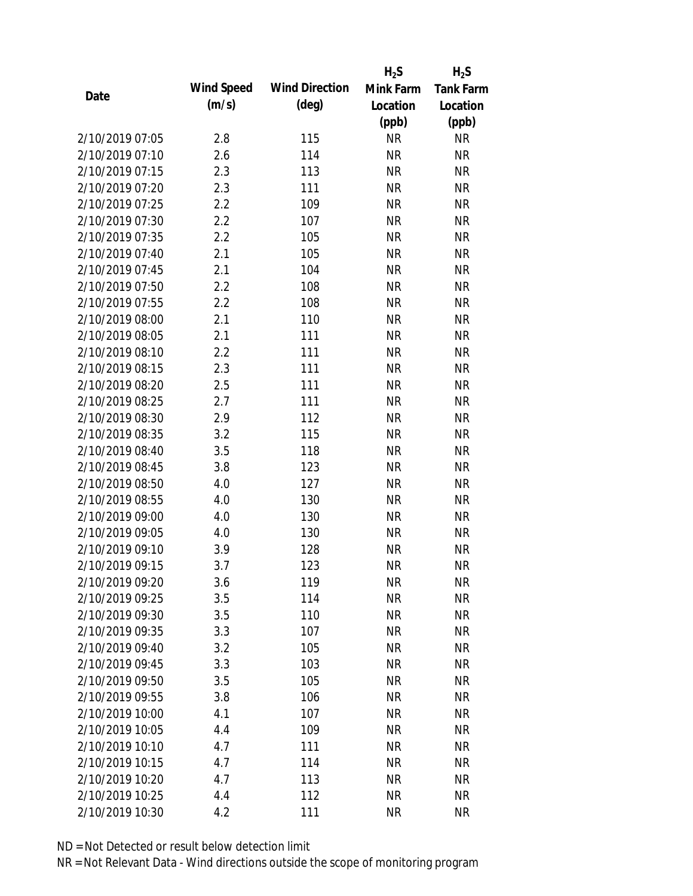|                 |            |                       | $H_2S$    | $H_2S$           |
|-----------------|------------|-----------------------|-----------|------------------|
| Date            | Wind Speed | <b>Wind Direction</b> | Mink Farm | <b>Tank Farm</b> |
|                 | (m/s)      | $(\text{deg})$        | Location  | Location         |
|                 |            |                       | (ppb)     | (ppb)            |
| 2/10/2019 07:05 | 2.8        | 115                   | <b>NR</b> | <b>NR</b>        |
| 2/10/2019 07:10 | 2.6        | 114                   | <b>NR</b> | <b>NR</b>        |
| 2/10/2019 07:15 | 2.3        | 113                   | <b>NR</b> | <b>NR</b>        |
| 2/10/2019 07:20 | 2.3        | 111                   | <b>NR</b> | <b>NR</b>        |
| 2/10/2019 07:25 | 2.2        | 109                   | <b>NR</b> | <b>NR</b>        |
| 2/10/2019 07:30 | 2.2        | 107                   | <b>NR</b> | <b>NR</b>        |
| 2/10/2019 07:35 | 2.2        | 105                   | <b>NR</b> | <b>NR</b>        |
| 2/10/2019 07:40 | 2.1        | 105                   | <b>NR</b> | <b>NR</b>        |
| 2/10/2019 07:45 | 2.1        | 104                   | <b>NR</b> | <b>NR</b>        |
| 2/10/2019 07:50 | 2.2        | 108                   | <b>NR</b> | <b>NR</b>        |
| 2/10/2019 07:55 | 2.2        | 108                   | <b>NR</b> | <b>NR</b>        |
| 2/10/2019 08:00 | 2.1        | 110                   | <b>NR</b> | <b>NR</b>        |
| 2/10/2019 08:05 | 2.1        | 111                   | <b>NR</b> | <b>NR</b>        |
| 2/10/2019 08:10 | 2.2        | 111                   | <b>NR</b> | <b>NR</b>        |
| 2/10/2019 08:15 | 2.3        | 111                   | <b>NR</b> | <b>NR</b>        |
| 2/10/2019 08:20 | 2.5        | 111                   | <b>NR</b> | <b>NR</b>        |
| 2/10/2019 08:25 | 2.7        | 111                   | <b>NR</b> | <b>NR</b>        |
| 2/10/2019 08:30 | 2.9        | 112                   | <b>NR</b> | <b>NR</b>        |
| 2/10/2019 08:35 | 3.2        | 115                   | <b>NR</b> | <b>NR</b>        |
| 2/10/2019 08:40 | 3.5        | 118                   | <b>NR</b> | <b>NR</b>        |
| 2/10/2019 08:45 | 3.8        | 123                   | <b>NR</b> | <b>NR</b>        |
| 2/10/2019 08:50 | 4.0        | 127                   | <b>NR</b> | <b>NR</b>        |
| 2/10/2019 08:55 | 4.0        | 130                   | <b>NR</b> | <b>NR</b>        |
| 2/10/2019 09:00 | 4.0        | 130                   | <b>NR</b> | <b>NR</b>        |
| 2/10/2019 09:05 | 4.0        | 130                   | <b>NR</b> | <b>NR</b>        |
| 2/10/2019 09:10 | 3.9        | 128                   | <b>NR</b> | <b>NR</b>        |
| 2/10/2019 09:15 | 3.7        | 123                   | <b>NR</b> | <b>NR</b>        |
| 2/10/2019 09:20 | 3.6        | 119                   | <b>NR</b> | <b>NR</b>        |
| 2/10/2019 09:25 | 3.5        | 114                   | <b>NR</b> | <b>NR</b>        |
| 2/10/2019 09:30 | 3.5        | 110                   | <b>NR</b> | <b>NR</b>        |
| 2/10/2019 09:35 | 3.3        | 107                   | <b>NR</b> | <b>NR</b>        |
| 2/10/2019 09:40 | 3.2        | 105                   | <b>NR</b> | <b>NR</b>        |
| 2/10/2019 09:45 | 3.3        | 103                   | <b>NR</b> | <b>NR</b>        |
| 2/10/2019 09:50 | 3.5        | 105                   | <b>NR</b> | <b>NR</b>        |
| 2/10/2019 09:55 | 3.8        | 106                   | <b>NR</b> | <b>NR</b>        |
| 2/10/2019 10:00 | 4.1        | 107                   | <b>NR</b> | <b>NR</b>        |
| 2/10/2019 10:05 | 4.4        | 109                   | <b>NR</b> | <b>NR</b>        |
| 2/10/2019 10:10 | 4.7        | 111                   | <b>NR</b> | <b>NR</b>        |
| 2/10/2019 10:15 | 4.7        | 114                   | <b>NR</b> | <b>NR</b>        |
| 2/10/2019 10:20 | 4.7        | 113                   | <b>NR</b> | <b>NR</b>        |
| 2/10/2019 10:25 | 4.4        | 112                   | <b>NR</b> | <b>NR</b>        |
| 2/10/2019 10:30 | 4.2        | 111                   | <b>NR</b> | <b>NR</b>        |
|                 |            |                       |           |                  |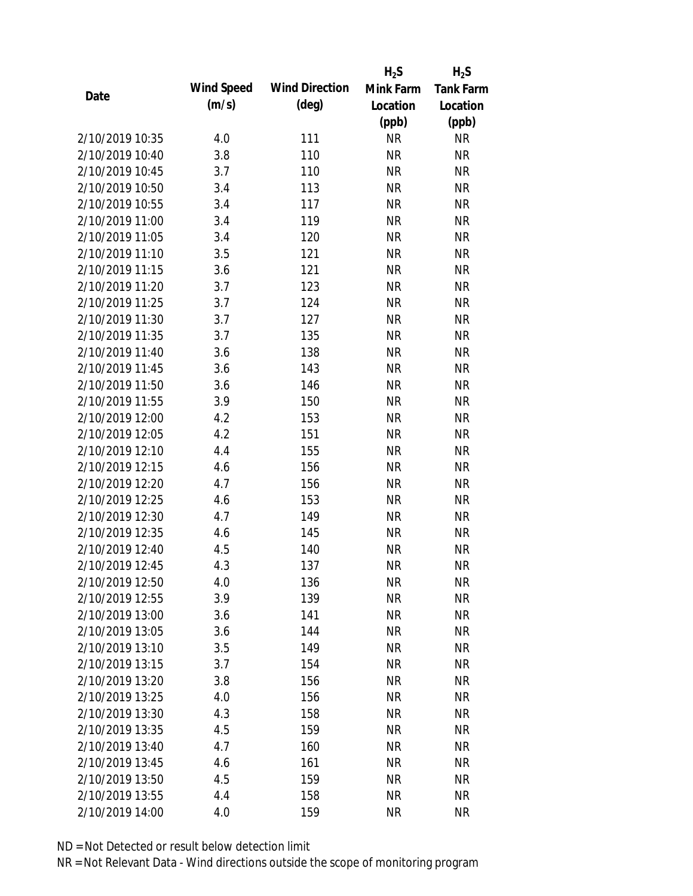|                 |            |                       | $H_2S$    | $H_2S$           |
|-----------------|------------|-----------------------|-----------|------------------|
|                 | Wind Speed | <b>Wind Direction</b> | Mink Farm | <b>Tank Farm</b> |
| Date            | (m/s)      | $(\text{deg})$        | Location  | Location         |
|                 |            |                       | (ppb)     | (ppb)            |
| 2/10/2019 10:35 | 4.0        | 111                   | <b>NR</b> | <b>NR</b>        |
| 2/10/2019 10:40 | 3.8        | 110                   | <b>NR</b> | <b>NR</b>        |
| 2/10/2019 10:45 | 3.7        | 110                   | <b>NR</b> | <b>NR</b>        |
| 2/10/2019 10:50 | 3.4        | 113                   | <b>NR</b> | <b>NR</b>        |
| 2/10/2019 10:55 | 3.4        | 117                   | <b>NR</b> | <b>NR</b>        |
| 2/10/2019 11:00 | 3.4        | 119                   | <b>NR</b> | <b>NR</b>        |
| 2/10/2019 11:05 | 3.4        | 120                   | <b>NR</b> | <b>NR</b>        |
| 2/10/2019 11:10 | 3.5        | 121                   | <b>NR</b> | <b>NR</b>        |
| 2/10/2019 11:15 | 3.6        | 121                   | <b>NR</b> | <b>NR</b>        |
| 2/10/2019 11:20 | 3.7        | 123                   | <b>NR</b> | <b>NR</b>        |
| 2/10/2019 11:25 | 3.7        | 124                   | <b>NR</b> | <b>NR</b>        |
| 2/10/2019 11:30 | 3.7        | 127                   | <b>NR</b> | <b>NR</b>        |
| 2/10/2019 11:35 | 3.7        | 135                   | <b>NR</b> | <b>NR</b>        |
| 2/10/2019 11:40 | 3.6        | 138                   | <b>NR</b> | <b>NR</b>        |
| 2/10/2019 11:45 | 3.6        | 143                   | <b>NR</b> | <b>NR</b>        |
| 2/10/2019 11:50 | 3.6        | 146                   | <b>NR</b> | <b>NR</b>        |
| 2/10/2019 11:55 | 3.9        | 150                   | <b>NR</b> | <b>NR</b>        |
| 2/10/2019 12:00 | 4.2        | 153                   | <b>NR</b> | <b>NR</b>        |
| 2/10/2019 12:05 | 4.2        | 151                   | <b>NR</b> | <b>NR</b>        |
| 2/10/2019 12:10 | 4.4        | 155                   | <b>NR</b> | <b>NR</b>        |
| 2/10/2019 12:15 | 4.6        | 156                   | <b>NR</b> | <b>NR</b>        |
| 2/10/2019 12:20 | 4.7        | 156                   | <b>NR</b> | <b>NR</b>        |
| 2/10/2019 12:25 | 4.6        | 153                   | <b>NR</b> | <b>NR</b>        |
| 2/10/2019 12:30 | 4.7        | 149                   | <b>NR</b> | <b>NR</b>        |
| 2/10/2019 12:35 | 4.6        | 145                   | <b>NR</b> | <b>NR</b>        |
| 2/10/2019 12:40 | 4.5        | 140                   | <b>NR</b> | <b>NR</b>        |
| 2/10/2019 12:45 | 4.3        | 137                   | <b>NR</b> | <b>NR</b>        |
| 2/10/2019 12:50 | 4.0        | 136                   | <b>NR</b> | <b>NR</b>        |
| 2/10/2019 12:55 | 3.9        | 139                   | <b>NR</b> | <b>NR</b>        |
| 2/10/2019 13:00 | 3.6        | 141                   | <b>NR</b> | <b>NR</b>        |
| 2/10/2019 13:05 | 3.6        | 144                   | <b>NR</b> | <b>NR</b>        |
| 2/10/2019 13:10 | 3.5        | 149                   | <b>NR</b> | <b>NR</b>        |
| 2/10/2019 13:15 | 3.7        | 154                   | <b>NR</b> | <b>NR</b>        |
| 2/10/2019 13:20 | 3.8        | 156                   | <b>NR</b> | <b>NR</b>        |
| 2/10/2019 13:25 | 4.0        | 156                   | <b>NR</b> | <b>NR</b>        |
| 2/10/2019 13:30 | 4.3        | 158                   | <b>NR</b> | <b>NR</b>        |
| 2/10/2019 13:35 | 4.5        | 159                   | <b>NR</b> | <b>NR</b>        |
| 2/10/2019 13:40 | 4.7        | 160                   | <b>NR</b> | <b>NR</b>        |
| 2/10/2019 13:45 | 4.6        | 161                   | <b>NR</b> | <b>NR</b>        |
| 2/10/2019 13:50 | 4.5        | 159                   | <b>NR</b> | <b>NR</b>        |
| 2/10/2019 13:55 | 4.4        | 158                   | <b>NR</b> | <b>NR</b>        |
| 2/10/2019 14:00 | 4.0        | 159                   | <b>NR</b> | <b>NR</b>        |
|                 |            |                       |           |                  |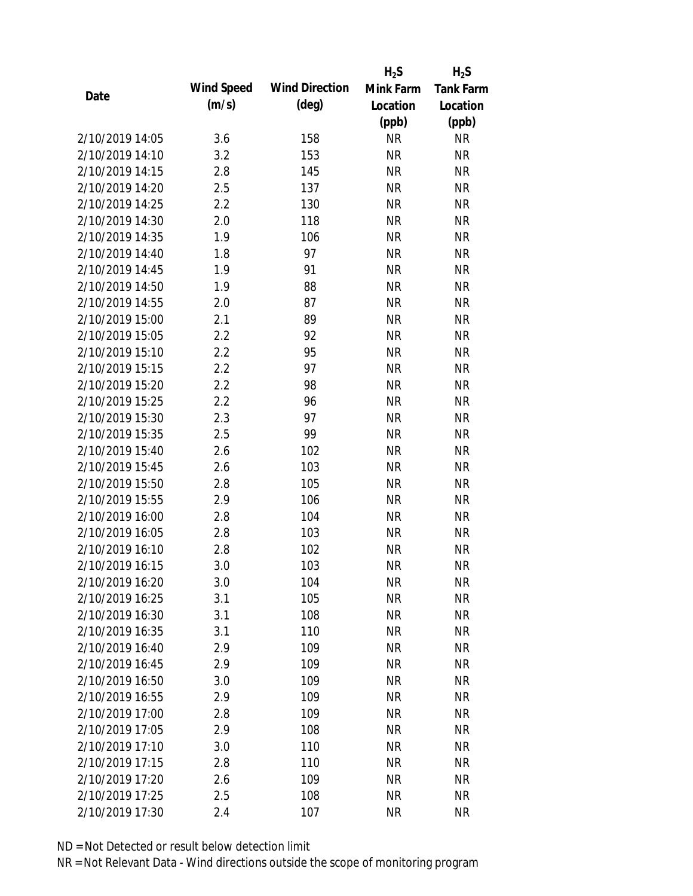|                 |            |                       | $H_2S$    | $H_2S$           |
|-----------------|------------|-----------------------|-----------|------------------|
| Date            | Wind Speed | <b>Wind Direction</b> | Mink Farm | <b>Tank Farm</b> |
|                 | (m/s)      | $(\text{deg})$        | Location  | Location         |
|                 |            |                       | (ppb)     | (ppb)            |
| 2/10/2019 14:05 | 3.6        | 158                   | <b>NR</b> | <b>NR</b>        |
| 2/10/2019 14:10 | 3.2        | 153                   | <b>NR</b> | <b>NR</b>        |
| 2/10/2019 14:15 | 2.8        | 145                   | <b>NR</b> | <b>NR</b>        |
| 2/10/2019 14:20 | 2.5        | 137                   | <b>NR</b> | <b>NR</b>        |
| 2/10/2019 14:25 | 2.2        | 130                   | <b>NR</b> | <b>NR</b>        |
| 2/10/2019 14:30 | 2.0        | 118                   | <b>NR</b> | <b>NR</b>        |
| 2/10/2019 14:35 | 1.9        | 106                   | <b>NR</b> | <b>NR</b>        |
| 2/10/2019 14:40 | 1.8        | 97                    | <b>NR</b> | <b>NR</b>        |
| 2/10/2019 14:45 | 1.9        | 91                    | <b>NR</b> | <b>NR</b>        |
| 2/10/2019 14:50 | 1.9        | 88                    | <b>NR</b> | <b>NR</b>        |
| 2/10/2019 14:55 | 2.0        | 87                    | <b>NR</b> | <b>NR</b>        |
| 2/10/2019 15:00 | 2.1        | 89                    | <b>NR</b> | <b>NR</b>        |
| 2/10/2019 15:05 | 2.2        | 92                    | <b>NR</b> | <b>NR</b>        |
| 2/10/2019 15:10 | 2.2        | 95                    | <b>NR</b> | <b>NR</b>        |
| 2/10/2019 15:15 | 2.2        | 97                    | <b>NR</b> | <b>NR</b>        |
| 2/10/2019 15:20 | 2.2        | 98                    | <b>NR</b> | <b>NR</b>        |
| 2/10/2019 15:25 | 2.2        | 96                    | <b>NR</b> | <b>NR</b>        |
| 2/10/2019 15:30 | 2.3        | 97                    | <b>NR</b> | <b>NR</b>        |
| 2/10/2019 15:35 | 2.5        | 99                    | <b>NR</b> | <b>NR</b>        |
| 2/10/2019 15:40 | 2.6        | 102                   | <b>NR</b> | <b>NR</b>        |
| 2/10/2019 15:45 | 2.6        | 103                   | <b>NR</b> | <b>NR</b>        |
| 2/10/2019 15:50 | 2.8        | 105                   | <b>NR</b> | <b>NR</b>        |
| 2/10/2019 15:55 | 2.9        | 106                   | <b>NR</b> | <b>NR</b>        |
| 2/10/2019 16:00 | 2.8        | 104                   | <b>NR</b> | <b>NR</b>        |
| 2/10/2019 16:05 | 2.8        | 103                   | <b>NR</b> | <b>NR</b>        |
| 2/10/2019 16:10 | 2.8        | 102                   | <b>NR</b> | <b>NR</b>        |
| 2/10/2019 16:15 | 3.0        | 103                   | <b>NR</b> | <b>NR</b>        |
| 2/10/2019 16:20 | 3.0        | 104                   | <b>NR</b> | <b>NR</b>        |
| 2/10/2019 16:25 | 3.1        | 105                   | <b>NR</b> | <b>NR</b>        |
| 2/10/2019 16:30 | 3.1        | 108                   | <b>NR</b> | <b>NR</b>        |
| 2/10/2019 16:35 | 3.1        | 110                   | <b>NR</b> | <b>NR</b>        |
| 2/10/2019 16:40 | 2.9        | 109                   | <b>NR</b> | <b>NR</b>        |
| 2/10/2019 16:45 | 2.9        | 109                   | <b>NR</b> | <b>NR</b>        |
| 2/10/2019 16:50 | 3.0        | 109                   | <b>NR</b> | <b>NR</b>        |
| 2/10/2019 16:55 | 2.9        | 109                   | <b>NR</b> | <b>NR</b>        |
| 2/10/2019 17:00 | 2.8        | 109                   | <b>NR</b> | <b>NR</b>        |
| 2/10/2019 17:05 | 2.9        | 108                   | <b>NR</b> | <b>NR</b>        |
| 2/10/2019 17:10 | 3.0        | 110                   | <b>NR</b> | <b>NR</b>        |
| 2/10/2019 17:15 | 2.8        | 110                   | <b>NR</b> | <b>NR</b>        |
| 2/10/2019 17:20 | 2.6        | 109                   | <b>NR</b> | <b>NR</b>        |
| 2/10/2019 17:25 | 2.5        | 108                   | <b>NR</b> | <b>NR</b>        |
| 2/10/2019 17:30 | 2.4        | 107                   | <b>NR</b> | <b>NR</b>        |
|                 |            |                       |           |                  |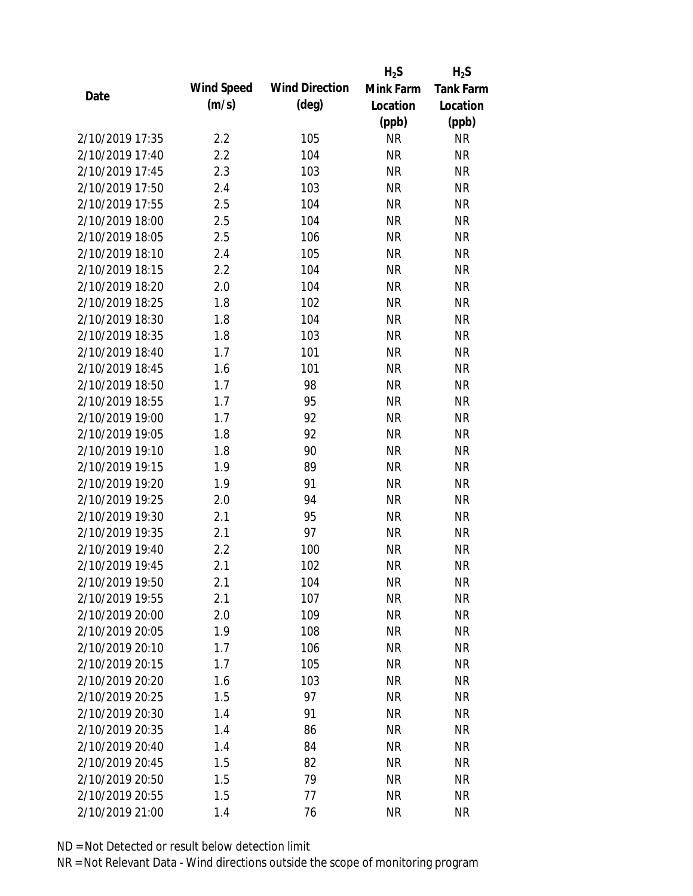|                 |            |                       | $H_2S$    | $H_2S$           |
|-----------------|------------|-----------------------|-----------|------------------|
| Date            | Wind Speed | <b>Wind Direction</b> | Mink Farm | <b>Tank Farm</b> |
|                 | (m/s)      | $(\text{deg})$        | Location  | Location         |
|                 |            |                       | (ppb)     | (ppb)            |
| 2/10/2019 17:35 | 2.2        | 105                   | <b>NR</b> | <b>NR</b>        |
| 2/10/2019 17:40 | 2.2        | 104                   | <b>NR</b> | <b>NR</b>        |
| 2/10/2019 17:45 | 2.3        | 103                   | <b>NR</b> | <b>NR</b>        |
| 2/10/2019 17:50 | 2.4        | 103                   | <b>NR</b> | <b>NR</b>        |
| 2/10/2019 17:55 | 2.5        | 104                   | <b>NR</b> | <b>NR</b>        |
| 2/10/2019 18:00 | 2.5        | 104                   | <b>NR</b> | <b>NR</b>        |
| 2/10/2019 18:05 | 2.5        | 106                   | <b>NR</b> | <b>NR</b>        |
| 2/10/2019 18:10 | 2.4        | 105                   | <b>NR</b> | <b>NR</b>        |
| 2/10/2019 18:15 | 2.2        | 104                   | <b>NR</b> | <b>NR</b>        |
| 2/10/2019 18:20 | 2.0        | 104                   | <b>NR</b> | <b>NR</b>        |
| 2/10/2019 18:25 | 1.8        | 102                   | <b>NR</b> | <b>NR</b>        |
| 2/10/2019 18:30 | 1.8        | 104                   | <b>NR</b> | <b>NR</b>        |
| 2/10/2019 18:35 | 1.8        | 103                   | <b>NR</b> | <b>NR</b>        |
| 2/10/2019 18:40 | 1.7        | 101                   | <b>NR</b> | <b>NR</b>        |
| 2/10/2019 18:45 | 1.6        | 101                   | <b>NR</b> | <b>NR</b>        |
| 2/10/2019 18:50 | 1.7        | 98                    | <b>NR</b> | <b>NR</b>        |
| 2/10/2019 18:55 | 1.7        | 95                    | <b>NR</b> | <b>NR</b>        |
| 2/10/2019 19:00 | 1.7        | 92                    | <b>NR</b> | <b>NR</b>        |
| 2/10/2019 19:05 | 1.8        | 92                    | <b>NR</b> | <b>NR</b>        |
| 2/10/2019 19:10 | 1.8        | 90                    | <b>NR</b> | <b>NR</b>        |
| 2/10/2019 19:15 | 1.9        | 89                    | <b>NR</b> | <b>NR</b>        |
| 2/10/2019 19:20 | 1.9        | 91                    | <b>NR</b> | <b>NR</b>        |
| 2/10/2019 19:25 | 2.0        | 94                    | <b>NR</b> | <b>NR</b>        |
| 2/10/2019 19:30 | 2.1        | 95                    | <b>NR</b> | <b>NR</b>        |
| 2/10/2019 19:35 | 2.1        | 97                    | <b>NR</b> | <b>NR</b>        |
| 2/10/2019 19:40 | 2.2        | 100                   | <b>NR</b> | <b>NR</b>        |
| 2/10/2019 19:45 | 2.1        | 102                   | <b>NR</b> | <b>NR</b>        |
| 2/10/2019 19:50 | 2.1        | 104                   | <b>NR</b> | <b>NR</b>        |
| 2/10/2019 19:55 | 2.1        | 107                   | <b>NR</b> | <b>NR</b>        |
| 2/10/2019 20:00 | 2.0        | 109                   | <b>NR</b> | <b>NR</b>        |
| 2/10/2019 20:05 | 1.9        | 108                   | <b>NR</b> | <b>NR</b>        |
| 2/10/2019 20:10 | 1.7        | 106                   | <b>NR</b> | NR               |
| 2/10/2019 20:15 | 1.7        | 105                   | <b>NR</b> | <b>NR</b>        |
| 2/10/2019 20:20 | 1.6        | 103                   | <b>NR</b> | <b>NR</b>        |
| 2/10/2019 20:25 | 1.5        | 97                    | <b>NR</b> | <b>NR</b>        |
| 2/10/2019 20:30 | 1.4        | 91                    | <b>NR</b> | <b>NR</b>        |
| 2/10/2019 20:35 | 1.4        | 86                    | <b>NR</b> | <b>NR</b>        |
| 2/10/2019 20:40 | 1.4        | 84                    | <b>NR</b> | <b>NR</b>        |
| 2/10/2019 20:45 | 1.5        | 82                    | <b>NR</b> | NR               |
| 2/10/2019 20:50 | 1.5        | 79                    | <b>NR</b> | NR               |
| 2/10/2019 20:55 | 1.5        | 77                    | <b>NR</b> | <b>NR</b>        |
| 2/10/2019 21:00 | 1.4        | 76                    | <b>NR</b> | <b>NR</b>        |
|                 |            |                       |           |                  |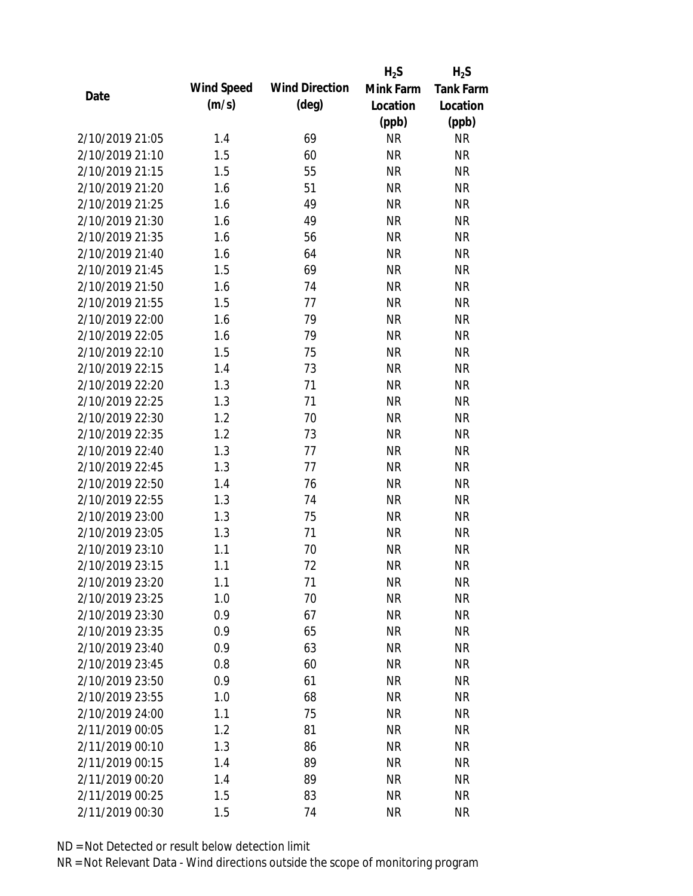|                 |            |                       | $H_2S$    | $H_2S$           |
|-----------------|------------|-----------------------|-----------|------------------|
| Date            | Wind Speed | <b>Wind Direction</b> | Mink Farm | <b>Tank Farm</b> |
|                 | (m/s)      | $(\text{deg})$        | Location  | Location         |
|                 |            |                       | (ppb)     | (ppb)            |
| 2/10/2019 21:05 | 1.4        | 69                    | <b>NR</b> | <b>NR</b>        |
| 2/10/2019 21:10 | 1.5        | 60                    | <b>NR</b> | <b>NR</b>        |
| 2/10/2019 21:15 | 1.5        | 55                    | <b>NR</b> | <b>NR</b>        |
| 2/10/2019 21:20 | 1.6        | 51                    | <b>NR</b> | <b>NR</b>        |
| 2/10/2019 21:25 | 1.6        | 49                    | <b>NR</b> | <b>NR</b>        |
| 2/10/2019 21:30 | 1.6        | 49                    | <b>NR</b> | <b>NR</b>        |
| 2/10/2019 21:35 | 1.6        | 56                    | <b>NR</b> | <b>NR</b>        |
| 2/10/2019 21:40 | 1.6        | 64                    | <b>NR</b> | <b>NR</b>        |
| 2/10/2019 21:45 | 1.5        | 69                    | <b>NR</b> | <b>NR</b>        |
| 2/10/2019 21:50 | 1.6        | 74                    | <b>NR</b> | <b>NR</b>        |
| 2/10/2019 21:55 | 1.5        | 77                    | <b>NR</b> | <b>NR</b>        |
| 2/10/2019 22:00 | 1.6        | 79                    | <b>NR</b> | <b>NR</b>        |
| 2/10/2019 22:05 | 1.6        | 79                    | <b>NR</b> | <b>NR</b>        |
| 2/10/2019 22:10 | 1.5        | 75                    | <b>NR</b> | <b>NR</b>        |
| 2/10/2019 22:15 | 1.4        | 73                    | <b>NR</b> | <b>NR</b>        |
| 2/10/2019 22:20 | 1.3        | 71                    | <b>NR</b> | <b>NR</b>        |
| 2/10/2019 22:25 | 1.3        | 71                    | <b>NR</b> | <b>NR</b>        |
| 2/10/2019 22:30 | 1.2        | 70                    | <b>NR</b> | <b>NR</b>        |
| 2/10/2019 22:35 | 1.2        | 73                    | <b>NR</b> | <b>NR</b>        |
| 2/10/2019 22:40 | 1.3        | 77                    | <b>NR</b> | <b>NR</b>        |
| 2/10/2019 22:45 | 1.3        | 77                    | <b>NR</b> | <b>NR</b>        |
| 2/10/2019 22:50 | 1.4        | 76                    | <b>NR</b> | <b>NR</b>        |
| 2/10/2019 22:55 | 1.3        | 74                    | <b>NR</b> | <b>NR</b>        |
| 2/10/2019 23:00 | 1.3        | 75                    | <b>NR</b> | <b>NR</b>        |
| 2/10/2019 23:05 | 1.3        | 71                    | <b>NR</b> | <b>NR</b>        |
| 2/10/2019 23:10 | 1.1        | 70                    | <b>NR</b> | <b>NR</b>        |
| 2/10/2019 23:15 | 1.1        | 72                    | <b>NR</b> | <b>NR</b>        |
| 2/10/2019 23:20 | 1.1        | 71                    | <b>NR</b> | <b>NR</b>        |
| 2/10/2019 23:25 | 1.0        | 70                    | <b>NR</b> | <b>NR</b>        |
| 2/10/2019 23:30 | 0.9        | 67                    | <b>NR</b> | <b>NR</b>        |
| 2/10/2019 23:35 | 0.9        | 65                    | <b>NR</b> | <b>NR</b>        |
| 2/10/2019 23:40 | 0.9        | 63                    | <b>NR</b> | NR               |
| 2/10/2019 23:45 | 0.8        | 60                    | <b>NR</b> | <b>NR</b>        |
| 2/10/2019 23:50 | 0.9        | 61                    | <b>NR</b> | <b>NR</b>        |
| 2/10/2019 23:55 | 1.0        | 68                    | <b>NR</b> | <b>NR</b>        |
| 2/10/2019 24:00 | 1.1        | 75                    | <b>NR</b> | <b>NR</b>        |
| 2/11/2019 00:05 | 1.2        | 81                    | <b>NR</b> | <b>NR</b>        |
| 2/11/2019 00:10 | 1.3        | 86                    | <b>NR</b> | <b>NR</b>        |
| 2/11/2019 00:15 | 1.4        | 89                    | <b>NR</b> | <b>NR</b>        |
| 2/11/2019 00:20 | 1.4        | 89                    | <b>NR</b> | <b>NR</b>        |
| 2/11/2019 00:25 | 1.5        | 83                    | <b>NR</b> | <b>NR</b>        |
|                 |            |                       |           |                  |
| 2/11/2019 00:30 | 1.5        | 74                    | <b>NR</b> | <b>NR</b>        |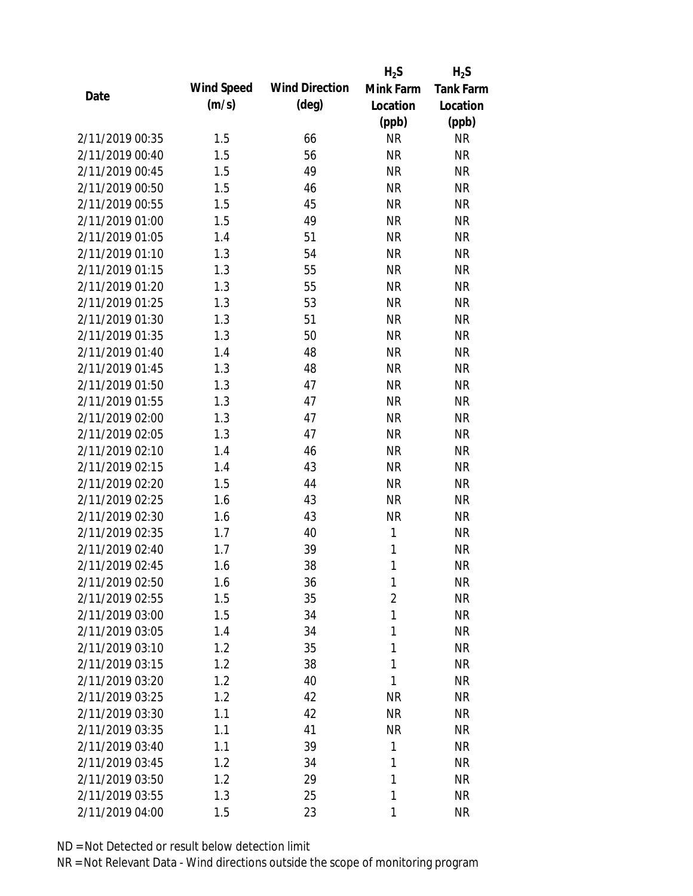|                 |            |                       | $H_2S$         | $H_2S$           |
|-----------------|------------|-----------------------|----------------|------------------|
| Date            | Wind Speed | <b>Wind Direction</b> | Mink Farm      | <b>Tank Farm</b> |
|                 | (m/s)      | $(\text{deg})$        | Location       | Location         |
|                 |            |                       | (ppb)          | (ppb)            |
| 2/11/2019 00:35 | 1.5        | 66                    | <b>NR</b>      | <b>NR</b>        |
| 2/11/2019 00:40 | 1.5        | 56                    | <b>NR</b>      | <b>NR</b>        |
| 2/11/2019 00:45 | 1.5        | 49                    | <b>NR</b>      | <b>NR</b>        |
| 2/11/2019 00:50 | 1.5        | 46                    | <b>NR</b>      | <b>NR</b>        |
| 2/11/2019 00:55 | 1.5        | 45                    | <b>NR</b>      | <b>NR</b>        |
| 2/11/2019 01:00 | 1.5        | 49                    | <b>NR</b>      | <b>NR</b>        |
| 2/11/2019 01:05 | 1.4        | 51                    | <b>NR</b>      | <b>NR</b>        |
| 2/11/2019 01:10 | 1.3        | 54                    | <b>NR</b>      | <b>NR</b>        |
| 2/11/2019 01:15 | 1.3        | 55                    | <b>NR</b>      | <b>NR</b>        |
| 2/11/2019 01:20 | 1.3        | 55                    | <b>NR</b>      | <b>NR</b>        |
| 2/11/2019 01:25 | 1.3        | 53                    | <b>NR</b>      | <b>NR</b>        |
| 2/11/2019 01:30 | 1.3        | 51                    | <b>NR</b>      | <b>NR</b>        |
| 2/11/2019 01:35 | 1.3        | 50                    | <b>NR</b>      | <b>NR</b>        |
| 2/11/2019 01:40 | 1.4        | 48                    | <b>NR</b>      | <b>NR</b>        |
| 2/11/2019 01:45 | 1.3        | 48                    | <b>NR</b>      | <b>NR</b>        |
| 2/11/2019 01:50 | 1.3        | 47                    | <b>NR</b>      | <b>NR</b>        |
| 2/11/2019 01:55 | 1.3        | 47                    | <b>NR</b>      | <b>NR</b>        |
| 2/11/2019 02:00 | 1.3        | 47                    | <b>NR</b>      | <b>NR</b>        |
| 2/11/2019 02:05 | 1.3        | 47                    | <b>NR</b>      | <b>NR</b>        |
| 2/11/2019 02:10 | 1.4        | 46                    | <b>NR</b>      | <b>NR</b>        |
| 2/11/2019 02:15 | 1.4        | 43                    | <b>NR</b>      | <b>NR</b>        |
| 2/11/2019 02:20 | 1.5        | 44                    | <b>NR</b>      | <b>NR</b>        |
| 2/11/2019 02:25 | 1.6        | 43                    | <b>NR</b>      | <b>NR</b>        |
| 2/11/2019 02:30 | 1.6        | 43                    | <b>NR</b>      | <b>NR</b>        |
| 2/11/2019 02:35 | 1.7        | 40                    | 1              | <b>NR</b>        |
| 2/11/2019 02:40 | 1.7        | 39                    | 1              | <b>NR</b>        |
| 2/11/2019 02:45 | 1.6        | 38                    | 1              | <b>NR</b>        |
| 2/11/2019 02:50 | 1.6        | 36                    | 1              | <b>NR</b>        |
| 2/11/2019 02:55 | 1.5        | 35                    | $\overline{2}$ | <b>NR</b>        |
| 2/11/2019 03:00 | 1.5        | 34                    | 1              | <b>NR</b>        |
| 2/11/2019 03:05 | 1.4        | 34                    | 1              | <b>NR</b>        |
| 2/11/2019 03:10 | 1.2        | 35                    | 1              | <b>NR</b>        |
| 2/11/2019 03:15 | 1.2        | 38                    | 1              | <b>NR</b>        |
| 2/11/2019 03:20 | 1.2        | 40                    | 1              | <b>NR</b>        |
| 2/11/2019 03:25 | 1.2        | 42                    | <b>NR</b>      | <b>NR</b>        |
| 2/11/2019 03:30 | 1.1        | 42                    | <b>NR</b>      | <b>NR</b>        |
| 2/11/2019 03:35 | 1.1        | 41                    | <b>NR</b>      | <b>NR</b>        |
| 2/11/2019 03:40 | 1.1        | 39                    | 1              | <b>NR</b>        |
| 2/11/2019 03:45 | 1.2        | 34                    | 1              | <b>NR</b>        |
| 2/11/2019 03:50 | 1.2        | 29                    | 1              | <b>NR</b>        |
| 2/11/2019 03:55 | 1.3        | 25                    | 1              | <b>NR</b>        |
| 2/11/2019 04:00 | 1.5        | 23                    | 1              | <b>NR</b>        |
|                 |            |                       |                |                  |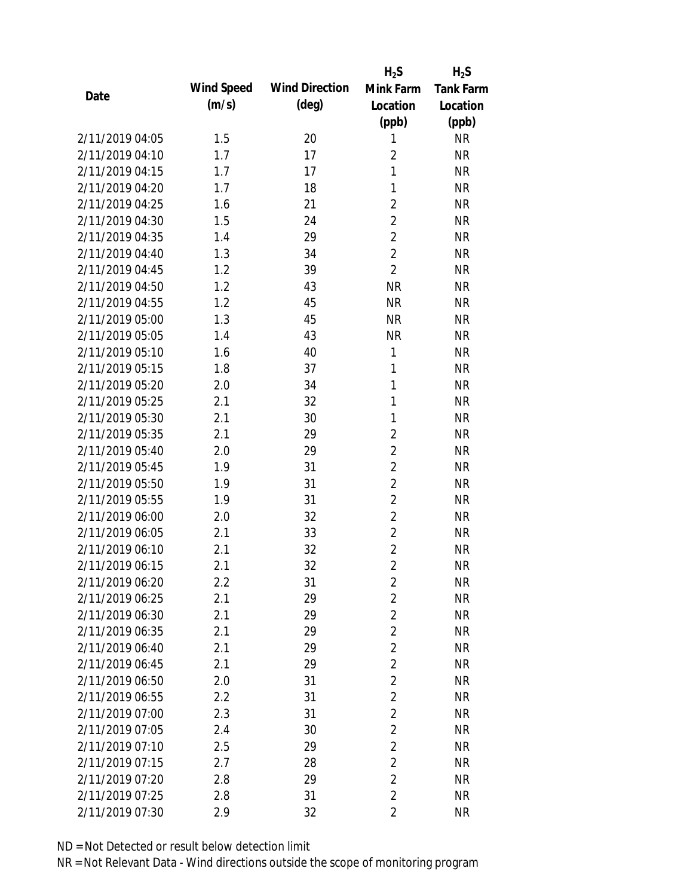|                 |            |                       | $H_2S$         | $H_2S$           |
|-----------------|------------|-----------------------|----------------|------------------|
| Date            | Wind Speed | <b>Wind Direction</b> | Mink Farm      | <b>Tank Farm</b> |
|                 | (m/s)      | $(\text{deg})$        | Location       | Location         |
|                 |            |                       | (ppb)          | (ppb)            |
| 2/11/2019 04:05 | 1.5        | 20                    | 1              | <b>NR</b>        |
| 2/11/2019 04:10 | 1.7        | 17                    | $\overline{2}$ | <b>NR</b>        |
| 2/11/2019 04:15 | 1.7        | 17                    | $\mathbf{1}$   | <b>NR</b>        |
| 2/11/2019 04:20 | 1.7        | 18                    | 1              | <b>NR</b>        |
| 2/11/2019 04:25 | 1.6        | 21                    | $\overline{2}$ | <b>NR</b>        |
| 2/11/2019 04:30 | 1.5        | 24                    | $\overline{2}$ | <b>NR</b>        |
| 2/11/2019 04:35 | 1.4        | 29                    | $\overline{2}$ | <b>NR</b>        |
| 2/11/2019 04:40 | 1.3        | 34                    | $\overline{2}$ | <b>NR</b>        |
| 2/11/2019 04:45 | 1.2        | 39                    | $\overline{2}$ | <b>NR</b>        |
| 2/11/2019 04:50 | 1.2        | 43                    | <b>NR</b>      | <b>NR</b>        |
| 2/11/2019 04:55 | 1.2        | 45                    | <b>NR</b>      | <b>NR</b>        |
| 2/11/2019 05:00 | 1.3        | 45                    | <b>NR</b>      | <b>NR</b>        |
| 2/11/2019 05:05 | 1.4        | 43                    | <b>NR</b>      | <b>NR</b>        |
| 2/11/2019 05:10 | 1.6        | 40                    | 1              | <b>NR</b>        |
| 2/11/2019 05:15 | 1.8        | 37                    | 1              | <b>NR</b>        |
| 2/11/2019 05:20 | 2.0        | 34                    | 1              | <b>NR</b>        |
| 2/11/2019 05:25 | 2.1        | 32                    | 1              | <b>NR</b>        |
| 2/11/2019 05:30 | 2.1        | 30                    | 1              | <b>NR</b>        |
| 2/11/2019 05:35 | 2.1        | 29                    | $\overline{2}$ | <b>NR</b>        |
| 2/11/2019 05:40 | 2.0        | 29                    | $\overline{2}$ | <b>NR</b>        |
| 2/11/2019 05:45 | 1.9        | 31                    | $\overline{2}$ | <b>NR</b>        |
| 2/11/2019 05:50 | 1.9        | 31                    | $\overline{2}$ | <b>NR</b>        |
| 2/11/2019 05:55 | 1.9        | 31                    | $\overline{2}$ | <b>NR</b>        |
| 2/11/2019 06:00 | 2.0        | 32                    | $\overline{2}$ | <b>NR</b>        |
| 2/11/2019 06:05 | 2.1        | 33                    | $\overline{2}$ | <b>NR</b>        |
| 2/11/2019 06:10 | 2.1        | 32                    | $\overline{2}$ | <b>NR</b>        |
| 2/11/2019 06:15 | 2.1        | 32                    | $\overline{2}$ | <b>NR</b>        |
| 2/11/2019 06:20 | 2.2        | 31                    | $\overline{2}$ | <b>NR</b>        |
| 2/11/2019 06:25 | 2.1        | 29                    | $\overline{2}$ | <b>NR</b>        |
| 2/11/2019 06:30 | 2.1        | 29                    | $\overline{2}$ | <b>NR</b>        |
| 2/11/2019 06:35 | 2.1        | 29                    | $\overline{2}$ | <b>NR</b>        |
| 2/11/2019 06:40 | 2.1        | 29                    | $\overline{2}$ | <b>NR</b>        |
| 2/11/2019 06:45 | 2.1        | 29                    | $\overline{2}$ | <b>NR</b>        |
| 2/11/2019 06:50 | 2.0        | 31                    | $\overline{2}$ | <b>NR</b>        |
| 2/11/2019 06:55 | 2.2        | 31                    | $\overline{2}$ | <b>NR</b>        |
| 2/11/2019 07:00 | 2.3        | 31                    | $\overline{2}$ | <b>NR</b>        |
| 2/11/2019 07:05 | 2.4        | 30                    | $\overline{2}$ | <b>NR</b>        |
| 2/11/2019 07:10 | 2.5        | 29                    | $\overline{2}$ | <b>NR</b>        |
| 2/11/2019 07:15 | 2.7        | 28                    | $\overline{2}$ | <b>NR</b>        |
| 2/11/2019 07:20 | 2.8        | 29                    | $\overline{2}$ | <b>NR</b>        |
| 2/11/2019 07:25 | 2.8        | 31                    | $\overline{2}$ | <b>NR</b>        |
| 2/11/2019 07:30 | 2.9        | 32                    | $\overline{2}$ | <b>NR</b>        |
|                 |            |                       |                |                  |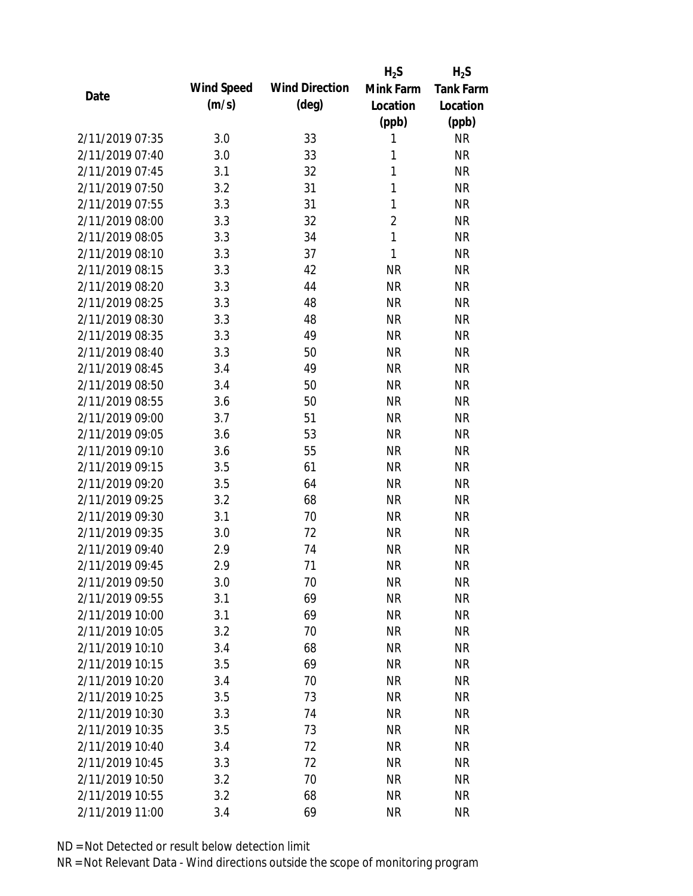|                 |            |                       | $H_2S$         | $H_2S$           |
|-----------------|------------|-----------------------|----------------|------------------|
|                 | Wind Speed | <b>Wind Direction</b> | Mink Farm      | <b>Tank Farm</b> |
| Date            | (m/s)      | $(\text{deg})$        | Location       | Location         |
|                 |            |                       | (ppb)          | (ppb)            |
| 2/11/2019 07:35 | 3.0        | 33                    | 1              | <b>NR</b>        |
| 2/11/2019 07:40 | 3.0        | 33                    | 1              | <b>NR</b>        |
| 2/11/2019 07:45 | 3.1        | 32                    | 1              | <b>NR</b>        |
| 2/11/2019 07:50 | 3.2        | 31                    | 1              | <b>NR</b>        |
| 2/11/2019 07:55 | 3.3        | 31                    | 1              | <b>NR</b>        |
| 2/11/2019 08:00 | 3.3        | 32                    | $\overline{2}$ | <b>NR</b>        |
| 2/11/2019 08:05 | 3.3        | 34                    | $\mathbf{1}$   | <b>NR</b>        |
| 2/11/2019 08:10 | 3.3        | 37                    | 1              | <b>NR</b>        |
| 2/11/2019 08:15 | 3.3        | 42                    | <b>NR</b>      | <b>NR</b>        |
| 2/11/2019 08:20 | 3.3        | 44                    | <b>NR</b>      | <b>NR</b>        |
| 2/11/2019 08:25 | 3.3        | 48                    | <b>NR</b>      | <b>NR</b>        |
| 2/11/2019 08:30 | 3.3        | 48                    | <b>NR</b>      | <b>NR</b>        |
| 2/11/2019 08:35 | 3.3        | 49                    | <b>NR</b>      | <b>NR</b>        |
| 2/11/2019 08:40 | 3.3        | 50                    | <b>NR</b>      | <b>NR</b>        |
| 2/11/2019 08:45 | 3.4        | 49                    | <b>NR</b>      | <b>NR</b>        |
| 2/11/2019 08:50 | 3.4        | 50                    | <b>NR</b>      | <b>NR</b>        |
| 2/11/2019 08:55 | 3.6        | 50                    | <b>NR</b>      | <b>NR</b>        |
| 2/11/2019 09:00 | 3.7        | 51                    | <b>NR</b>      | <b>NR</b>        |
| 2/11/2019 09:05 | 3.6        | 53                    | <b>NR</b>      | <b>NR</b>        |
| 2/11/2019 09:10 | 3.6        | 55                    | <b>NR</b>      | <b>NR</b>        |
| 2/11/2019 09:15 | 3.5        | 61                    | <b>NR</b>      | <b>NR</b>        |
| 2/11/2019 09:20 | 3.5        | 64                    | <b>NR</b>      | <b>NR</b>        |
| 2/11/2019 09:25 | 3.2        | 68                    | <b>NR</b>      | <b>NR</b>        |
| 2/11/2019 09:30 | 3.1        | 70                    | <b>NR</b>      | <b>NR</b>        |
| 2/11/2019 09:35 | 3.0        | 72                    | <b>NR</b>      | <b>NR</b>        |
| 2/11/2019 09:40 | 2.9        | 74                    | <b>NR</b>      | <b>NR</b>        |
| 2/11/2019 09:45 | 2.9        | 71                    | <b>NR</b>      | <b>NR</b>        |
| 2/11/2019 09:50 | 3.0        | 70                    | <b>NR</b>      | <b>NR</b>        |
| 2/11/2019 09:55 | 3.1        | 69                    | <b>NR</b>      | <b>NR</b>        |
| 2/11/2019 10:00 | 3.1        | 69                    | <b>NR</b>      | <b>NR</b>        |
| 2/11/2019 10:05 | 3.2        | 70                    | <b>NR</b>      | <b>NR</b>        |
| 2/11/2019 10:10 | 3.4        | 68                    | <b>NR</b>      | <b>NR</b>        |
| 2/11/2019 10:15 | 3.5        | 69                    | <b>NR</b>      | <b>NR</b>        |
| 2/11/2019 10:20 | 3.4        | 70                    | <b>NR</b>      | <b>NR</b>        |
| 2/11/2019 10:25 | 3.5        | 73                    | <b>NR</b>      | <b>NR</b>        |
| 2/11/2019 10:30 | 3.3        | 74                    | <b>NR</b>      | <b>NR</b>        |
| 2/11/2019 10:35 | 3.5        | 73                    | <b>NR</b>      | <b>NR</b>        |
| 2/11/2019 10:40 | 3.4        | 72                    | <b>NR</b>      | <b>NR</b>        |
| 2/11/2019 10:45 | 3.3        | 72                    | <b>NR</b>      | <b>NR</b>        |
| 2/11/2019 10:50 | 3.2        | 70                    | <b>NR</b>      | <b>NR</b>        |
| 2/11/2019 10:55 | 3.2        | 68                    | <b>NR</b>      | <b>NR</b>        |
| 2/11/2019 11:00 | 3.4        | 69                    | <b>NR</b>      | <b>NR</b>        |
|                 |            |                       |                |                  |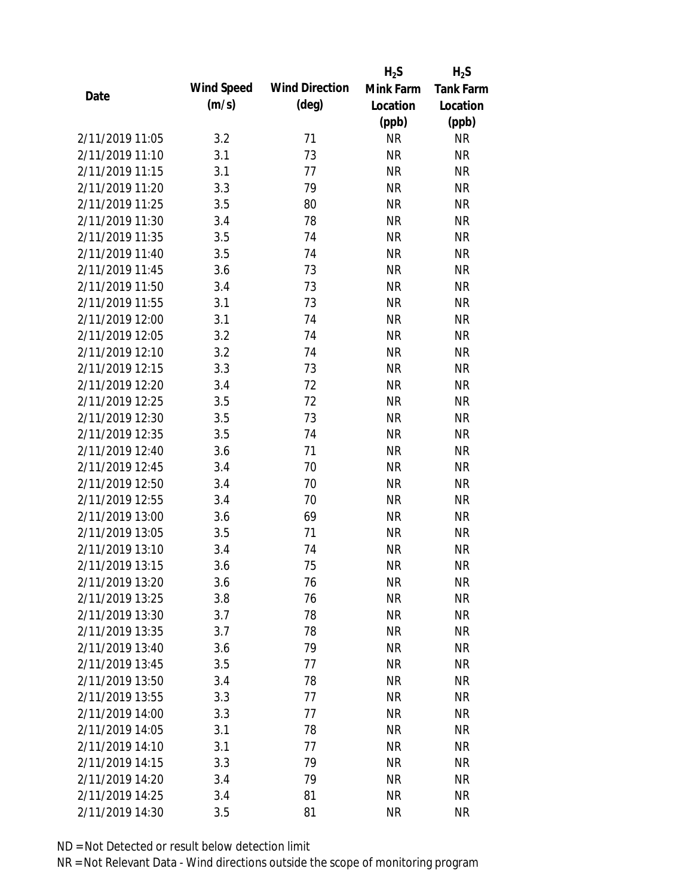|                 |            |                       | $H_2S$    | $H_2S$           |
|-----------------|------------|-----------------------|-----------|------------------|
| Date            | Wind Speed | <b>Wind Direction</b> | Mink Farm | <b>Tank Farm</b> |
|                 | (m/s)      | $(\text{deg})$        | Location  | Location         |
|                 |            |                       | (ppb)     | (ppb)            |
| 2/11/2019 11:05 | 3.2        | 71                    | <b>NR</b> | <b>NR</b>        |
| 2/11/2019 11:10 | 3.1        | 73                    | <b>NR</b> | <b>NR</b>        |
| 2/11/2019 11:15 | 3.1        | 77                    | <b>NR</b> | <b>NR</b>        |
| 2/11/2019 11:20 | 3.3        | 79                    | <b>NR</b> | <b>NR</b>        |
| 2/11/2019 11:25 | 3.5        | 80                    | <b>NR</b> | <b>NR</b>        |
| 2/11/2019 11:30 | 3.4        | 78                    | <b>NR</b> | <b>NR</b>        |
| 2/11/2019 11:35 | 3.5        | 74                    | <b>NR</b> | <b>NR</b>        |
| 2/11/2019 11:40 | 3.5        | 74                    | <b>NR</b> | <b>NR</b>        |
| 2/11/2019 11:45 | 3.6        | 73                    | <b>NR</b> | <b>NR</b>        |
| 2/11/2019 11:50 | 3.4        | 73                    | <b>NR</b> | <b>NR</b>        |
| 2/11/2019 11:55 | 3.1        | 73                    | <b>NR</b> | <b>NR</b>        |
| 2/11/2019 12:00 | 3.1        | 74                    | <b>NR</b> | <b>NR</b>        |
| 2/11/2019 12:05 | 3.2        | 74                    | <b>NR</b> | <b>NR</b>        |
| 2/11/2019 12:10 | 3.2        | 74                    | <b>NR</b> | <b>NR</b>        |
| 2/11/2019 12:15 | 3.3        | 73                    | <b>NR</b> | <b>NR</b>        |
| 2/11/2019 12:20 | 3.4        | 72                    | <b>NR</b> | <b>NR</b>        |
| 2/11/2019 12:25 | 3.5        | 72                    | <b>NR</b> | <b>NR</b>        |
| 2/11/2019 12:30 | 3.5        | 73                    | <b>NR</b> | <b>NR</b>        |
| 2/11/2019 12:35 | 3.5        | 74                    | <b>NR</b> | <b>NR</b>        |
| 2/11/2019 12:40 | 3.6        | 71                    | <b>NR</b> | <b>NR</b>        |
| 2/11/2019 12:45 | 3.4        | 70                    | <b>NR</b> | <b>NR</b>        |
| 2/11/2019 12:50 | 3.4        | 70                    | <b>NR</b> | <b>NR</b>        |
| 2/11/2019 12:55 | 3.4        | 70                    | <b>NR</b> | <b>NR</b>        |
| 2/11/2019 13:00 | 3.6        | 69                    | <b>NR</b> | <b>NR</b>        |
| 2/11/2019 13:05 | 3.5        | 71                    | <b>NR</b> | <b>NR</b>        |
| 2/11/2019 13:10 | 3.4        | 74                    | <b>NR</b> | <b>NR</b>        |
| 2/11/2019 13:15 | 3.6        | 75                    | <b>NR</b> | <b>NR</b>        |
| 2/11/2019 13:20 | 3.6        | 76                    | <b>NR</b> | <b>NR</b>        |
| 2/11/2019 13:25 | 3.8        | 76                    | <b>NR</b> | <b>NR</b>        |
| 2/11/2019 13:30 | 3.7        | 78                    | <b>NR</b> | <b>NR</b>        |
| 2/11/2019 13:35 | 3.7        | 78                    | <b>NR</b> | <b>NR</b>        |
| 2/11/2019 13:40 | 3.6        | 79                    | <b>NR</b> | <b>NR</b>        |
| 2/11/2019 13:45 | 3.5        | 77                    | <b>NR</b> | <b>NR</b>        |
| 2/11/2019 13:50 | 3.4        | 78                    | <b>NR</b> | <b>NR</b>        |
| 2/11/2019 13:55 | 3.3        | 77                    | <b>NR</b> | NR               |
| 2/11/2019 14:00 | 3.3        | 77                    | <b>NR</b> | <b>NR</b>        |
| 2/11/2019 14:05 | 3.1        | 78                    | <b>NR</b> | <b>NR</b>        |
| 2/11/2019 14:10 | 3.1        | 77                    | NR        | <b>NR</b>        |
| 2/11/2019 14:15 | 3.3        | 79                    | <b>NR</b> | NR               |
| 2/11/2019 14:20 | 3.4        | 79                    | <b>NR</b> | NR               |
| 2/11/2019 14:25 | 3.4        | 81                    | <b>NR</b> | <b>NR</b>        |
| 2/11/2019 14:30 | 3.5        | 81                    | <b>NR</b> | <b>NR</b>        |
|                 |            |                       |           |                  |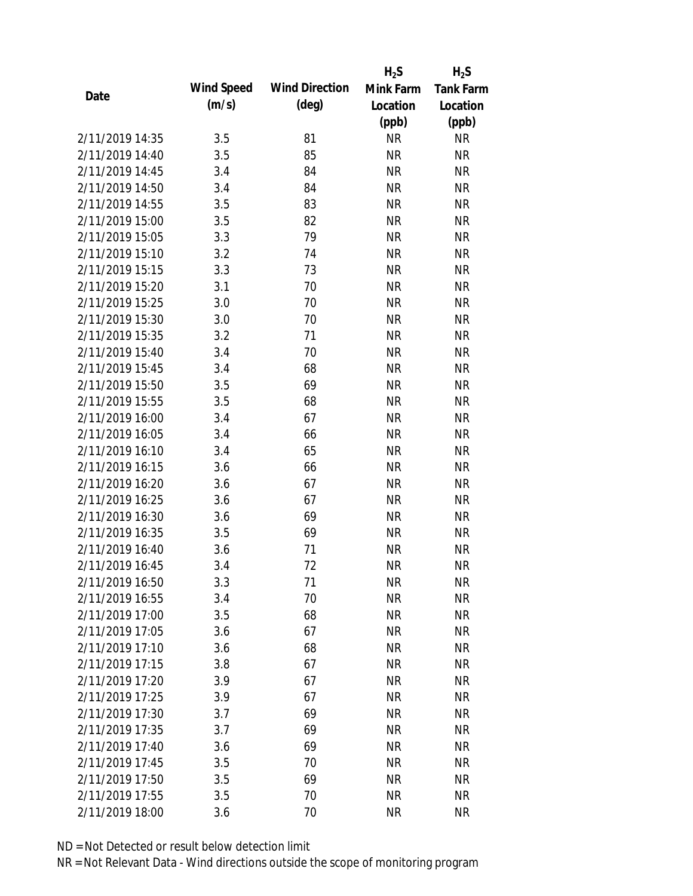|                 |            |                       | $H_2S$    | $H_2S$           |
|-----------------|------------|-----------------------|-----------|------------------|
| Date            | Wind Speed | <b>Wind Direction</b> | Mink Farm | <b>Tank Farm</b> |
|                 | (m/s)      | $(\text{deg})$        | Location  | Location         |
|                 |            |                       | (ppb)     | (ppb)            |
| 2/11/2019 14:35 | 3.5        | 81                    | <b>NR</b> | <b>NR</b>        |
| 2/11/2019 14:40 | 3.5        | 85                    | <b>NR</b> | <b>NR</b>        |
| 2/11/2019 14:45 | 3.4        | 84                    | <b>NR</b> | <b>NR</b>        |
| 2/11/2019 14:50 | 3.4        | 84                    | <b>NR</b> | <b>NR</b>        |
| 2/11/2019 14:55 | 3.5        | 83                    | <b>NR</b> | <b>NR</b>        |
| 2/11/2019 15:00 | 3.5        | 82                    | <b>NR</b> | <b>NR</b>        |
| 2/11/2019 15:05 | 3.3        | 79                    | <b>NR</b> | <b>NR</b>        |
| 2/11/2019 15:10 | 3.2        | 74                    | <b>NR</b> | <b>NR</b>        |
| 2/11/2019 15:15 | 3.3        | 73                    | <b>NR</b> | <b>NR</b>        |
| 2/11/2019 15:20 | 3.1        | 70                    | <b>NR</b> | <b>NR</b>        |
| 2/11/2019 15:25 | 3.0        | 70                    | <b>NR</b> | <b>NR</b>        |
| 2/11/2019 15:30 | 3.0        | 70                    | <b>NR</b> | <b>NR</b>        |
| 2/11/2019 15:35 | 3.2        | 71                    | <b>NR</b> | <b>NR</b>        |
| 2/11/2019 15:40 | 3.4        | 70                    | <b>NR</b> | <b>NR</b>        |
| 2/11/2019 15:45 | 3.4        | 68                    | <b>NR</b> | <b>NR</b>        |
| 2/11/2019 15:50 | 3.5        | 69                    | <b>NR</b> | <b>NR</b>        |
| 2/11/2019 15:55 | 3.5        | 68                    | <b>NR</b> | <b>NR</b>        |
| 2/11/2019 16:00 | 3.4        | 67                    | <b>NR</b> | <b>NR</b>        |
| 2/11/2019 16:05 | 3.4        | 66                    | <b>NR</b> | <b>NR</b>        |
| 2/11/2019 16:10 | 3.4        | 65                    | <b>NR</b> | <b>NR</b>        |
| 2/11/2019 16:15 | 3.6        | 66                    | <b>NR</b> | <b>NR</b>        |
| 2/11/2019 16:20 | 3.6        | 67                    | <b>NR</b> | <b>NR</b>        |
| 2/11/2019 16:25 | 3.6        | 67                    | <b>NR</b> | <b>NR</b>        |
| 2/11/2019 16:30 | 3.6        | 69                    | <b>NR</b> | <b>NR</b>        |
| 2/11/2019 16:35 | 3.5        | 69                    | <b>NR</b> | <b>NR</b>        |
| 2/11/2019 16:40 | 3.6        | 71                    | <b>NR</b> | <b>NR</b>        |
| 2/11/2019 16:45 | 3.4        | 72                    | <b>NR</b> | <b>NR</b>        |
| 2/11/2019 16:50 | 3.3        | 71                    | <b>NR</b> | <b>NR</b>        |
| 2/11/2019 16:55 | 3.4        | 70                    | <b>NR</b> | <b>NR</b>        |
| 2/11/2019 17:00 | 3.5        | 68                    | <b>NR</b> | <b>NR</b>        |
| 2/11/2019 17:05 | 3.6        | 67                    | <b>NR</b> | <b>NR</b>        |
| 2/11/2019 17:10 | 3.6        | 68                    | <b>NR</b> | <b>NR</b>        |
| 2/11/2019 17:15 | 3.8        | 67                    | <b>NR</b> | <b>NR</b>        |
| 2/11/2019 17:20 | 3.9        | 67                    | <b>NR</b> | <b>NR</b>        |
| 2/11/2019 17:25 | 3.9        | 67                    | <b>NR</b> | NR               |
| 2/11/2019 17:30 | 3.7        | 69                    | <b>NR</b> | <b>NR</b>        |
| 2/11/2019 17:35 | 3.7        | 69                    | <b>NR</b> | <b>NR</b>        |
| 2/11/2019 17:40 | 3.6        | 69                    | <b>NR</b> | <b>NR</b>        |
| 2/11/2019 17:45 | 3.5        | 70                    | <b>NR</b> | NR               |
| 2/11/2019 17:50 | 3.5        | 69                    | <b>NR</b> | NR               |
| 2/11/2019 17:55 | 3.5        | 70                    | <b>NR</b> | <b>NR</b>        |
| 2/11/2019 18:00 | 3.6        | 70                    | <b>NR</b> | <b>NR</b>        |
|                 |            |                       |           |                  |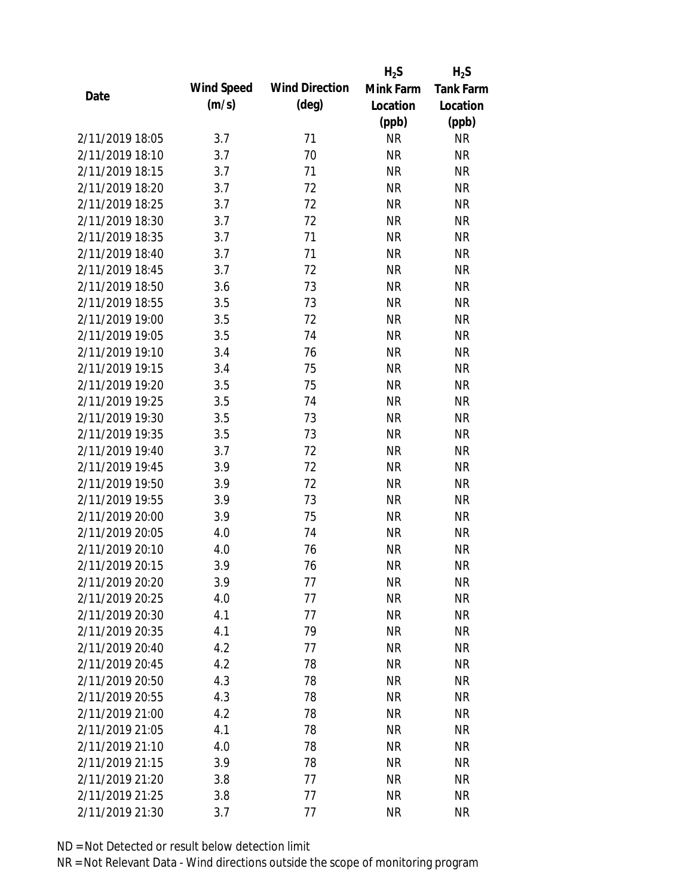|                 |            |                       | $H_2S$    | $H_2S$           |
|-----------------|------------|-----------------------|-----------|------------------|
| Date            | Wind Speed | <b>Wind Direction</b> | Mink Farm | <b>Tank Farm</b> |
|                 | (m/s)      | $(\text{deg})$        | Location  | Location         |
|                 |            |                       | (ppb)     | (ppb)            |
| 2/11/2019 18:05 | 3.7        | 71                    | <b>NR</b> | <b>NR</b>        |
| 2/11/2019 18:10 | 3.7        | 70                    | <b>NR</b> | <b>NR</b>        |
| 2/11/2019 18:15 | 3.7        | 71                    | <b>NR</b> | <b>NR</b>        |
| 2/11/2019 18:20 | 3.7        | 72                    | <b>NR</b> | <b>NR</b>        |
| 2/11/2019 18:25 | 3.7        | 72                    | <b>NR</b> | <b>NR</b>        |
| 2/11/2019 18:30 | 3.7        | 72                    | <b>NR</b> | <b>NR</b>        |
| 2/11/2019 18:35 | 3.7        | 71                    | <b>NR</b> | <b>NR</b>        |
| 2/11/2019 18:40 | 3.7        | 71                    | <b>NR</b> | <b>NR</b>        |
| 2/11/2019 18:45 | 3.7        | 72                    | <b>NR</b> | <b>NR</b>        |
| 2/11/2019 18:50 | 3.6        | 73                    | <b>NR</b> | <b>NR</b>        |
| 2/11/2019 18:55 | 3.5        | 73                    | <b>NR</b> | <b>NR</b>        |
| 2/11/2019 19:00 | 3.5        | 72                    | <b>NR</b> | <b>NR</b>        |
| 2/11/2019 19:05 | 3.5        | 74                    | <b>NR</b> | <b>NR</b>        |
| 2/11/2019 19:10 | 3.4        | 76                    | <b>NR</b> | <b>NR</b>        |
| 2/11/2019 19:15 | 3.4        | 75                    | <b>NR</b> | <b>NR</b>        |
| 2/11/2019 19:20 | 3.5        | 75                    | <b>NR</b> | <b>NR</b>        |
| 2/11/2019 19:25 | 3.5        | 74                    | <b>NR</b> | <b>NR</b>        |
| 2/11/2019 19:30 | 3.5        | 73                    | <b>NR</b> | <b>NR</b>        |
| 2/11/2019 19:35 | 3.5        | 73                    | <b>NR</b> | <b>NR</b>        |
| 2/11/2019 19:40 | 3.7        | 72                    | <b>NR</b> | <b>NR</b>        |
| 2/11/2019 19:45 | 3.9        | 72                    | <b>NR</b> | <b>NR</b>        |
| 2/11/2019 19:50 | 3.9        | 72                    | <b>NR</b> | <b>NR</b>        |
| 2/11/2019 19:55 | 3.9        | 73                    | <b>NR</b> | <b>NR</b>        |
| 2/11/2019 20:00 | 3.9        | 75                    | <b>NR</b> | <b>NR</b>        |
| 2/11/2019 20:05 | 4.0        | 74                    | <b>NR</b> | <b>NR</b>        |
| 2/11/2019 20:10 | 4.0        | 76                    | <b>NR</b> | <b>NR</b>        |
| 2/11/2019 20:15 | 3.9        | 76                    | <b>NR</b> | <b>NR</b>        |
| 2/11/2019 20:20 | 3.9        | 77                    | <b>NR</b> | <b>NR</b>        |
| 2/11/2019 20:25 | 4.0        | 77                    | <b>NR</b> | <b>NR</b>        |
| 2/11/2019 20:30 | 4.1        | 77                    | <b>NR</b> | <b>NR</b>        |
| 2/11/2019 20:35 | 4.1        | 79                    | <b>NR</b> | <b>NR</b>        |
| 2/11/2019 20:40 | 4.2        | 77                    | <b>NR</b> | <b>NR</b>        |
| 2/11/2019 20:45 | 4.2        | 78                    | <b>NR</b> | <b>NR</b>        |
| 2/11/2019 20:50 | 4.3        | 78                    | <b>NR</b> | <b>NR</b>        |
| 2/11/2019 20:55 | 4.3        | 78                    | <b>NR</b> | <b>NR</b>        |
| 2/11/2019 21:00 | 4.2        | 78                    | <b>NR</b> | <b>NR</b>        |
| 2/11/2019 21:05 | 4.1        | 78                    | <b>NR</b> | <b>NR</b>        |
| 2/11/2019 21:10 | 4.0        | 78                    | <b>NR</b> | <b>NR</b>        |
| 2/11/2019 21:15 | 3.9        | 78                    | <b>NR</b> | <b>NR</b>        |
| 2/11/2019 21:20 | 3.8        | 77                    | <b>NR</b> | NR               |
| 2/11/2019 21:25 | 3.8        | 77                    | <b>NR</b> | <b>NR</b>        |
| 2/11/2019 21:30 | 3.7        | 77                    | <b>NR</b> | <b>NR</b>        |
|                 |            |                       |           |                  |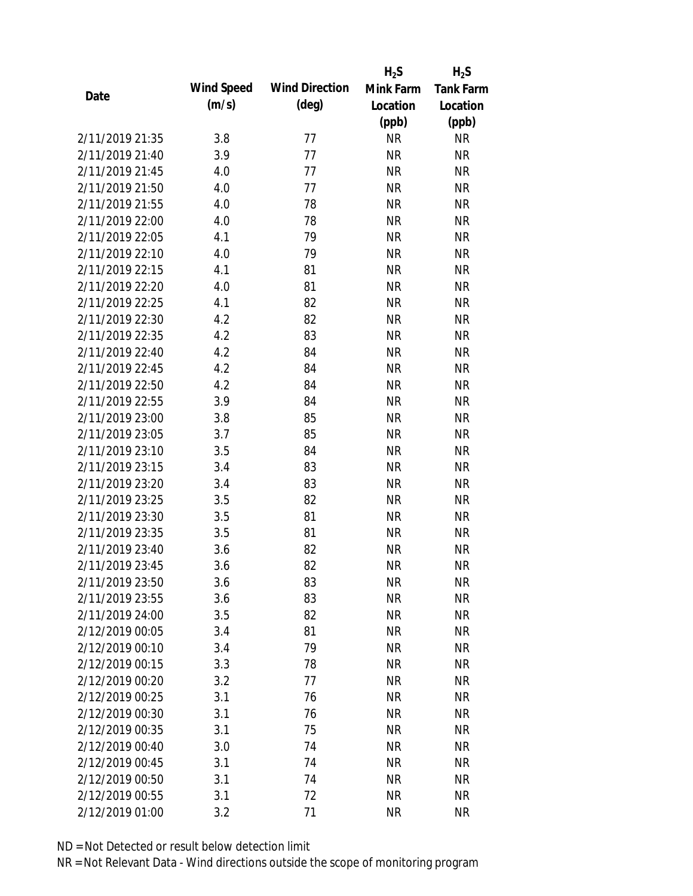|                 |            |                       | $H_2S$    | $H_2S$           |
|-----------------|------------|-----------------------|-----------|------------------|
| Date            | Wind Speed | <b>Wind Direction</b> | Mink Farm | <b>Tank Farm</b> |
|                 | (m/s)      | $(\text{deg})$        | Location  | Location         |
|                 |            |                       | (ppb)     | (ppb)            |
| 2/11/2019 21:35 | 3.8        | 77                    | <b>NR</b> | <b>NR</b>        |
| 2/11/2019 21:40 | 3.9        | 77                    | <b>NR</b> | <b>NR</b>        |
| 2/11/2019 21:45 | 4.0        | 77                    | <b>NR</b> | <b>NR</b>        |
| 2/11/2019 21:50 | 4.0        | 77                    | <b>NR</b> | <b>NR</b>        |
| 2/11/2019 21:55 | 4.0        | 78                    | <b>NR</b> | <b>NR</b>        |
| 2/11/2019 22:00 | 4.0        | 78                    | <b>NR</b> | <b>NR</b>        |
| 2/11/2019 22:05 | 4.1        | 79                    | <b>NR</b> | <b>NR</b>        |
| 2/11/2019 22:10 | 4.0        | 79                    | <b>NR</b> | <b>NR</b>        |
| 2/11/2019 22:15 | 4.1        | 81                    | <b>NR</b> | <b>NR</b>        |
| 2/11/2019 22:20 | 4.0        | 81                    | <b>NR</b> | <b>NR</b>        |
| 2/11/2019 22:25 | 4.1        | 82                    | <b>NR</b> | <b>NR</b>        |
| 2/11/2019 22:30 | 4.2        | 82                    | <b>NR</b> | <b>NR</b>        |
| 2/11/2019 22:35 | 4.2        | 83                    | <b>NR</b> | <b>NR</b>        |
| 2/11/2019 22:40 | 4.2        | 84                    | <b>NR</b> | <b>NR</b>        |
| 2/11/2019 22:45 | 4.2        | 84                    | <b>NR</b> | <b>NR</b>        |
| 2/11/2019 22:50 | 4.2        | 84                    | <b>NR</b> | <b>NR</b>        |
| 2/11/2019 22:55 | 3.9        | 84                    | <b>NR</b> | <b>NR</b>        |
| 2/11/2019 23:00 | 3.8        | 85                    | <b>NR</b> | <b>NR</b>        |
| 2/11/2019 23:05 | 3.7        | 85                    | <b>NR</b> | <b>NR</b>        |
| 2/11/2019 23:10 | 3.5        | 84                    | <b>NR</b> | <b>NR</b>        |
| 2/11/2019 23:15 | 3.4        | 83                    | <b>NR</b> | <b>NR</b>        |
| 2/11/2019 23:20 | 3.4        | 83                    | <b>NR</b> | <b>NR</b>        |
| 2/11/2019 23:25 | 3.5        | 82                    | <b>NR</b> | <b>NR</b>        |
| 2/11/2019 23:30 | 3.5        | 81                    | <b>NR</b> | <b>NR</b>        |
| 2/11/2019 23:35 | 3.5        | 81                    | <b>NR</b> | <b>NR</b>        |
| 2/11/2019 23:40 | 3.6        | 82                    | <b>NR</b> | <b>NR</b>        |
| 2/11/2019 23:45 | 3.6        | 82                    | <b>NR</b> | <b>NR</b>        |
| 2/11/2019 23:50 | 3.6        | 83                    | <b>NR</b> | <b>NR</b>        |
| 2/11/2019 23:55 | 3.6        | 83                    | <b>NR</b> | <b>NR</b>        |
| 2/11/2019 24:00 | 3.5        | 82                    | NR        | <b>NR</b>        |
| 2/12/2019 00:05 | 3.4        | 81                    | <b>NR</b> | <b>NR</b>        |
| 2/12/2019 00:10 | 3.4        | 79                    | <b>NR</b> | <b>NR</b>        |
| 2/12/2019 00:15 | 3.3        | 78                    | <b>NR</b> | <b>NR</b>        |
| 2/12/2019 00:20 | 3.2        | 77                    | <b>NR</b> | <b>NR</b>        |
| 2/12/2019 00:25 | 3.1        | 76                    | <b>NR</b> | <b>NR</b>        |
| 2/12/2019 00:30 | 3.1        | 76                    | <b>NR</b> | <b>NR</b>        |
| 2/12/2019 00:35 | 3.1        | 75                    | <b>NR</b> | <b>NR</b>        |
| 2/12/2019 00:40 | 3.0        | 74                    | <b>NR</b> | <b>NR</b>        |
| 2/12/2019 00:45 | 3.1        | 74                    | <b>NR</b> | <b>NR</b>        |
| 2/12/2019 00:50 | 3.1        | 74                    | <b>NR</b> | <b>NR</b>        |
| 2/12/2019 00:55 | 3.1        | 72                    | <b>NR</b> | <b>NR</b>        |
| 2/12/2019 01:00 | 3.2        | 71                    | <b>NR</b> | <b>NR</b>        |
|                 |            |                       |           |                  |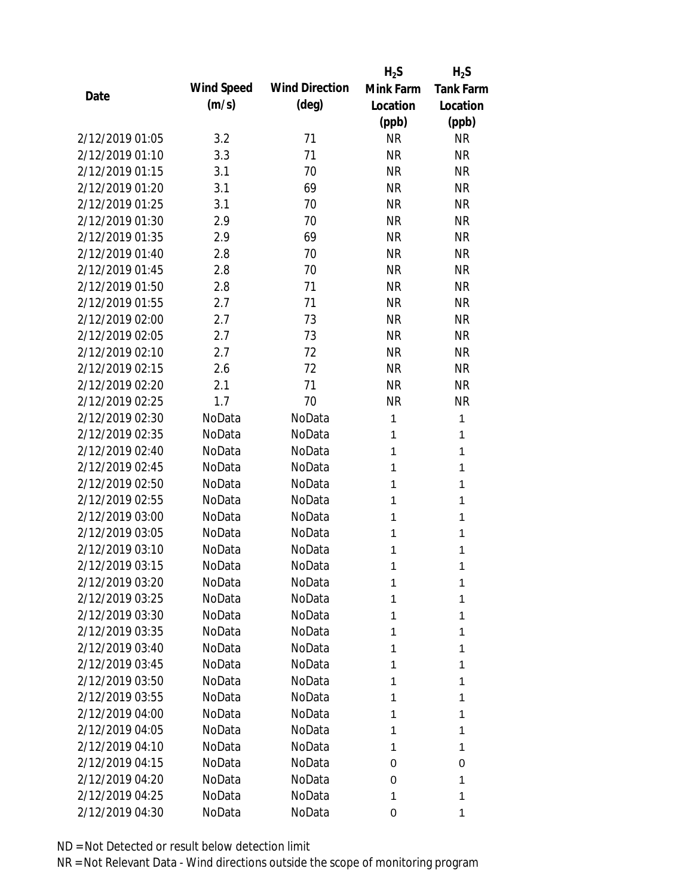|                 |            |                       | $H_2S$    | $H_2S$           |
|-----------------|------------|-----------------------|-----------|------------------|
|                 | Wind Speed | <b>Wind Direction</b> | Mink Farm | <b>Tank Farm</b> |
| Date            | (m/s)      | $(\text{deg})$        | Location  | Location         |
|                 |            |                       | (ppb)     | (ppb)            |
| 2/12/2019 01:05 | 3.2        | 71                    | <b>NR</b> | <b>NR</b>        |
| 2/12/2019 01:10 | 3.3        | 71                    | <b>NR</b> | <b>NR</b>        |
| 2/12/2019 01:15 | 3.1        | 70                    | <b>NR</b> | <b>NR</b>        |
| 2/12/2019 01:20 | 3.1        | 69                    | <b>NR</b> | <b>NR</b>        |
| 2/12/2019 01:25 | 3.1        | 70                    | <b>NR</b> | <b>NR</b>        |
| 2/12/2019 01:30 | 2.9        | 70                    | <b>NR</b> | <b>NR</b>        |
| 2/12/2019 01:35 | 2.9        | 69                    | <b>NR</b> | <b>NR</b>        |
| 2/12/2019 01:40 | 2.8        | 70                    | <b>NR</b> | <b>NR</b>        |
| 2/12/2019 01:45 | 2.8        | 70                    | <b>NR</b> | <b>NR</b>        |
| 2/12/2019 01:50 | 2.8        | 71                    | <b>NR</b> | <b>NR</b>        |
| 2/12/2019 01:55 | 2.7        | 71                    | <b>NR</b> | <b>NR</b>        |
| 2/12/2019 02:00 | 2.7        | 73                    | <b>NR</b> | <b>NR</b>        |
| 2/12/2019 02:05 | 2.7        | 73                    | <b>NR</b> | <b>NR</b>        |
| 2/12/2019 02:10 | 2.7        | 72                    | <b>NR</b> | <b>NR</b>        |
| 2/12/2019 02:15 | 2.6        | 72                    | <b>NR</b> | <b>NR</b>        |
| 2/12/2019 02:20 | 2.1        | 71                    | <b>NR</b> | <b>NR</b>        |
| 2/12/2019 02:25 | 1.7        | 70                    | <b>NR</b> | <b>NR</b>        |
| 2/12/2019 02:30 | NoData     | NoData                | 1         | 1                |
| 2/12/2019 02:35 | NoData     | NoData                | 1         | 1                |
| 2/12/2019 02:40 | NoData     | NoData                | 1         | 1                |
| 2/12/2019 02:45 | NoData     | NoData                | 1         | 1                |
| 2/12/2019 02:50 | NoData     | NoData                | 1         | 1                |
| 2/12/2019 02:55 | NoData     | NoData                | 1         | 1                |
| 2/12/2019 03:00 | NoData     | NoData                | 1         | 1                |
| 2/12/2019 03:05 | NoData     | NoData                | 1         | 1                |
| 2/12/2019 03:10 | NoData     | NoData                | 1         | 1                |
| 2/12/2019 03:15 | NoData     | NoData                | 1         | 1                |
| 2/12/2019 03:20 | NoData     | NoData                | 1         | 1                |
| 2/12/2019 03:25 | NoData     | NoData                | 1         | 1                |
| 2/12/2019 03:30 | NoData     | NoData                | 1         | 1                |
| 2/12/2019 03:35 | NoData     | NoData                | 1         | 1                |
| 2/12/2019 03:40 | NoData     | NoData                | 1         | 1                |
| 2/12/2019 03:45 | NoData     | NoData                | 1         | 1                |
| 2/12/2019 03:50 | NoData     | NoData                | 1         | 1                |
| 2/12/2019 03:55 | NoData     | NoData                | 1         | 1                |
| 2/12/2019 04:00 | NoData     | NoData                | 1         | 1                |
| 2/12/2019 04:05 | NoData     | NoData                | 1         | 1                |
| 2/12/2019 04:10 | NoData     | NoData                | 1         | 1                |
| 2/12/2019 04:15 | NoData     | NoData                | 0         | 0                |
| 2/12/2019 04:20 | NoData     | NoData                | 0         | 1                |
| 2/12/2019 04:25 | NoData     | NoData                | 1         | 1                |
| 2/12/2019 04:30 | NoData     | NoData                | 0         | 1                |
|                 |            |                       |           |                  |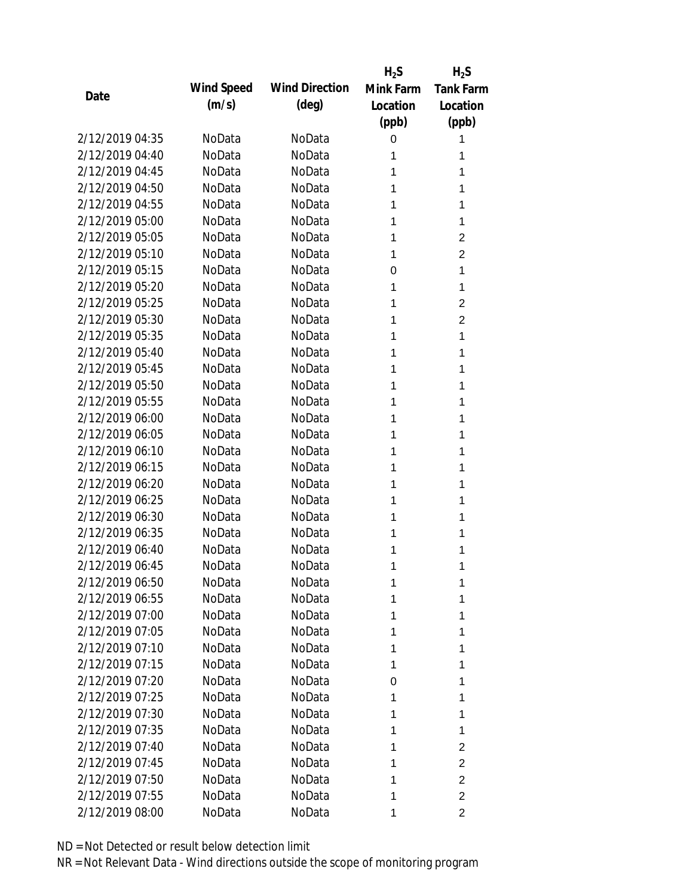|                 |            |                       | $H_2S$    | $H_2S$           |
|-----------------|------------|-----------------------|-----------|------------------|
| Date            | Wind Speed | <b>Wind Direction</b> | Mink Farm | <b>Tank Farm</b> |
|                 | (m/s)      | $(\text{deg})$        | Location  | Location         |
|                 |            |                       | (ppb)     | (ppb)            |
| 2/12/2019 04:35 | NoData     | NoData                | 0         | 1                |
| 2/12/2019 04:40 | NoData     | NoData                | 1         | 1                |
| 2/12/2019 04:45 | NoData     | NoData                | 1         | 1                |
| 2/12/2019 04:50 | NoData     | NoData                | 1         | 1                |
| 2/12/2019 04:55 | NoData     | NoData                | 1         | 1                |
| 2/12/2019 05:00 | NoData     | NoData                | 1         | 1                |
| 2/12/2019 05:05 | NoData     | NoData                | 1         | 2                |
| 2/12/2019 05:10 | NoData     | NoData                | 1         | $\overline{2}$   |
| 2/12/2019 05:15 | NoData     | NoData                | 0         | 1                |
| 2/12/2019 05:20 | NoData     | NoData                | 1         | 1                |
| 2/12/2019 05:25 | NoData     | NoData                | 1         | $\overline{2}$   |
| 2/12/2019 05:30 | NoData     | NoData                | 1         | $\overline{2}$   |
| 2/12/2019 05:35 | NoData     | NoData                | 1         | 1                |
| 2/12/2019 05:40 | NoData     | NoData                | 1         | 1                |
| 2/12/2019 05:45 | NoData     | NoData                | 1         | 1                |
| 2/12/2019 05:50 | NoData     | NoData                | 1         | 1                |
| 2/12/2019 05:55 | NoData     | NoData                | 1         | 1                |
| 2/12/2019 06:00 | NoData     | NoData                | 1         | 1                |
| 2/12/2019 06:05 | NoData     | NoData                | 1         | 1                |
| 2/12/2019 06:10 | NoData     | NoData                | 1         | 1                |
| 2/12/2019 06:15 | NoData     | NoData                | 1         | 1                |
| 2/12/2019 06:20 | NoData     | NoData                | 1         | 1                |
| 2/12/2019 06:25 | NoData     | NoData                | 1         | 1                |
| 2/12/2019 06:30 | NoData     | NoData                | 1         | 1                |
| 2/12/2019 06:35 | NoData     | NoData                | 1         | 1                |
| 2/12/2019 06:40 | NoData     | NoData                | 1         | 1                |
| 2/12/2019 06:45 | NoData     | NoData                | 1         | 1                |
| 2/12/2019 06:50 | NoData     | NoData                | 1         | 1                |
| 2/12/2019 06:55 | NoData     | NoData                | 1         | 1                |
| 2/12/2019 07:00 | NoData     | NoData                | 1         | 1                |
| 2/12/2019 07:05 | NoData     | NoData                | 1         | 1                |
| 2/12/2019 07:10 | NoData     | NoData                | 1         | 1                |
| 2/12/2019 07:15 | NoData     | NoData                | 1         | 1                |
| 2/12/2019 07:20 | NoData     | NoData                | 0         | 1                |
| 2/12/2019 07:25 | NoData     | NoData                | 1         | 1                |
| 2/12/2019 07:30 | NoData     | NoData                | 1         | 1                |
| 2/12/2019 07:35 | NoData     | NoData                | 1         | 1                |
| 2/12/2019 07:40 | NoData     | NoData                | 1         | 2                |
| 2/12/2019 07:45 | NoData     | NoData                | 1         | $\overline{2}$   |
| 2/12/2019 07:50 | NoData     | NoData                | 1         | $\overline{2}$   |
| 2/12/2019 07:55 | NoData     | NoData                | 1         | $\overline{2}$   |
| 2/12/2019 08:00 | NoData     | NoData                | 1         | $\overline{c}$   |
|                 |            |                       |           |                  |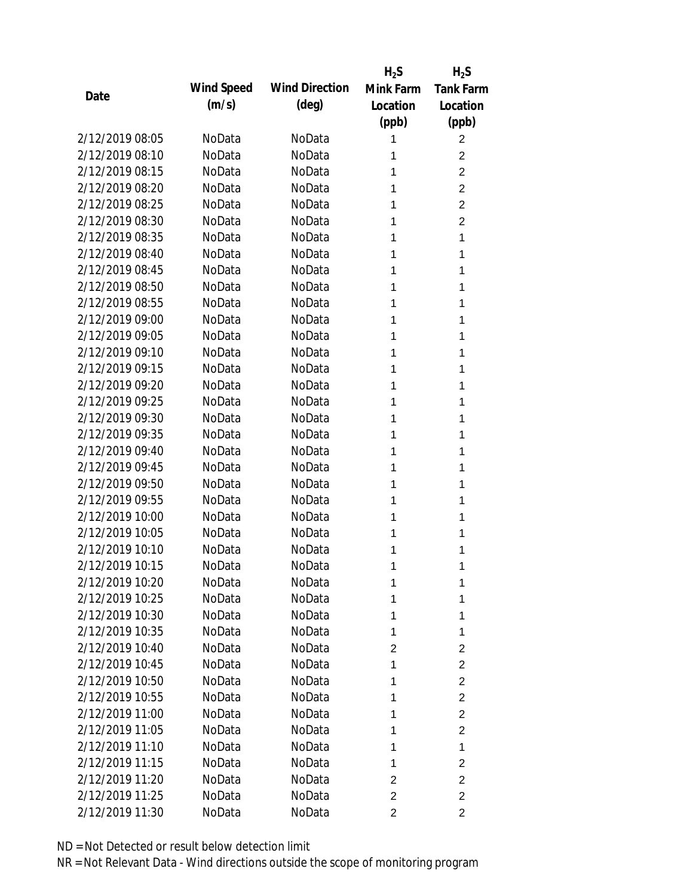|                 |            |                       | $H_2S$         | $H_2S$                  |
|-----------------|------------|-----------------------|----------------|-------------------------|
| Date            | Wind Speed | <b>Wind Direction</b> | Mink Farm      | <b>Tank Farm</b>        |
|                 | (m/s)      | $(\text{deg})$        | Location       | Location                |
|                 |            |                       | (ppb)          | (ppb)                   |
| 2/12/2019 08:05 | NoData     | NoData                | 1              | $\overline{2}$          |
| 2/12/2019 08:10 | NoData     | NoData                | 1              | 2                       |
| 2/12/2019 08:15 | NoData     | NoData                | 1              | $\overline{2}$          |
| 2/12/2019 08:20 | NoData     | NoData                | 1              | $\overline{2}$          |
| 2/12/2019 08:25 | NoData     | NoData                | 1              | $\overline{2}$          |
| 2/12/2019 08:30 | NoData     | NoData                | 1              | $\overline{2}$          |
| 2/12/2019 08:35 | NoData     | NoData                | 1              | 1                       |
| 2/12/2019 08:40 | NoData     | NoData                | 1              | 1                       |
| 2/12/2019 08:45 | NoData     | NoData                | 1              | 1                       |
| 2/12/2019 08:50 | NoData     | NoData                | 1              | 1                       |
| 2/12/2019 08:55 | NoData     | NoData                | 1              | 1                       |
| 2/12/2019 09:00 | NoData     | NoData                | 1              | 1                       |
| 2/12/2019 09:05 | NoData     | NoData                | 1              | 1                       |
| 2/12/2019 09:10 | NoData     | NoData                | 1              | 1                       |
| 2/12/2019 09:15 | NoData     | NoData                | 1              | 1                       |
| 2/12/2019 09:20 | NoData     | NoData                | 1              | 1                       |
| 2/12/2019 09:25 | NoData     | NoData                | 1              | 1                       |
| 2/12/2019 09:30 | NoData     | NoData                | 1              | 1                       |
| 2/12/2019 09:35 | NoData     | NoData                | 1              | 1                       |
| 2/12/2019 09:40 | NoData     | NoData                | 1              | 1                       |
| 2/12/2019 09:45 | NoData     | NoData                | 1              | 1                       |
| 2/12/2019 09:50 | NoData     | NoData                | 1              | 1                       |
| 2/12/2019 09:55 | NoData     | NoData                | 1              | 1                       |
| 2/12/2019 10:00 | NoData     | NoData                | 1              | 1                       |
| 2/12/2019 10:05 | NoData     | NoData                | 1              | 1                       |
| 2/12/2019 10:10 | NoData     | NoData                | 1              | 1                       |
| 2/12/2019 10:15 | NoData     | NoData                | 1              | 1                       |
| 2/12/2019 10:20 | NoData     | NoData                | 1              | 1                       |
| 2/12/2019 10:25 | NoData     | NoData                | 1              | 1                       |
| 2/12/2019 10:30 | NoData     | NoData                | 1              | 1                       |
| 2/12/2019 10:35 | NoData     | NoData                | 1              | 1                       |
| 2/12/2019 10:40 | NoData     | NoData                | 2              | $\overline{2}$          |
| 2/12/2019 10:45 | NoData     | NoData                | 1              | $\overline{2}$          |
| 2/12/2019 10:50 | NoData     | NoData                | 1              | $\overline{2}$          |
| 2/12/2019 10:55 | NoData     | NoData                | 1              | $\overline{2}$          |
| 2/12/2019 11:00 | NoData     | NoData                | 1              | $\overline{2}$          |
| 2/12/2019 11:05 | NoData     | NoData                | 1              | $\overline{2}$          |
| 2/12/2019 11:10 | NoData     | NoData                | 1              | 1                       |
| 2/12/2019 11:15 | NoData     | NoData                | 1              | $\overline{\mathbf{c}}$ |
| 2/12/2019 11:20 | NoData     | NoData                | $\overline{c}$ | $\overline{c}$          |
| 2/12/2019 11:25 | NoData     | NoData                | $\overline{2}$ | $\overline{2}$          |
| 2/12/2019 11:30 | NoData     | NoData                | 2              | 2                       |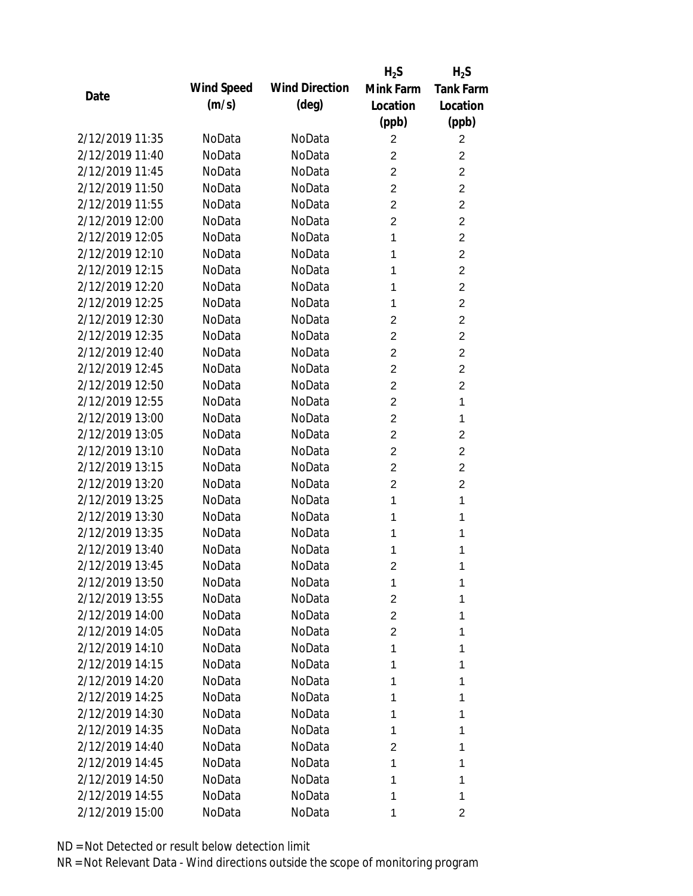|                 |            |                       | $H_2S$         | $H_2S$           |
|-----------------|------------|-----------------------|----------------|------------------|
| Date            | Wind Speed | <b>Wind Direction</b> | Mink Farm      | <b>Tank Farm</b> |
|                 | (m/s)      | $(\text{deg})$        | Location       | Location         |
|                 |            |                       | (ppb)          | (ppb)            |
| 2/12/2019 11:35 | NoData     | NoData                | 2              | $\overline{2}$   |
| 2/12/2019 11:40 | NoData     | NoData                | 2              | $\overline{2}$   |
| 2/12/2019 11:45 | NoData     | NoData                | $\overline{2}$ | $\overline{2}$   |
| 2/12/2019 11:50 | NoData     | NoData                | $\overline{2}$ | $\overline{2}$   |
| 2/12/2019 11:55 | NoData     | NoData                | $\overline{2}$ | $\overline{2}$   |
| 2/12/2019 12:00 | NoData     | NoData                | $\overline{c}$ | $\overline{2}$   |
| 2/12/2019 12:05 | NoData     | NoData                | 1              | $\overline{2}$   |
| 2/12/2019 12:10 | NoData     | NoData                | 1              | $\overline{2}$   |
| 2/12/2019 12:15 | NoData     | NoData                | 1              | $\overline{2}$   |
| 2/12/2019 12:20 | NoData     | NoData                | 1              | $\overline{2}$   |
| 2/12/2019 12:25 | NoData     | NoData                | 1              | $\overline{2}$   |
| 2/12/2019 12:30 | NoData     | NoData                | 2              | $\overline{2}$   |
| 2/12/2019 12:35 | NoData     | NoData                | $\overline{2}$ | $\overline{2}$   |
| 2/12/2019 12:40 | NoData     | NoData                | $\overline{c}$ | $\overline{2}$   |
| 2/12/2019 12:45 | NoData     | NoData                | $\overline{2}$ | $\overline{2}$   |
| 2/12/2019 12:50 | NoData     | NoData                | 2              | $\overline{2}$   |
| 2/12/2019 12:55 | NoData     | NoData                | $\overline{2}$ | 1                |
| 2/12/2019 13:00 | NoData     | NoData                | $\overline{2}$ | 1                |
| 2/12/2019 13:05 | NoData     | NoData                | $\overline{2}$ | $\overline{2}$   |
| 2/12/2019 13:10 | NoData     | NoData                | $\overline{2}$ | $\overline{2}$   |
| 2/12/2019 13:15 | NoData     | NoData                | $\overline{2}$ | $\overline{2}$   |
| 2/12/2019 13:20 | NoData     | NoData                | $\overline{2}$ | $\overline{2}$   |
| 2/12/2019 13:25 | NoData     | NoData                | 1              | 1                |
| 2/12/2019 13:30 | NoData     | NoData                | 1              | 1                |
| 2/12/2019 13:35 | NoData     | NoData                | 1              | 1                |
| 2/12/2019 13:40 | NoData     | NoData                | 1              | 1                |
| 2/12/2019 13:45 | NoData     | NoData                | 2              | 1                |
| 2/12/2019 13:50 | NoData     | NoData                | 1              | 1                |
| 2/12/2019 13:55 | NoData     | NoData                | 2              | 1                |
| 2/12/2019 14:00 | NoData     | NoData                | 2              | 1                |
| 2/12/2019 14:05 | NoData     | NoData                | 2              | 1                |
| 2/12/2019 14:10 | NoData     | NoData                | 1              | 1                |
| 2/12/2019 14:15 | NoData     | NoData                | 1              | 1                |
| 2/12/2019 14:20 | NoData     | NoData                | 1              | 1                |
| 2/12/2019 14:25 | NoData     | NoData                | 1              | 1                |
| 2/12/2019 14:30 | NoData     | NoData                | 1              | 1                |
| 2/12/2019 14:35 | NoData     | NoData                | 1              | 1                |
| 2/12/2019 14:40 | NoData     | NoData                | 2              | 1                |
| 2/12/2019 14:45 | NoData     | NoData                | 1              | 1                |
| 2/12/2019 14:50 | NoData     | NoData                | 1              | 1                |
| 2/12/2019 14:55 | NoData     | NoData                | 1              | 1                |
| 2/12/2019 15:00 | NoData     | NoData                | 1              | 2                |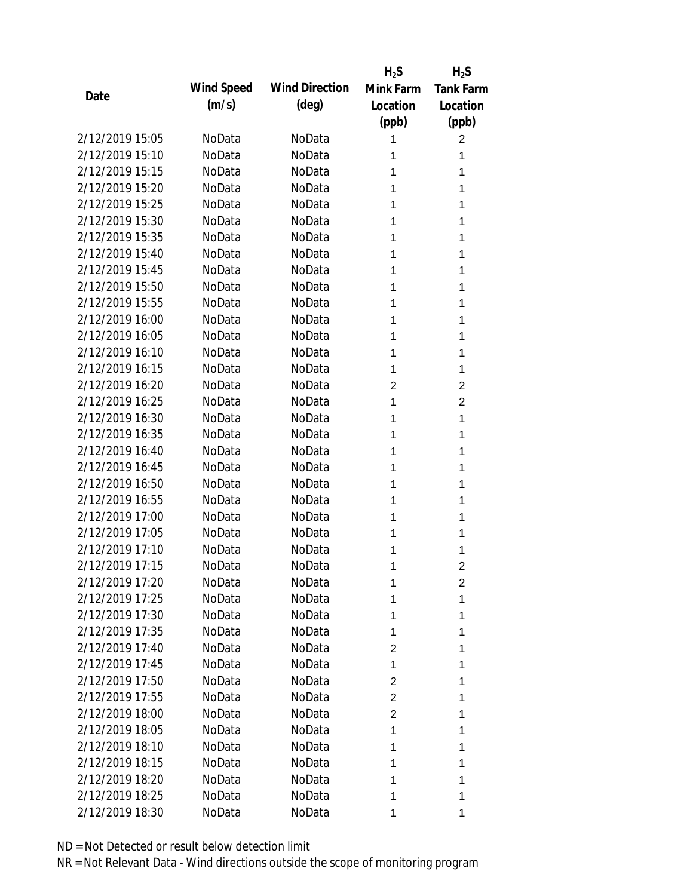|                 |            |                       | $H_2S$         | $H_2S$           |
|-----------------|------------|-----------------------|----------------|------------------|
| Date            | Wind Speed | <b>Wind Direction</b> | Mink Farm      | <b>Tank Farm</b> |
|                 | (m/s)      | $(\text{deg})$        | Location       | Location         |
|                 |            |                       | (ppb)          | (ppb)            |
| 2/12/2019 15:05 | NoData     | NoData                | 1              | 2                |
| 2/12/2019 15:10 | NoData     | NoData                | 1              | 1                |
| 2/12/2019 15:15 | NoData     | NoData                | 1              | 1                |
| 2/12/2019 15:20 | NoData     | NoData                | 1              | 1                |
| 2/12/2019 15:25 | NoData     | NoData                | 1              | 1                |
| 2/12/2019 15:30 | NoData     | NoData                | 1              | 1                |
| 2/12/2019 15:35 | NoData     | NoData                | 1              | 1                |
| 2/12/2019 15:40 | NoData     | NoData                | 1              | 1                |
| 2/12/2019 15:45 | NoData     | NoData                | 1              | 1                |
| 2/12/2019 15:50 | NoData     | NoData                | 1              | 1                |
| 2/12/2019 15:55 | NoData     | NoData                | 1              | 1                |
| 2/12/2019 16:00 | NoData     | NoData                | 1              | 1                |
| 2/12/2019 16:05 | NoData     | NoData                | 1              | 1                |
| 2/12/2019 16:10 | NoData     | NoData                | 1              | 1                |
| 2/12/2019 16:15 | NoData     | NoData                | 1              | 1                |
| 2/12/2019 16:20 | NoData     | NoData                | 2              | $\overline{2}$   |
| 2/12/2019 16:25 | NoData     | NoData                | 1              | $\overline{2}$   |
| 2/12/2019 16:30 | NoData     | NoData                | 1              | 1                |
| 2/12/2019 16:35 | NoData     | NoData                | 1              | 1                |
| 2/12/2019 16:40 | NoData     | NoData                | 1              | 1                |
| 2/12/2019 16:45 | NoData     | NoData                | 1              | 1                |
| 2/12/2019 16:50 | NoData     | NoData                | 1              | 1                |
| 2/12/2019 16:55 | NoData     | NoData                | 1              | 1                |
| 2/12/2019 17:00 | NoData     | NoData                | 1              | 1                |
| 2/12/2019 17:05 | NoData     | NoData                | 1              | 1                |
| 2/12/2019 17:10 | NoData     | NoData                | 1              | 1                |
| 2/12/2019 17:15 | NoData     | NoData                | 1              | $\overline{2}$   |
| 2/12/2019 17:20 | NoData     | NoData                | 1              | 2                |
| 2/12/2019 17:25 | NoData     | NoData                | 1              | 1                |
| 2/12/2019 17:30 | NoData     | NoData                | 1              | 1                |
| 2/12/2019 17:35 | NoData     | NoData                | 1              | 1                |
| 2/12/2019 17:40 | NoData     | NoData                | 2              | 1                |
| 2/12/2019 17:45 | NoData     | NoData                | 1              | 1                |
| 2/12/2019 17:50 | NoData     | NoData                | 2              | 1                |
| 2/12/2019 17:55 | NoData     | NoData                | 2              | 1                |
| 2/12/2019 18:00 | NoData     | NoData                | $\overline{2}$ | 1                |
| 2/12/2019 18:05 | NoData     | NoData                | 1              | 1                |
| 2/12/2019 18:10 | NoData     | NoData                | 1              | 1                |
| 2/12/2019 18:15 | NoData     | NoData                | 1              | 1                |
| 2/12/2019 18:20 | NoData     | NoData                | 1              | 1                |
| 2/12/2019 18:25 | NoData     | NoData                | 1              | 1                |
| 2/12/2019 18:30 | NoData     | NoData                | 1              | 1                |
|                 |            |                       |                |                  |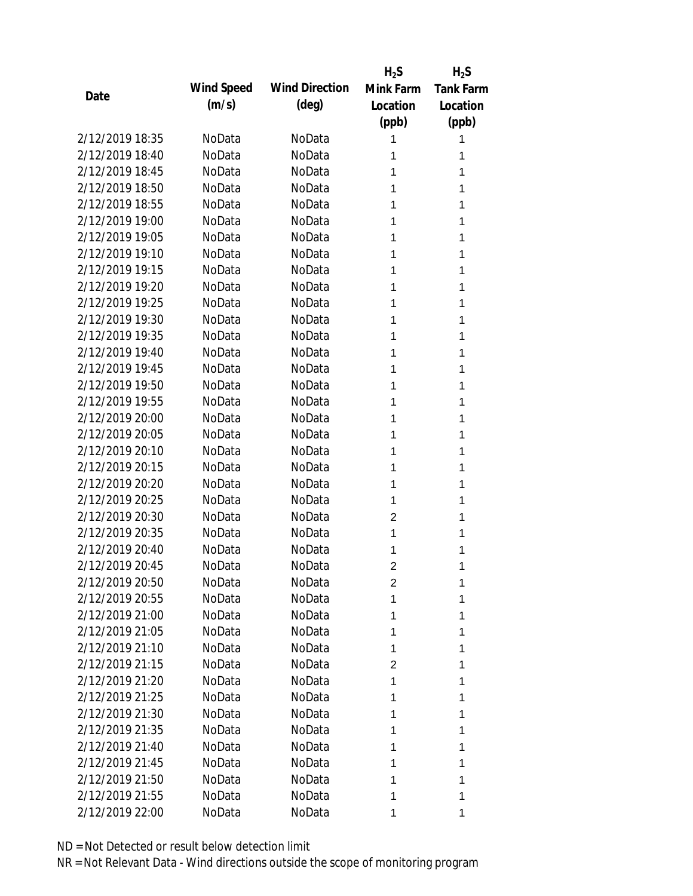|                 |            |                       | $H_2S$         | $H_2S$           |
|-----------------|------------|-----------------------|----------------|------------------|
| Date            | Wind Speed | <b>Wind Direction</b> | Mink Farm      | <b>Tank Farm</b> |
|                 | (m/s)      | $(\text{deg})$        | Location       | Location         |
|                 |            |                       | (ppb)          | (ppb)            |
| 2/12/2019 18:35 | NoData     | NoData                | 1              | 1                |
| 2/12/2019 18:40 | NoData     | NoData                | 1              | 1                |
| 2/12/2019 18:45 | NoData     | NoData                | 1              | 1                |
| 2/12/2019 18:50 | NoData     | NoData                | 1              | 1                |
| 2/12/2019 18:55 | NoData     | NoData                | 1              | 1                |
| 2/12/2019 19:00 | NoData     | NoData                | 1              | 1                |
| 2/12/2019 19:05 | NoData     | NoData                | 1              | 1                |
| 2/12/2019 19:10 | NoData     | NoData                | 1              | 1                |
| 2/12/2019 19:15 | NoData     | NoData                | 1              | 1                |
| 2/12/2019 19:20 | NoData     | NoData                | 1              | 1                |
| 2/12/2019 19:25 | NoData     | NoData                | 1              | 1                |
| 2/12/2019 19:30 | NoData     | NoData                | 1              | 1                |
| 2/12/2019 19:35 | NoData     | NoData                | 1              | 1                |
| 2/12/2019 19:40 | NoData     | NoData                | 1              | 1                |
| 2/12/2019 19:45 | NoData     | NoData                | 1              | 1                |
| 2/12/2019 19:50 | NoData     | NoData                | 1              | 1                |
| 2/12/2019 19:55 | NoData     | NoData                | 1              | 1                |
| 2/12/2019 20:00 | NoData     | NoData                | 1              | 1                |
| 2/12/2019 20:05 | NoData     | NoData                | 1              | 1                |
| 2/12/2019 20:10 | NoData     | NoData                | 1              | 1                |
| 2/12/2019 20:15 | NoData     | NoData                | 1              | 1                |
| 2/12/2019 20:20 | NoData     | NoData                | 1              | 1                |
| 2/12/2019 20:25 | NoData     | NoData                | 1              | 1                |
| 2/12/2019 20:30 | NoData     | NoData                | 2              | 1                |
| 2/12/2019 20:35 | NoData     | NoData                | 1              | 1                |
| 2/12/2019 20:40 | NoData     | NoData                | 1              | 1                |
| 2/12/2019 20:45 | NoData     | NoData                | $\overline{2}$ | 1                |
| 2/12/2019 20:50 | NoData     | NoData                | 2              | 1                |
| 2/12/2019 20:55 | NoData     | NoData                | 1              | 1                |
| 2/12/2019 21:00 | NoData     | NoData                | 1              | 1                |
| 2/12/2019 21:05 | NoData     | NoData                | 1              | 1                |
| 2/12/2019 21:10 | NoData     | NoData                | 1              | 1                |
| 2/12/2019 21:15 | NoData     | NoData                | 2              | 1                |
| 2/12/2019 21:20 | NoData     | NoData                | 1              | 1                |
| 2/12/2019 21:25 | NoData     | NoData                | 1              | 1                |
| 2/12/2019 21:30 | NoData     | NoData                | 1              | 1                |
| 2/12/2019 21:35 | NoData     | NoData                | 1              | 1                |
| 2/12/2019 21:40 | NoData     | NoData                | 1              | 1                |
| 2/12/2019 21:45 | NoData     | NoData                | 1              | 1                |
| 2/12/2019 21:50 | NoData     | NoData                | 1              | 1                |
| 2/12/2019 21:55 | NoData     | NoData                | 1              | 1                |
| 2/12/2019 22:00 | NoData     | NoData                | 1              | 1                |
|                 |            |                       |                |                  |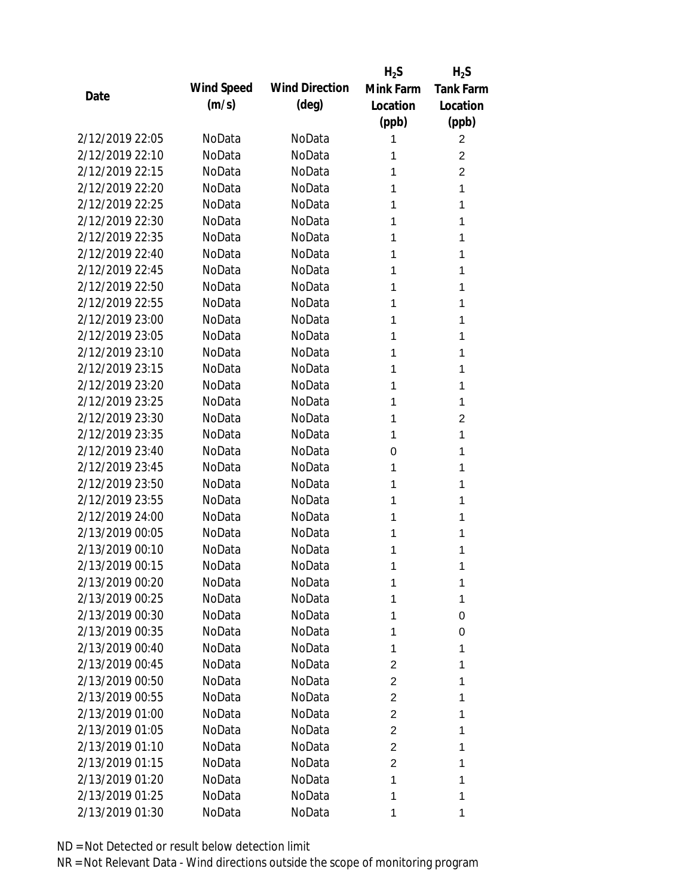|                 |            |                       | $H_2S$         | $H_2S$           |
|-----------------|------------|-----------------------|----------------|------------------|
| Date            | Wind Speed | <b>Wind Direction</b> | Mink Farm      | <b>Tank Farm</b> |
|                 | (m/s)      | $(\text{deg})$        | Location       | Location         |
|                 |            |                       | (ppb)          | (ppb)            |
| 2/12/2019 22:05 | NoData     | NoData                | 1              | $\overline{2}$   |
| 2/12/2019 22:10 | NoData     | NoData                | 1              | 2                |
| 2/12/2019 22:15 | NoData     | NoData                | 1              | $\overline{2}$   |
| 2/12/2019 22:20 | NoData     | NoData                | 1              | 1                |
| 2/12/2019 22:25 | NoData     | NoData                | 1              | 1                |
| 2/12/2019 22:30 | NoData     | NoData                | 1              | 1                |
| 2/12/2019 22:35 | NoData     | NoData                | 1              | 1                |
| 2/12/2019 22:40 | NoData     | NoData                | 1              | 1                |
| 2/12/2019 22:45 | NoData     | NoData                | 1              | 1                |
| 2/12/2019 22:50 | NoData     | NoData                | 1              | 1                |
| 2/12/2019 22:55 | NoData     | NoData                | 1              | 1                |
| 2/12/2019 23:00 | NoData     | NoData                | 1              | 1                |
| 2/12/2019 23:05 | NoData     | NoData                | 1              | 1                |
| 2/12/2019 23:10 | NoData     | NoData                | 1              | 1                |
| 2/12/2019 23:15 | NoData     | NoData                | 1              | 1                |
| 2/12/2019 23:20 | NoData     | NoData                | 1              | 1                |
| 2/12/2019 23:25 | NoData     | NoData                | 1              | 1                |
| 2/12/2019 23:30 | NoData     | NoData                | 1              | $\overline{2}$   |
| 2/12/2019 23:35 | NoData     | NoData                | 1              | 1                |
| 2/12/2019 23:40 | NoData     | NoData                | 0              | 1                |
| 2/12/2019 23:45 | NoData     | NoData                | 1              | 1                |
| 2/12/2019 23:50 | NoData     | NoData                | 1              | 1                |
| 2/12/2019 23:55 | NoData     | NoData                | 1              | 1                |
| 2/12/2019 24:00 | NoData     | NoData                | 1              | 1                |
| 2/13/2019 00:05 | NoData     | NoData                | 1              | 1                |
| 2/13/2019 00:10 | NoData     | NoData                | 1              | 1                |
| 2/13/2019 00:15 | NoData     | NoData                | 1              | 1                |
| 2/13/2019 00:20 | NoData     | NoData                | 1              | 1                |
| 2/13/2019 00:25 | NoData     | NoData                | 1              | 1                |
| 2/13/2019 00:30 | NoData     | NoData                | 1              | 0                |
| 2/13/2019 00:35 | NoData     | NoData                | 1              | 0                |
| 2/13/2019 00:40 | NoData     | NoData                | 1              | 1                |
| 2/13/2019 00:45 | NoData     | NoData                | 2              | 1                |
| 2/13/2019 00:50 | NoData     | NoData                | $\overline{2}$ | 1                |
| 2/13/2019 00:55 | NoData     | NoData                | 2              | 1                |
| 2/13/2019 01:00 | NoData     |                       | $\overline{2}$ |                  |
| 2/13/2019 01:05 |            | NoData                |                | 1                |
|                 | NoData     | NoData                | $\overline{2}$ | 1                |
| 2/13/2019 01:10 | NoData     | NoData                | $\overline{2}$ | 1                |
| 2/13/2019 01:15 | NoData     | NoData                | $\overline{2}$ | 1                |
| 2/13/2019 01:20 | NoData     | NoData                | 1              | 1                |
| 2/13/2019 01:25 | NoData     | NoData                | 1              | 1                |
| 2/13/2019 01:30 | NoData     | NoData                | 1              | 1                |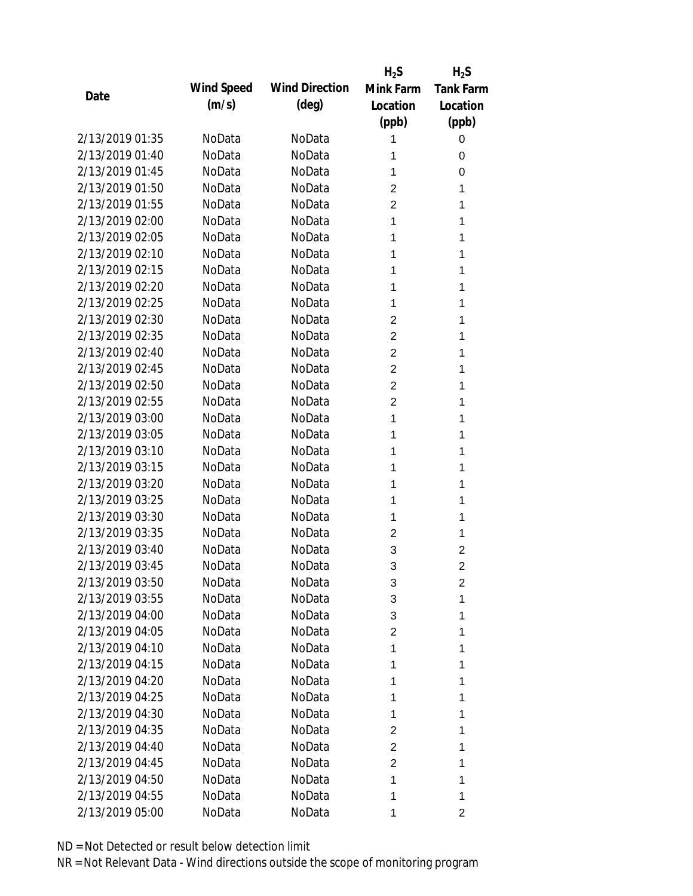|                 |            |                       | $H_2S$         | $H_2S$           |
|-----------------|------------|-----------------------|----------------|------------------|
| Date            | Wind Speed | <b>Wind Direction</b> | Mink Farm      | <b>Tank Farm</b> |
|                 | (m/s)      | $(\text{deg})$        | Location       | Location         |
|                 |            |                       | (ppb)          | (ppb)            |
| 2/13/2019 01:35 | NoData     | NoData                | 1              | 0                |
| 2/13/2019 01:40 | NoData     | NoData                | 1              | 0                |
| 2/13/2019 01:45 | NoData     | NoData                | 1              | 0                |
| 2/13/2019 01:50 | NoData     | NoData                | 2              | 1                |
| 2/13/2019 01:55 | NoData     | NoData                | $\overline{2}$ | 1                |
| 2/13/2019 02:00 | NoData     | NoData                | 1              | 1                |
| 2/13/2019 02:05 | NoData     | NoData                | 1              | 1                |
| 2/13/2019 02:10 | NoData     | NoData                | 1              | 1                |
| 2/13/2019 02:15 | NoData     | NoData                | 1              | 1                |
| 2/13/2019 02:20 | NoData     | NoData                | 1              | 1                |
| 2/13/2019 02:25 | NoData     | NoData                | 1              | 1                |
| 2/13/2019 02:30 | NoData     | NoData                | 2              | 1                |
| 2/13/2019 02:35 | NoData     | NoData                | $\overline{2}$ | 1                |
| 2/13/2019 02:40 | NoData     | NoData                | $\overline{2}$ | 1                |
| 2/13/2019 02:45 | NoData     | NoData                | $\overline{2}$ | 1                |
| 2/13/2019 02:50 | NoData     | NoData                | $\overline{2}$ | 1                |
| 2/13/2019 02:55 | NoData     | NoData                | $\overline{2}$ | 1                |
| 2/13/2019 03:00 | NoData     | NoData                | 1              | 1                |
| 2/13/2019 03:05 | NoData     | NoData                | 1              | 1                |
| 2/13/2019 03:10 | NoData     | NoData                | 1              | 1                |
| 2/13/2019 03:15 | NoData     | NoData                | 1              | 1                |
| 2/13/2019 03:20 | NoData     | NoData                | 1              | 1                |
| 2/13/2019 03:25 | NoData     | NoData                | 1              | 1                |
| 2/13/2019 03:30 | NoData     | NoData                | 1              | 1                |
| 2/13/2019 03:35 | NoData     | NoData                | 2              | 1                |
| 2/13/2019 03:40 | NoData     | NoData                | 3              | 2                |
| 2/13/2019 03:45 | NoData     | NoData                | 3              | $\overline{2}$   |
| 2/13/2019 03:50 | NoData     | NoData                | 3              | 2                |
| 2/13/2019 03:55 | NoData     | NoData                | 3              | 1                |
| 2/13/2019 04:00 | NoData     | NoData                | 3              | 1                |
| 2/13/2019 04:05 | NoData     | NoData                | 2              | 1                |
| 2/13/2019 04:10 | NoData     | NoData                | 1              | 1                |
| 2/13/2019 04:15 | NoData     | NoData                | 1              | 1                |
| 2/13/2019 04:20 | NoData     | NoData                | 1              | 1                |
| 2/13/2019 04:25 | NoData     | NoData                | 1              | 1                |
| 2/13/2019 04:30 | NoData     | NoData                | 1              | 1                |
| 2/13/2019 04:35 | NoData     | NoData                | $\overline{c}$ | 1                |
| 2/13/2019 04:40 | NoData     | NoData                | 2              | 1                |
| 2/13/2019 04:45 | NoData     | NoData                | $\overline{2}$ | 1                |
| 2/13/2019 04:50 | NoData     | NoData                | 1              | 1                |
| 2/13/2019 04:55 | NoData     | NoData                | 1              | 1                |
| 2/13/2019 05:00 | NoData     | NoData                | 1              | 2                |
|                 |            |                       |                |                  |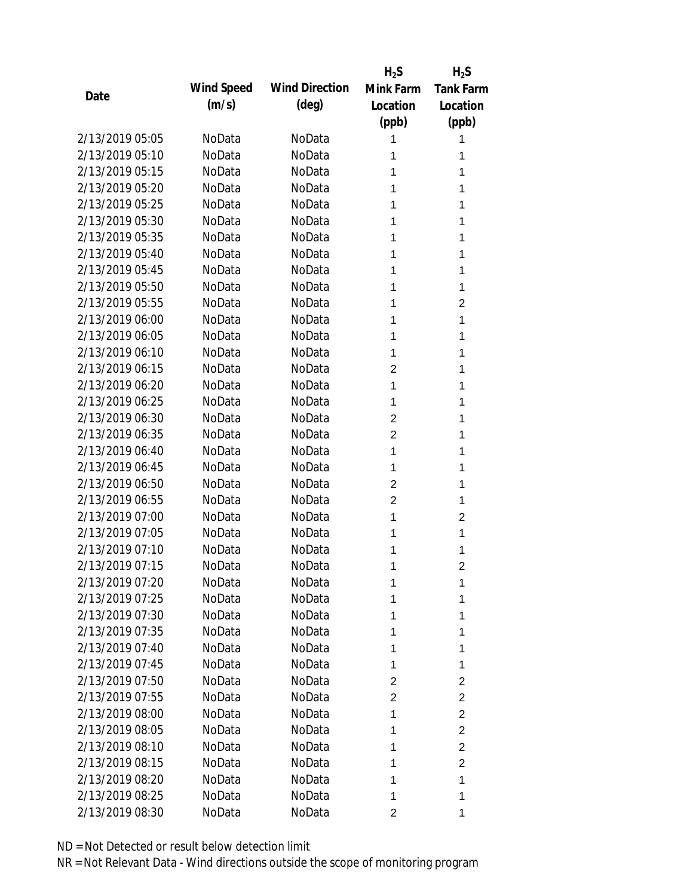|                 |            |                       | $H_2S$         | $H_2S$                  |
|-----------------|------------|-----------------------|----------------|-------------------------|
| Date            | Wind Speed | <b>Wind Direction</b> | Mink Farm      | <b>Tank Farm</b>        |
|                 | (m/s)      | $(\text{deg})$        | Location       | Location                |
|                 |            |                       | (ppb)          | (ppb)                   |
| 2/13/2019 05:05 | NoData     | NoData                | 1              | 1                       |
| 2/13/2019 05:10 | NoData     | NoData                | 1              | 1                       |
| 2/13/2019 05:15 | NoData     | NoData                | 1              | 1                       |
| 2/13/2019 05:20 | NoData     | NoData                | 1              | 1                       |
| 2/13/2019 05:25 | NoData     | NoData                | 1              | 1                       |
| 2/13/2019 05:30 | NoData     | NoData                | 1              | 1                       |
| 2/13/2019 05:35 | NoData     | NoData                | 1              | 1                       |
| 2/13/2019 05:40 | NoData     | NoData                | 1              | 1                       |
| 2/13/2019 05:45 | NoData     | NoData                | 1              | 1                       |
| 2/13/2019 05:50 | NoData     | NoData                | 1              | 1                       |
| 2/13/2019 05:55 | NoData     | NoData                | 1              | 2                       |
| 2/13/2019 06:00 | NoData     | NoData                | 1              | 1                       |
| 2/13/2019 06:05 | NoData     | NoData                | 1              | 1                       |
| 2/13/2019 06:10 | NoData     | NoData                | 1              | 1                       |
| 2/13/2019 06:15 | NoData     | NoData                | $\overline{2}$ | 1                       |
| 2/13/2019 06:20 | NoData     | NoData                | 1              | 1                       |
| 2/13/2019 06:25 | NoData     | NoData                | 1              | 1                       |
| 2/13/2019 06:30 | NoData     | NoData                | $\overline{2}$ | 1                       |
| 2/13/2019 06:35 | NoData     | NoData                | $\overline{2}$ | 1                       |
| 2/13/2019 06:40 | NoData     | NoData                | 1              | 1                       |
| 2/13/2019 06:45 | NoData     | NoData                | 1              | 1                       |
| 2/13/2019 06:50 | NoData     | NoData                | $\overline{2}$ | 1                       |
| 2/13/2019 06:55 | NoData     | NoData                | $\overline{2}$ | 1                       |
| 2/13/2019 07:00 | NoData     | NoData                | 1              | $\overline{2}$          |
| 2/13/2019 07:05 | NoData     | NoData                | 1              | 1                       |
| 2/13/2019 07:10 | NoData     | NoData                | 1              | 1                       |
| 2/13/2019 07:15 | NoData     | NoData                | 1              | $\overline{2}$          |
| 2/13/2019 07:20 | NoData     | NoData                | 1              | 1                       |
| 2/13/2019 07:25 | NoData     | NoData                | 1              | 1                       |
| 2/13/2019 07:30 | NoData     | NoData                | 1              | 1                       |
| 2/13/2019 07:35 | NoData     | NoData                | 1              | 1                       |
| 2/13/2019 07:40 | NoData     | NoData                | 1              | 1                       |
| 2/13/2019 07:45 | NoData     | NoData                | 1              | 1                       |
| 2/13/2019 07:50 | NoData     | NoData                | 2              | $\overline{\mathbf{c}}$ |
| 2/13/2019 07:55 | NoData     | NoData                | 2              | $\overline{2}$          |
| 2/13/2019 08:00 | NoData     | NoData                | 1              | $\overline{2}$          |
| 2/13/2019 08:05 | NoData     | NoData                | 1              | $\overline{c}$          |
| 2/13/2019 08:10 | NoData     | NoData                | 1              | $\overline{2}$          |
| 2/13/2019 08:15 | NoData     | NoData                | 1              | $\overline{c}$          |
| 2/13/2019 08:20 | NoData     | NoData                | 1              | 1                       |
| 2/13/2019 08:25 | NoData     | NoData                | 1              | 1                       |
| 2/13/2019 08:30 | NoData     | NoData                | 2              | 1                       |
|                 |            |                       |                |                         |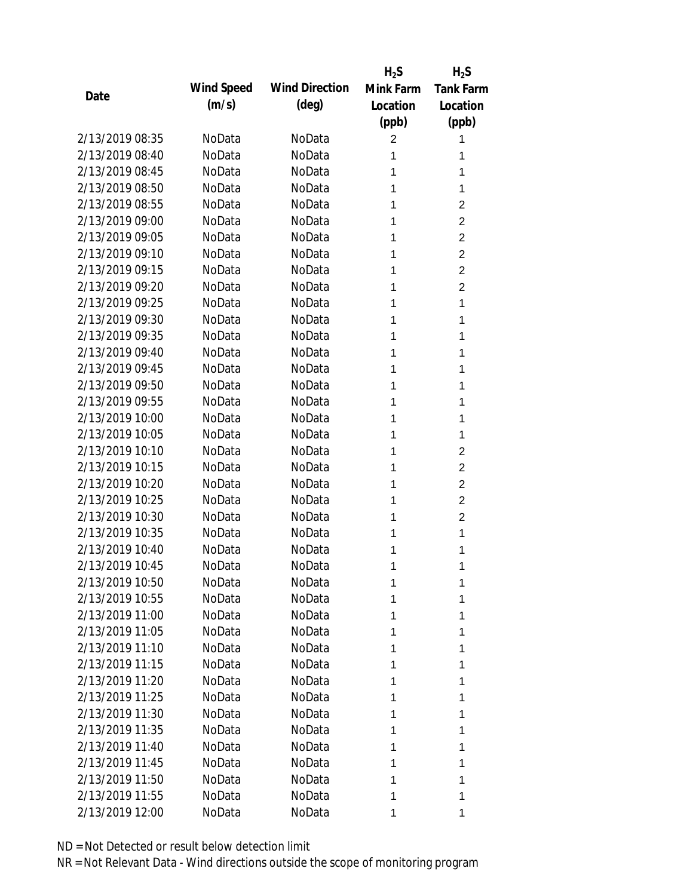|                 |            |                       | $H_2S$         | $H_2S$           |
|-----------------|------------|-----------------------|----------------|------------------|
| Date            | Wind Speed | <b>Wind Direction</b> | Mink Farm      | <b>Tank Farm</b> |
|                 | (m/s)      | $(\text{deg})$        | Location       | Location         |
|                 |            |                       | (ppb)          | (ppb)            |
| 2/13/2019 08:35 | NoData     | NoData                | $\overline{c}$ | 1                |
| 2/13/2019 08:40 | NoData     | NoData                | 1              | 1                |
| 2/13/2019 08:45 | NoData     | NoData                | 1              | 1                |
| 2/13/2019 08:50 | NoData     | NoData                | 1              | 1                |
| 2/13/2019 08:55 | NoData     | NoData                | 1              | $\overline{2}$   |
| 2/13/2019 09:00 | NoData     | NoData                | 1              | $\overline{c}$   |
| 2/13/2019 09:05 | NoData     | NoData                | 1              | $\overline{2}$   |
| 2/13/2019 09:10 | NoData     | NoData                | 1              | $\overline{2}$   |
| 2/13/2019 09:15 | NoData     | NoData                | 1              | $\overline{2}$   |
| 2/13/2019 09:20 | NoData     | NoData                | 1              | $\overline{2}$   |
| 2/13/2019 09:25 | NoData     | NoData                | 1              | 1                |
| 2/13/2019 09:30 | NoData     | NoData                | 1              | 1                |
| 2/13/2019 09:35 | NoData     | NoData                | 1              | 1                |
| 2/13/2019 09:40 | NoData     | NoData                | 1              | 1                |
| 2/13/2019 09:45 | NoData     | NoData                | 1              | 1                |
| 2/13/2019 09:50 | NoData     | NoData                | 1              | 1                |
| 2/13/2019 09:55 | NoData     | NoData                | 1              | 1                |
| 2/13/2019 10:00 | NoData     | NoData                | 1              | 1                |
| 2/13/2019 10:05 | NoData     | NoData                | 1              | 1                |
| 2/13/2019 10:10 | NoData     | NoData                | 1              | $\overline{c}$   |
| 2/13/2019 10:15 | NoData     | NoData                | 1              | $\overline{2}$   |
| 2/13/2019 10:20 | NoData     | NoData                | 1              | $\overline{2}$   |
| 2/13/2019 10:25 | NoData     | NoData                | 1              | $\overline{2}$   |
| 2/13/2019 10:30 | NoData     | NoData                | 1              | $\overline{2}$   |
| 2/13/2019 10:35 | NoData     | NoData                | 1              | 1                |
| 2/13/2019 10:40 | NoData     | NoData                | 1              | 1                |
| 2/13/2019 10:45 | NoData     | NoData                | 1              | 1                |
| 2/13/2019 10:50 | NoData     | NoData                | 1              | 1                |
| 2/13/2019 10:55 | NoData     | NoData                | 1              | 1                |
| 2/13/2019 11:00 | NoData     | NoData                | 1              | 1                |
| 2/13/2019 11:05 | NoData     | NoData                | 1              | 1                |
| 2/13/2019 11:10 | NoData     | NoData                | 1              | 1                |
| 2/13/2019 11:15 | NoData     | NoData                | 1              | 1                |
| 2/13/2019 11:20 | NoData     | NoData                | 1              | 1                |
| 2/13/2019 11:25 | NoData     | NoData                | 1              | 1                |
| 2/13/2019 11:30 | NoData     | NoData                | 1              | 1                |
| 2/13/2019 11:35 | NoData     | NoData                | 1              | 1                |
| 2/13/2019 11:40 | NoData     | NoData                | 1              | 1                |
| 2/13/2019 11:45 | NoData     | NoData                | 1              | 1                |
| 2/13/2019 11:50 | NoData     | NoData                | 1              | 1                |
| 2/13/2019 11:55 | NoData     | NoData                | 1              | 1                |
| 2/13/2019 12:00 | NoData     | NoData                | 1              | 1                |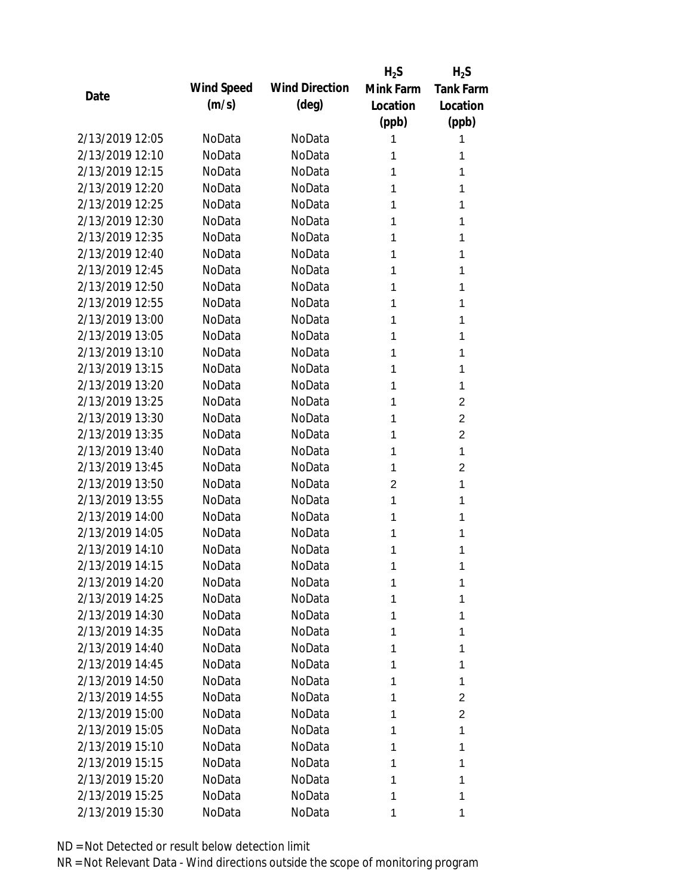|                 |            |                       | $H_2S$         | $H_2S$           |
|-----------------|------------|-----------------------|----------------|------------------|
|                 | Wind Speed | <b>Wind Direction</b> | Mink Farm      | <b>Tank Farm</b> |
| Date            | (m/s)      | $(\text{deg})$        | Location       | Location         |
|                 |            |                       | (ppb)          | (ppb)            |
| 2/13/2019 12:05 | NoData     | NoData                | 1              | 1                |
| 2/13/2019 12:10 | NoData     | NoData                | 1              | 1                |
| 2/13/2019 12:15 | NoData     | NoData                | 1              | 1                |
| 2/13/2019 12:20 | NoData     | NoData                | 1              | 1                |
| 2/13/2019 12:25 | NoData     | NoData                | 1              | 1                |
| 2/13/2019 12:30 | NoData     | NoData                | 1              | 1                |
| 2/13/2019 12:35 | NoData     | NoData                | 1              | 1                |
| 2/13/2019 12:40 | NoData     | NoData                | 1              | 1                |
| 2/13/2019 12:45 | NoData     | NoData                | 1              | 1                |
| 2/13/2019 12:50 | NoData     | NoData                | 1              | 1                |
| 2/13/2019 12:55 | NoData     | NoData                | 1              | 1                |
| 2/13/2019 13:00 | NoData     | NoData                | 1              | 1                |
| 2/13/2019 13:05 | NoData     | NoData                | 1              | 1                |
| 2/13/2019 13:10 | NoData     | NoData                | 1              | 1                |
| 2/13/2019 13:15 | NoData     | NoData                | 1              | 1                |
| 2/13/2019 13:20 | NoData     | NoData                | 1              | 1                |
| 2/13/2019 13:25 | NoData     | NoData                | 1              | $\overline{2}$   |
| 2/13/2019 13:30 | NoData     | NoData                | 1              | $\overline{2}$   |
| 2/13/2019 13:35 | NoData     | NoData                | 1              | $\overline{c}$   |
| 2/13/2019 13:40 | NoData     | NoData                | 1              | 1                |
| 2/13/2019 13:45 | NoData     | NoData                | 1              | $\overline{2}$   |
| 2/13/2019 13:50 | NoData     | NoData                | $\overline{c}$ | 1                |
| 2/13/2019 13:55 | NoData     | NoData                | 1              | 1                |
| 2/13/2019 14:00 | NoData     | NoData                | 1              | 1                |
| 2/13/2019 14:05 | NoData     | NoData                | 1              | 1                |
| 2/13/2019 14:10 | NoData     | NoData                | 1              | 1                |
| 2/13/2019 14:15 | NoData     | NoData                | 1              | 1                |
| 2/13/2019 14:20 | NoData     | NoData                | 1              | 1                |
| 2/13/2019 14:25 | NoData     | NoData                | 1              | 1                |
| 2/13/2019 14:30 | NoData     | NoData                | 1              | 1                |
| 2/13/2019 14:35 | NoData     | NoData                | 1              | 1                |
| 2/13/2019 14:40 | NoData     | NoData                | 1              | 1                |
| 2/13/2019 14:45 | NoData     | NoData                | 1              | 1                |
| 2/13/2019 14:50 | NoData     | NoData                | 1              | 1                |
| 2/13/2019 14:55 | NoData     | NoData                | 1              | $\overline{c}$   |
| 2/13/2019 15:00 | NoData     | NoData                | 1              | $\overline{2}$   |
| 2/13/2019 15:05 | NoData     | NoData                | 1              | 1                |
| 2/13/2019 15:10 | NoData     | NoData                | 1              | 1                |
| 2/13/2019 15:15 | NoData     | NoData                | 1              | 1                |
| 2/13/2019 15:20 | NoData     | NoData                | 1              | 1                |
| 2/13/2019 15:25 | NoData     | NoData                | 1              | 1                |
|                 |            |                       |                |                  |
| 2/13/2019 15:30 | NoData     | NoData                | 1              | 1                |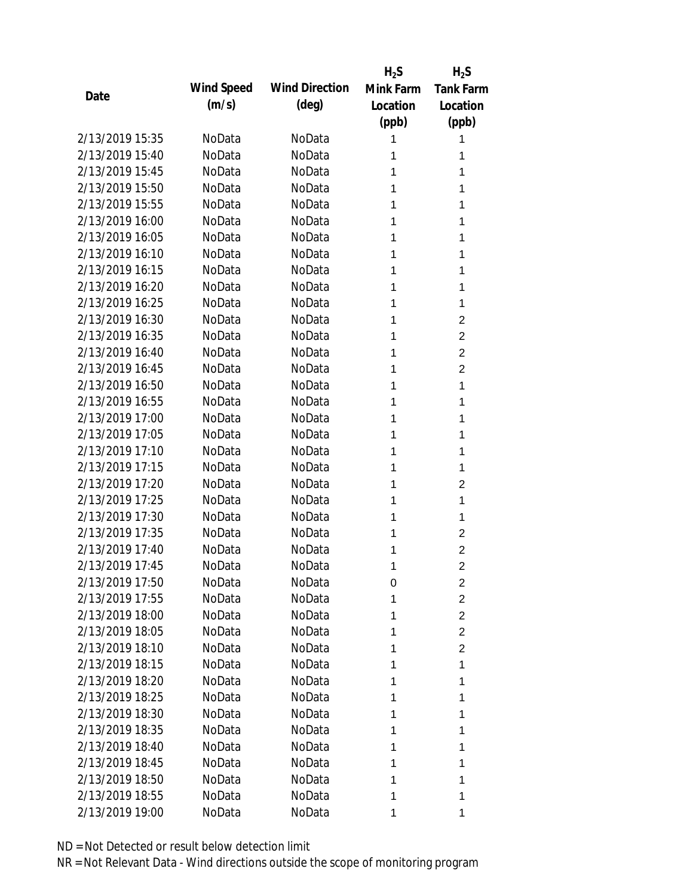|                 |            |                       | $H_2S$    | $H_2S$           |
|-----------------|------------|-----------------------|-----------|------------------|
| Date            | Wind Speed | <b>Wind Direction</b> | Mink Farm | <b>Tank Farm</b> |
|                 | (m/s)      | $(\text{deg})$        | Location  | Location         |
|                 |            |                       | (ppb)     | (ppb)            |
| 2/13/2019 15:35 | NoData     | NoData                | 1         | 1                |
| 2/13/2019 15:40 | NoData     | NoData                | 1         | 1                |
| 2/13/2019 15:45 | NoData     | NoData                | 1         | 1                |
| 2/13/2019 15:50 | NoData     | NoData                | 1         | 1                |
| 2/13/2019 15:55 | NoData     | NoData                | 1         | 1                |
| 2/13/2019 16:00 | NoData     | NoData                | 1         | 1                |
| 2/13/2019 16:05 | NoData     | NoData                | 1         | 1                |
| 2/13/2019 16:10 | NoData     | NoData                | 1         | 1                |
| 2/13/2019 16:15 | NoData     | NoData                | 1         | 1                |
| 2/13/2019 16:20 | NoData     | NoData                | 1         | 1                |
| 2/13/2019 16:25 | NoData     | NoData                | 1         | 1                |
| 2/13/2019 16:30 | NoData     | NoData                | 1         | $\overline{2}$   |
| 2/13/2019 16:35 | NoData     | NoData                | 1         | $\overline{2}$   |
| 2/13/2019 16:40 | NoData     | NoData                | 1         | $\overline{2}$   |
| 2/13/2019 16:45 | NoData     | NoData                | 1         | $\overline{2}$   |
| 2/13/2019 16:50 | NoData     | NoData                | 1         | 1                |
| 2/13/2019 16:55 | NoData     | NoData                | 1         | 1                |
| 2/13/2019 17:00 | NoData     | NoData                | 1         | 1                |
| 2/13/2019 17:05 | NoData     | NoData                | 1         | 1                |
| 2/13/2019 17:10 | NoData     | NoData                | 1         | 1                |
| 2/13/2019 17:15 | NoData     | NoData                | 1         | 1                |
| 2/13/2019 17:20 | NoData     | NoData                | 1         | $\overline{2}$   |
| 2/13/2019 17:25 | NoData     | NoData                | 1         | 1                |
| 2/13/2019 17:30 | NoData     | NoData                | 1         | 1                |
| 2/13/2019 17:35 | NoData     | NoData                | 1         | $\overline{2}$   |
| 2/13/2019 17:40 | NoData     | NoData                | 1         | $\overline{2}$   |
| 2/13/2019 17:45 | NoData     | NoData                | 1         | $\overline{2}$   |
| 2/13/2019 17:50 | NoData     | NoData                | 0         | 2                |
| 2/13/2019 17:55 | NoData     | NoData                | 1         | $\overline{2}$   |
| 2/13/2019 18:00 | NoData     | NoData                | 1         | $\overline{2}$   |
| 2/13/2019 18:05 | NoData     | NoData                | 1         | $\overline{2}$   |
| 2/13/2019 18:10 | NoData     | NoData                | 1         | $\overline{2}$   |
| 2/13/2019 18:15 | NoData     | NoData                | 1         | 1                |
| 2/13/2019 18:20 | NoData     | NoData                | 1         | 1                |
| 2/13/2019 18:25 | NoData     | NoData                | 1         | 1                |
| 2/13/2019 18:30 | NoData     | NoData                | 1         | 1                |
| 2/13/2019 18:35 | NoData     | NoData                | 1         | 1                |
| 2/13/2019 18:40 | NoData     | NoData                | 1         | 1                |
| 2/13/2019 18:45 | NoData     | NoData                | 1         | 1                |
| 2/13/2019 18:50 | NoData     | NoData                | 1         | 1                |
| 2/13/2019 18:55 | NoData     | NoData                | 1         | 1                |
| 2/13/2019 19:00 | NoData     | NoData                | 1         | 1                |
|                 |            |                       |           |                  |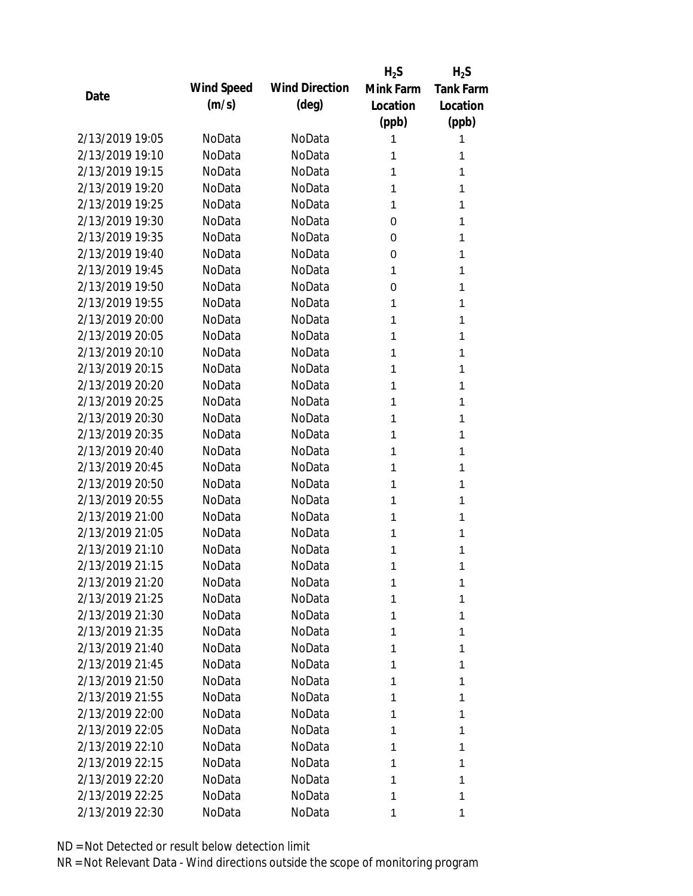|                 |            |                       | $H_2S$    | $H_2S$           |
|-----------------|------------|-----------------------|-----------|------------------|
| Date            | Wind Speed | <b>Wind Direction</b> | Mink Farm | <b>Tank Farm</b> |
|                 | (m/s)      | $(\text{deg})$        | Location  | Location         |
|                 |            |                       | (ppb)     | (ppb)            |
| 2/13/2019 19:05 | NoData     | NoData                | 1         | 1                |
| 2/13/2019 19:10 | NoData     | NoData                | 1         | 1                |
| 2/13/2019 19:15 | NoData     | NoData                | 1         | 1                |
| 2/13/2019 19:20 | NoData     | NoData                | 1         | 1                |
| 2/13/2019 19:25 | NoData     | NoData                | 1         | 1                |
| 2/13/2019 19:30 | NoData     | NoData                | 0         | 1                |
| 2/13/2019 19:35 | NoData     | NoData                | 0         | 1                |
| 2/13/2019 19:40 | NoData     | NoData                | 0         | 1                |
| 2/13/2019 19:45 | NoData     | NoData                | 1         | 1                |
| 2/13/2019 19:50 | NoData     | NoData                | 0         | 1                |
| 2/13/2019 19:55 | NoData     | NoData                | 1         | 1                |
| 2/13/2019 20:00 | NoData     | NoData                | 1         | 1                |
| 2/13/2019 20:05 | NoData     | NoData                | 1         | 1                |
| 2/13/2019 20:10 | NoData     | NoData                | 1         | 1                |
| 2/13/2019 20:15 | NoData     | NoData                | 1         | 1                |
| 2/13/2019 20:20 | NoData     | NoData                | 1         | 1                |
| 2/13/2019 20:25 | NoData     | NoData                | 1         | 1                |
| 2/13/2019 20:30 | NoData     | NoData                | 1         | 1                |
| 2/13/2019 20:35 | NoData     | NoData                | 1         | 1                |
| 2/13/2019 20:40 | NoData     | NoData                | 1         | 1                |
| 2/13/2019 20:45 | NoData     | NoData                | 1         | 1                |
| 2/13/2019 20:50 | NoData     | NoData                | 1         | 1                |
| 2/13/2019 20:55 | NoData     | NoData                | 1         | 1                |
| 2/13/2019 21:00 | NoData     | NoData                | 1         | 1                |
| 2/13/2019 21:05 | NoData     | NoData                | 1         | 1                |
| 2/13/2019 21:10 | NoData     | NoData                | 1         | 1                |
| 2/13/2019 21:15 | NoData     | NoData                | 1         | 1                |
| 2/13/2019 21:20 | NoData     | NoData                | 1         | 1                |
| 2/13/2019 21:25 | NoData     | NoData                | 1         | 1                |
| 2/13/2019 21:30 | NoData     | NoData                | 1         | 1                |
| 2/13/2019 21:35 | NoData     | NoData                | 1         | 1                |
| 2/13/2019 21:40 | NoData     | NoData                | 1         | 1                |
| 2/13/2019 21:45 | NoData     | NoData                | 1         | 1                |
| 2/13/2019 21:50 | NoData     | NoData                | 1         | 1                |
| 2/13/2019 21:55 | NoData     | NoData                | 1         | 1                |
| 2/13/2019 22:00 | NoData     | NoData                | 1         | 1                |
| 2/13/2019 22:05 | NoData     | NoData                | 1         | 1                |
| 2/13/2019 22:10 | NoData     | NoData                | 1         | 1                |
| 2/13/2019 22:15 | NoData     | NoData                | 1         | 1                |
| 2/13/2019 22:20 | NoData     | NoData                | 1         | 1                |
| 2/13/2019 22:25 | NoData     | NoData                | 1         | 1                |
| 2/13/2019 22:30 |            |                       |           |                  |
|                 | NoData     | NoData                | 1         | 1                |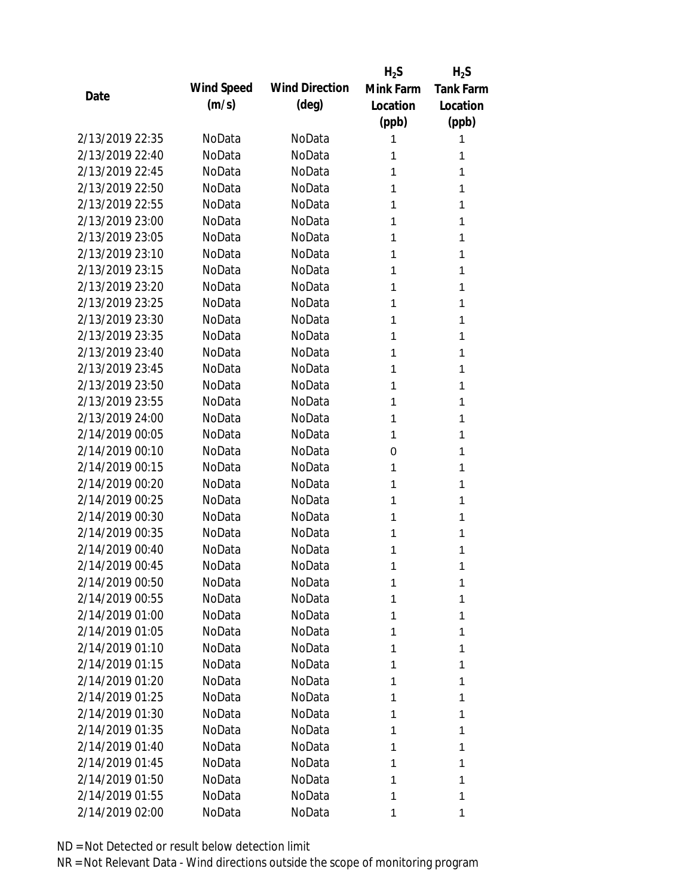|                 |                   |                       | $H_2S$    | $H_2S$           |
|-----------------|-------------------|-----------------------|-----------|------------------|
|                 | <b>Wind Speed</b> | <b>Wind Direction</b> | Mink Farm | <b>Tank Farm</b> |
| Date            | (m/s)             | $(\text{deg})$        | Location  | Location         |
|                 |                   |                       | (ppb)     | (ppb)            |
| 2/13/2019 22:35 | NoData            | NoData                | 1         | 1                |
| 2/13/2019 22:40 | NoData            | NoData                | 1         | 1                |
| 2/13/2019 22:45 | NoData            | NoData                | 1         | 1                |
| 2/13/2019 22:50 | NoData            | NoData                | 1         | 1                |
| 2/13/2019 22:55 | NoData            | NoData                | 1         | 1                |
| 2/13/2019 23:00 | NoData            | NoData                | 1         | 1                |
| 2/13/2019 23:05 | NoData            | NoData                | 1         | 1                |
| 2/13/2019 23:10 | NoData            | NoData                | 1         | 1                |
| 2/13/2019 23:15 | NoData            | NoData                | 1         | 1                |
| 2/13/2019 23:20 | NoData            | NoData                | 1         | 1                |
| 2/13/2019 23:25 | NoData            | NoData                | 1         | 1                |
| 2/13/2019 23:30 | NoData            | NoData                | 1         | 1                |
| 2/13/2019 23:35 | NoData            | NoData                | 1         | 1                |
| 2/13/2019 23:40 | NoData            | NoData                | 1         | 1                |
| 2/13/2019 23:45 | NoData            | NoData                | 1         | 1                |
| 2/13/2019 23:50 | NoData            | NoData                | 1         | 1                |
| 2/13/2019 23:55 | NoData            | NoData                | 1         | 1                |
| 2/13/2019 24:00 | NoData            | NoData                | 1         | 1                |
| 2/14/2019 00:05 | NoData            | NoData                | 1         | 1                |
| 2/14/2019 00:10 | NoData            | NoData                | 0         | 1                |
| 2/14/2019 00:15 | NoData            | NoData                | 1         | 1                |
| 2/14/2019 00:20 | NoData            | NoData                | 1         | 1                |
| 2/14/2019 00:25 | NoData            | NoData                | 1         | 1                |
| 2/14/2019 00:30 | NoData            | NoData                | 1         | 1                |
| 2/14/2019 00:35 | NoData            | NoData                | 1         | 1                |
| 2/14/2019 00:40 | NoData            | NoData                | 1         | 1                |
| 2/14/2019 00:45 | NoData            | NoData                | 1         | 1                |
| 2/14/2019 00:50 | NoData            | NoData                | 1         | 1                |
| 2/14/2019 00:55 | NoData            | NoData                | 1         | 1                |
| 2/14/2019 01:00 | NoData            | NoData                | 1         | 1                |
| 2/14/2019 01:05 | NoData            | NoData                | 1         | 1                |
| 2/14/2019 01:10 | NoData            | NoData                | 1         | 1                |
| 2/14/2019 01:15 | NoData            | NoData                | 1         | 1                |
| 2/14/2019 01:20 | NoData            | NoData                | 1         | 1                |
| 2/14/2019 01:25 | NoData            | NoData                | 1         | 1                |
| 2/14/2019 01:30 | NoData            | NoData                | 1         | 1                |
| 2/14/2019 01:35 | NoData            | NoData                | 1         | 1                |
| 2/14/2019 01:40 | NoData            | NoData                | 1         | 1                |
| 2/14/2019 01:45 | NoData            | NoData                | 1         | 1                |
| 2/14/2019 01:50 | NoData            | NoData                | 1         | 1                |
| 2/14/2019 01:55 | NoData            | NoData                | 1         | 1                |
| 2/14/2019 02:00 | NoData            | NoData                | 1         | 1                |
|                 |                   |                       |           |                  |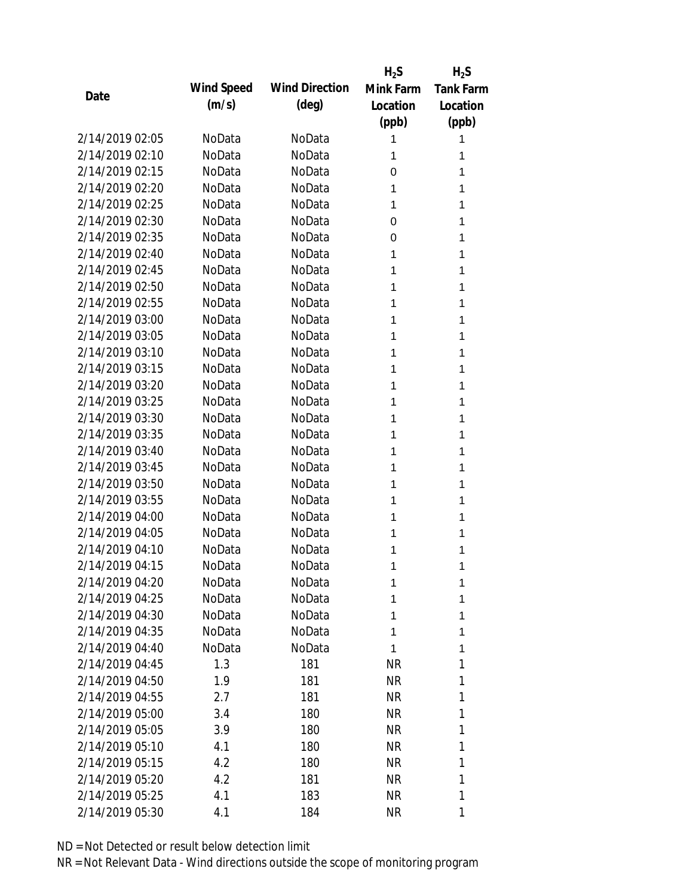|                 |            |                       | $H_2S$    | $H_2S$           |
|-----------------|------------|-----------------------|-----------|------------------|
| Date            | Wind Speed | <b>Wind Direction</b> | Mink Farm | <b>Tank Farm</b> |
|                 | (m/s)      | $(\text{deg})$        | Location  | Location         |
|                 |            |                       | (ppb)     | (ppb)            |
| 2/14/2019 02:05 | NoData     | NoData                | 1         | 1                |
| 2/14/2019 02:10 | NoData     | NoData                | 1         | 1                |
| 2/14/2019 02:15 | NoData     | NoData                | 0         | 1                |
| 2/14/2019 02:20 | NoData     | NoData                | 1         | 1                |
| 2/14/2019 02:25 | NoData     | NoData                | 1         | 1                |
| 2/14/2019 02:30 | NoData     | NoData                | 0         | 1                |
| 2/14/2019 02:35 | NoData     | NoData                | 0         | 1                |
| 2/14/2019 02:40 | NoData     | NoData                | 1         | 1                |
| 2/14/2019 02:45 | NoData     | NoData                | 1         | 1                |
| 2/14/2019 02:50 | NoData     | NoData                | 1         | 1                |
| 2/14/2019 02:55 | NoData     | NoData                | 1         | 1                |
| 2/14/2019 03:00 | NoData     | NoData                | 1         | 1                |
| 2/14/2019 03:05 | NoData     | NoData                | 1         | 1                |
| 2/14/2019 03:10 | NoData     | NoData                | 1         | 1                |
| 2/14/2019 03:15 | NoData     | NoData                | 1         | 1                |
| 2/14/2019 03:20 | NoData     | NoData                | 1         | 1                |
| 2/14/2019 03:25 | NoData     | NoData                | 1         | 1                |
| 2/14/2019 03:30 | NoData     | NoData                | 1         | 1                |
| 2/14/2019 03:35 | NoData     | NoData                | 1         | 1                |
| 2/14/2019 03:40 | NoData     | NoData                | 1         | 1                |
| 2/14/2019 03:45 | NoData     | NoData                | 1         | 1                |
| 2/14/2019 03:50 | NoData     | NoData                | 1         | 1                |
| 2/14/2019 03:55 | NoData     | NoData                | 1         | 1                |
| 2/14/2019 04:00 | NoData     | NoData                | 1         | 1                |
| 2/14/2019 04:05 | NoData     | NoData                | 1         | 1                |
| 2/14/2019 04:10 | NoData     | NoData                | 1         | 1                |
| 2/14/2019 04:15 | NoData     | NoData                | 1         | 1                |
| 2/14/2019 04:20 | NoData     | NoData                | 1         | 1                |
| 2/14/2019 04:25 | NoData     | NoData                | 1         | 1                |
| 2/14/2019 04:30 | NoData     | NoData                | 1         | 1                |
| 2/14/2019 04:35 | NoData     | NoData                | 1         | 1                |
| 2/14/2019 04:40 | NoData     | NoData                | 1         | 1                |
| 2/14/2019 04:45 | 1.3        | 181                   | <b>NR</b> | 1                |
| 2/14/2019 04:50 | 1.9        | 181                   | <b>NR</b> | 1                |
| 2/14/2019 04:55 | 2.7        | 181                   | <b>NR</b> | 1                |
| 2/14/2019 05:00 | 3.4        | 180                   | <b>NR</b> | 1                |
| 2/14/2019 05:05 | 3.9        | 180                   | <b>NR</b> | 1                |
| 2/14/2019 05:10 | 4.1        | 180                   | <b>NR</b> | 1                |
| 2/14/2019 05:15 | 4.2        | 180                   | <b>NR</b> | 1                |
| 2/14/2019 05:20 | 4.2        | 181                   | <b>NR</b> | 1                |
| 2/14/2019 05:25 | 4.1        | 183                   | <b>NR</b> | 1                |
| 2/14/2019 05:30 | 4.1        | 184                   | <b>NR</b> | 1                |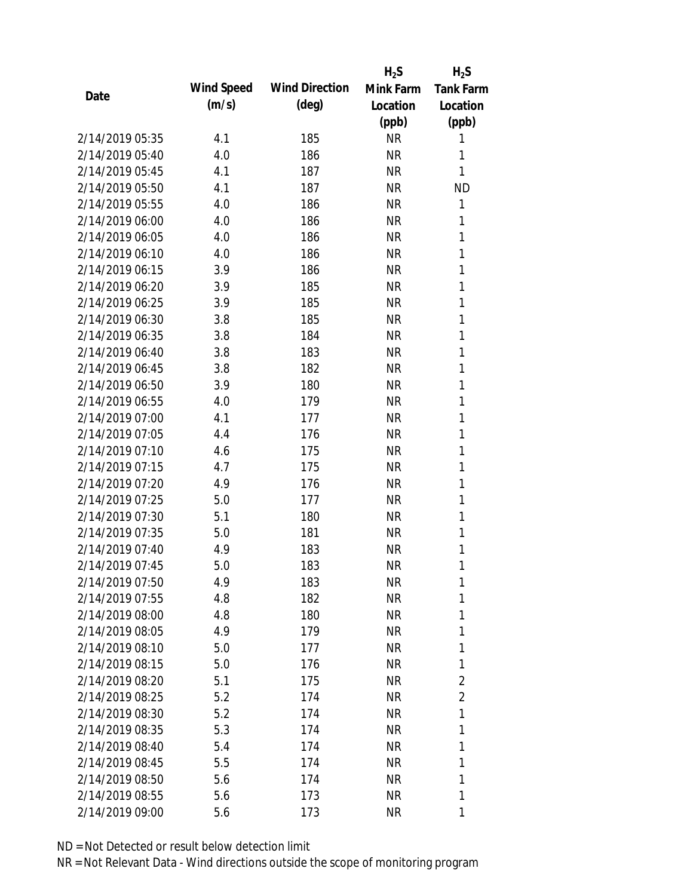|                 |            |                       | $H_2S$    | $H_2S$           |
|-----------------|------------|-----------------------|-----------|------------------|
| Date            | Wind Speed | <b>Wind Direction</b> | Mink Farm | <b>Tank Farm</b> |
|                 | (m/s)      | $(\text{deg})$        | Location  | Location         |
|                 |            |                       | (ppb)     | (ppb)            |
| 2/14/2019 05:35 | 4.1        | 185                   | <b>NR</b> | 1                |
| 2/14/2019 05:40 | 4.0        | 186                   | <b>NR</b> | 1                |
| 2/14/2019 05:45 | 4.1        | 187                   | <b>NR</b> | 1                |
| 2/14/2019 05:50 | 4.1        | 187                   | <b>NR</b> | <b>ND</b>        |
| 2/14/2019 05:55 | 4.0        | 186                   | <b>NR</b> | 1                |
| 2/14/2019 06:00 | 4.0        | 186                   | <b>NR</b> | 1                |
| 2/14/2019 06:05 | 4.0        | 186                   | <b>NR</b> | 1                |
| 2/14/2019 06:10 | 4.0        | 186                   | <b>NR</b> | 1                |
| 2/14/2019 06:15 | 3.9        | 186                   | <b>NR</b> | 1                |
| 2/14/2019 06:20 | 3.9        | 185                   | <b>NR</b> | 1                |
| 2/14/2019 06:25 | 3.9        | 185                   | <b>NR</b> | 1                |
| 2/14/2019 06:30 | 3.8        | 185                   | <b>NR</b> | 1                |
| 2/14/2019 06:35 | 3.8        | 184                   | <b>NR</b> | 1                |
| 2/14/2019 06:40 | 3.8        | 183                   | <b>NR</b> | 1                |
| 2/14/2019 06:45 | 3.8        | 182                   | <b>NR</b> | 1                |
| 2/14/2019 06:50 | 3.9        | 180                   | <b>NR</b> | 1                |
| 2/14/2019 06:55 | 4.0        | 179                   | <b>NR</b> | 1                |
| 2/14/2019 07:00 | 4.1        | 177                   | <b>NR</b> | 1                |
| 2/14/2019 07:05 | 4.4        | 176                   | <b>NR</b> | 1                |
| 2/14/2019 07:10 | 4.6        | 175                   | <b>NR</b> | 1                |
| 2/14/2019 07:15 | 4.7        | 175                   | <b>NR</b> | 1                |
| 2/14/2019 07:20 | 4.9        | 176                   | <b>NR</b> | 1                |
| 2/14/2019 07:25 | 5.0        | 177                   | <b>NR</b> | 1                |
| 2/14/2019 07:30 | 5.1        | 180                   | <b>NR</b> | 1                |
| 2/14/2019 07:35 | 5.0        | 181                   | <b>NR</b> | 1                |
| 2/14/2019 07:40 | 4.9        | 183                   | <b>NR</b> | 1                |
| 2/14/2019 07:45 | 5.0        | 183                   | <b>NR</b> | 1                |
| 2/14/2019 07:50 | 4.9        | 183                   | <b>NR</b> | 1                |
| 2/14/2019 07:55 | 4.8        | 182                   | <b>NR</b> | 1                |
| 2/14/2019 08:00 | 4.8        | 180                   | <b>NR</b> | 1                |
| 2/14/2019 08:05 | 4.9        | 179                   | <b>NR</b> | 1                |
| 2/14/2019 08:10 | 5.0        | 177                   | <b>NR</b> | 1                |
| 2/14/2019 08:15 | 5.0        | 176                   | <b>NR</b> | 1                |
| 2/14/2019 08:20 | 5.1        | 175                   | <b>NR</b> | $\overline{2}$   |
| 2/14/2019 08:25 | 5.2        | 174                   | <b>NR</b> | $\overline{2}$   |
| 2/14/2019 08:30 | 5.2        | 174                   | <b>NR</b> | 1                |
| 2/14/2019 08:35 | 5.3        | 174                   | <b>NR</b> | 1                |
| 2/14/2019 08:40 | 5.4        | 174                   | <b>NR</b> | 1                |
| 2/14/2019 08:45 | 5.5        | 174                   | <b>NR</b> | 1                |
| 2/14/2019 08:50 | 5.6        | 174                   | <b>NR</b> | 1                |
| 2/14/2019 08:55 | 5.6        | 173                   | <b>NR</b> | 1                |
| 2/14/2019 09:00 | 5.6        | 173                   | <b>NR</b> | 1                |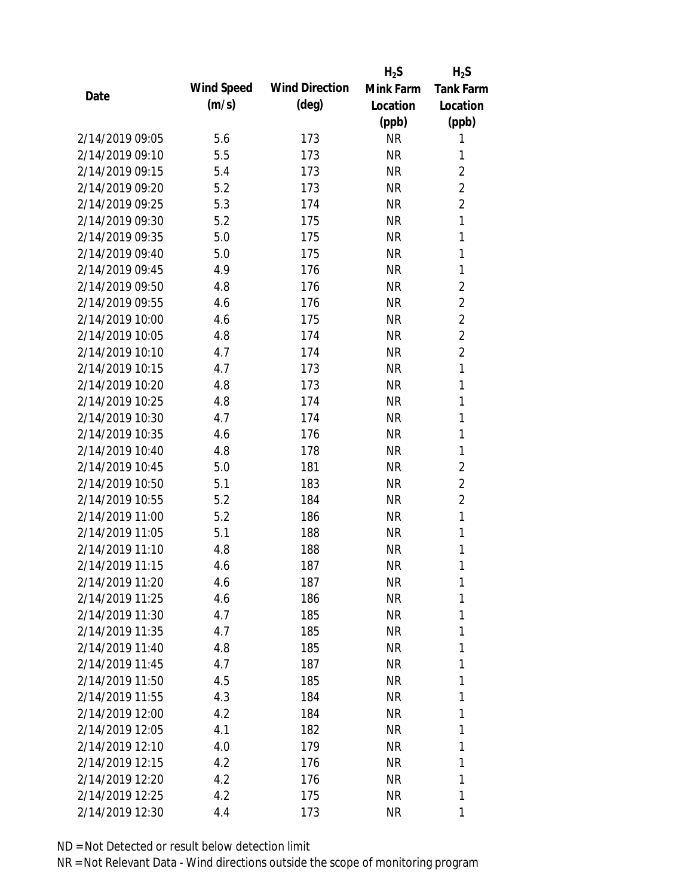|                 |            |                       | $H_2S$    | $H_2S$           |
|-----------------|------------|-----------------------|-----------|------------------|
| Date            | Wind Speed | <b>Wind Direction</b> | Mink Farm | <b>Tank Farm</b> |
|                 | (m/s)      | $(\text{deg})$        | Location  | Location         |
|                 |            |                       | (ppb)     | (ppb)            |
| 2/14/2019 09:05 | 5.6        | 173                   | <b>NR</b> | 1                |
| 2/14/2019 09:10 | 5.5        | 173                   | <b>NR</b> | 1                |
| 2/14/2019 09:15 | 5.4        | 173                   | <b>NR</b> | $\overline{2}$   |
| 2/14/2019 09:20 | 5.2        | 173                   | <b>NR</b> | $\overline{2}$   |
| 2/14/2019 09:25 | 5.3        | 174                   | <b>NR</b> | $\overline{2}$   |
| 2/14/2019 09:30 | 5.2        | 175                   | <b>NR</b> | 1                |
| 2/14/2019 09:35 | 5.0        | 175                   | <b>NR</b> | 1                |
| 2/14/2019 09:40 | 5.0        | 175                   | <b>NR</b> | 1                |
| 2/14/2019 09:45 | 4.9        | 176                   | <b>NR</b> | 1                |
| 2/14/2019 09:50 | 4.8        | 176                   | <b>NR</b> | $\overline{2}$   |
| 2/14/2019 09:55 | 4.6        | 176                   | <b>NR</b> | $\overline{2}$   |
| 2/14/2019 10:00 | 4.6        | 175                   | <b>NR</b> | $\overline{2}$   |
| 2/14/2019 10:05 | 4.8        | 174                   | <b>NR</b> | $\overline{2}$   |
| 2/14/2019 10:10 | 4.7        | 174                   | <b>NR</b> | $\overline{2}$   |
| 2/14/2019 10:15 | 4.7        | 173                   | <b>NR</b> | $\mathbf{1}$     |
| 2/14/2019 10:20 | 4.8        | 173                   | <b>NR</b> | 1                |
| 2/14/2019 10:25 | 4.8        | 174                   | <b>NR</b> | 1                |
| 2/14/2019 10:30 | 4.7        | 174                   | <b>NR</b> | 1                |
| 2/14/2019 10:35 | 4.6        | 176                   | <b>NR</b> | 1                |
| 2/14/2019 10:40 | 4.8        | 178                   | <b>NR</b> | 1                |
| 2/14/2019 10:45 | 5.0        | 181                   | <b>NR</b> | $\overline{2}$   |
| 2/14/2019 10:50 | 5.1        | 183                   | <b>NR</b> | $\overline{2}$   |
| 2/14/2019 10:55 | 5.2        | 184                   | <b>NR</b> | $\overline{2}$   |
| 2/14/2019 11:00 | 5.2        | 186                   | <b>NR</b> | 1                |
| 2/14/2019 11:05 | 5.1        | 188                   | <b>NR</b> | 1                |
| 2/14/2019 11:10 | 4.8        | 188                   | <b>NR</b> | 1                |
| 2/14/2019 11:15 | 4.6        | 187                   | <b>NR</b> | 1                |
| 2/14/2019 11:20 | 4.6        | 187                   | <b>NR</b> | 1                |
| 2/14/2019 11:25 | 4.6        | 186                   | <b>NR</b> | 1                |
| 2/14/2019 11:30 | 4.7        | 185                   | <b>NR</b> | 1                |
| 2/14/2019 11:35 | 4.7        | 185                   | <b>NR</b> | 1                |
| 2/14/2019 11:40 | 4.8        | 185                   | <b>NR</b> | 1                |
| 2/14/2019 11:45 | 4.7        | 187                   | <b>NR</b> | 1                |
| 2/14/2019 11:50 | 4.5        | 185                   | <b>NR</b> | 1                |
| 2/14/2019 11:55 | 4.3        | 184                   | <b>NR</b> | 1                |
| 2/14/2019 12:00 | 4.2        | 184                   | <b>NR</b> | 1                |
| 2/14/2019 12:05 | 4.1        | 182                   | <b>NR</b> | 1                |
| 2/14/2019 12:10 | 4.0        | 179                   | <b>NR</b> | 1                |
| 2/14/2019 12:15 | 4.2        | 176                   | <b>NR</b> | 1                |
| 2/14/2019 12:20 | 4.2        | 176                   | <b>NR</b> | 1                |
| 2/14/2019 12:25 | 4.2        | 175                   | <b>NR</b> | 1                |
| 2/14/2019 12:30 | 4.4        | 173                   | <b>NR</b> | 1                |
|                 |            |                       |           |                  |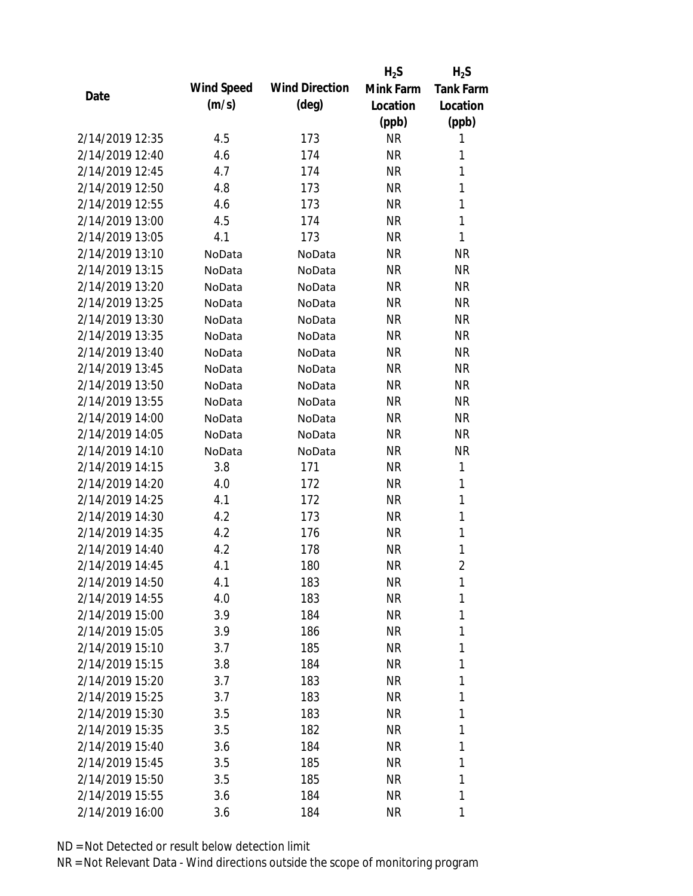|                 |            |                       | $H_2S$    | $H_2S$           |
|-----------------|------------|-----------------------|-----------|------------------|
|                 | Wind Speed | <b>Wind Direction</b> | Mink Farm | <b>Tank Farm</b> |
| Date            | (m/s)      | $(\text{deg})$        | Location  | Location         |
|                 |            |                       | (ppb)     | (ppb)            |
| 2/14/2019 12:35 | 4.5        | 173                   | <b>NR</b> | 1                |
| 2/14/2019 12:40 | 4.6        | 174                   | <b>NR</b> | 1                |
| 2/14/2019 12:45 | 4.7        | 174                   | <b>NR</b> | 1                |
| 2/14/2019 12:50 | 4.8        | 173                   | <b>NR</b> | 1                |
| 2/14/2019 12:55 | 4.6        | 173                   | <b>NR</b> | 1                |
| 2/14/2019 13:00 | 4.5        | 174                   | <b>NR</b> | 1                |
| 2/14/2019 13:05 | 4.1        | 173                   | <b>NR</b> | 1                |
| 2/14/2019 13:10 | NoData     | NoData                | <b>NR</b> | <b>NR</b>        |
| 2/14/2019 13:15 | NoData     | NoData                | <b>NR</b> | <b>NR</b>        |
| 2/14/2019 13:20 | NoData     | NoData                | <b>NR</b> | <b>NR</b>        |
| 2/14/2019 13:25 | NoData     | NoData                | <b>NR</b> | <b>NR</b>        |
| 2/14/2019 13:30 | NoData     | NoData                | <b>NR</b> | <b>NR</b>        |
| 2/14/2019 13:35 | NoData     | NoData                | <b>NR</b> | <b>NR</b>        |
| 2/14/2019 13:40 | NoData     | NoData                | <b>NR</b> | <b>NR</b>        |
| 2/14/2019 13:45 | NoData     | NoData                | <b>NR</b> | <b>NR</b>        |
| 2/14/2019 13:50 | NoData     | NoData                | <b>NR</b> | <b>NR</b>        |
| 2/14/2019 13:55 | NoData     | NoData                | <b>NR</b> | <b>NR</b>        |
| 2/14/2019 14:00 | NoData     | NoData                | <b>NR</b> | <b>NR</b>        |
| 2/14/2019 14:05 | NoData     | NoData                | <b>NR</b> | <b>NR</b>        |
| 2/14/2019 14:10 | NoData     | NoData                | <b>NR</b> | <b>NR</b>        |
| 2/14/2019 14:15 | 3.8        | 171                   | <b>NR</b> | 1                |
| 2/14/2019 14:20 | 4.0        | 172                   | <b>NR</b> | 1                |
| 2/14/2019 14:25 | 4.1        | 172                   | <b>NR</b> | 1                |
| 2/14/2019 14:30 | 4.2        | 173                   | <b>NR</b> | 1                |
| 2/14/2019 14:35 | 4.2        | 176                   | <b>NR</b> | 1                |
| 2/14/2019 14:40 | 4.2        | 178                   | <b>NR</b> | 1                |
| 2/14/2019 14:45 | 4.1        | 180                   | <b>NR</b> | $\overline{2}$   |
| 2/14/2019 14:50 | 4.1        | 183                   | <b>NR</b> | 1                |
| 2/14/2019 14:55 | 4.0        | 183                   | <b>NR</b> | 1                |
| 2/14/2019 15:00 | 3.9        | 184                   | <b>NR</b> | 1                |
| 2/14/2019 15:05 | 3.9        | 186                   | <b>NR</b> | 1                |
| 2/14/2019 15:10 | 3.7        | 185                   | <b>NR</b> | 1                |
| 2/14/2019 15:15 | 3.8        | 184                   | <b>NR</b> | 1                |
| 2/14/2019 15:20 | 3.7        | 183                   | <b>NR</b> | 1                |
| 2/14/2019 15:25 | 3.7        | 183                   | <b>NR</b> | 1                |
| 2/14/2019 15:30 | 3.5        | 183                   | <b>NR</b> | 1                |
| 2/14/2019 15:35 | 3.5        | 182                   | <b>NR</b> | 1                |
| 2/14/2019 15:40 | 3.6        | 184                   | <b>NR</b> | 1                |
| 2/14/2019 15:45 | 3.5        | 185                   | <b>NR</b> | 1                |
| 2/14/2019 15:50 | 3.5        | 185                   | <b>NR</b> | 1                |
| 2/14/2019 15:55 | 3.6        | 184                   | <b>NR</b> | 1                |
| 2/14/2019 16:00 | 3.6        | 184                   | <b>NR</b> | 1                |
|                 |            |                       |           |                  |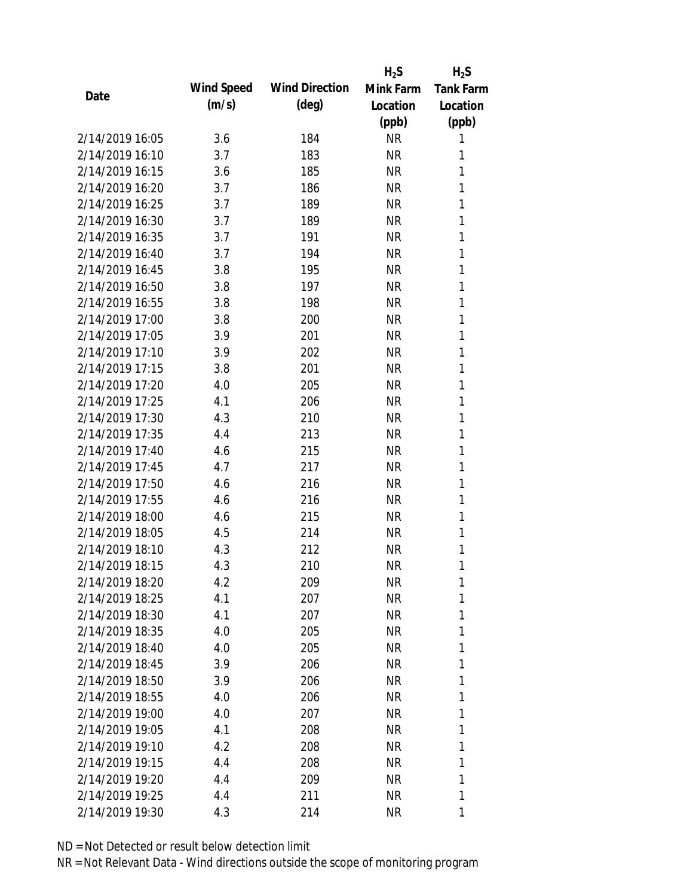|                 |            |                       | $H_2S$    | $H_2S$           |
|-----------------|------------|-----------------------|-----------|------------------|
| Date            | Wind Speed | <b>Wind Direction</b> | Mink Farm | <b>Tank Farm</b> |
|                 | (m/s)      | $(\text{deg})$        | Location  | Location         |
|                 |            |                       | (ppb)     | (ppb)            |
| 2/14/2019 16:05 | 3.6        | 184                   | <b>NR</b> | 1                |
| 2/14/2019 16:10 | 3.7        | 183                   | <b>NR</b> | 1                |
| 2/14/2019 16:15 | 3.6        | 185                   | <b>NR</b> | 1                |
| 2/14/2019 16:20 | 3.7        | 186                   | <b>NR</b> | 1                |
| 2/14/2019 16:25 | 3.7        | 189                   | <b>NR</b> | 1                |
| 2/14/2019 16:30 | 3.7        | 189                   | <b>NR</b> | 1                |
| 2/14/2019 16:35 | 3.7        | 191                   | <b>NR</b> | 1                |
| 2/14/2019 16:40 | 3.7        | 194                   | <b>NR</b> | 1                |
| 2/14/2019 16:45 | 3.8        | 195                   | <b>NR</b> | 1                |
| 2/14/2019 16:50 | 3.8        | 197                   | <b>NR</b> | 1                |
| 2/14/2019 16:55 | 3.8        | 198                   | <b>NR</b> | 1                |
| 2/14/2019 17:00 | 3.8        | 200                   | <b>NR</b> | 1                |
| 2/14/2019 17:05 | 3.9        | 201                   | <b>NR</b> | 1                |
| 2/14/2019 17:10 | 3.9        | 202                   | <b>NR</b> | 1                |
| 2/14/2019 17:15 | 3.8        | 201                   | <b>NR</b> | 1                |
| 2/14/2019 17:20 | 4.0        | 205                   | <b>NR</b> | 1                |
| 2/14/2019 17:25 | 4.1        | 206                   | <b>NR</b> | 1                |
| 2/14/2019 17:30 | 4.3        | 210                   | <b>NR</b> | 1                |
| 2/14/2019 17:35 | 4.4        | 213                   | <b>NR</b> | 1                |
| 2/14/2019 17:40 | 4.6        | 215                   | <b>NR</b> | 1                |
| 2/14/2019 17:45 | 4.7        | 217                   | <b>NR</b> | 1                |
| 2/14/2019 17:50 | 4.6        | 216                   | <b>NR</b> | 1                |
| 2/14/2019 17:55 | 4.6        | 216                   | <b>NR</b> | 1                |
| 2/14/2019 18:00 | 4.6        | 215                   | <b>NR</b> | 1                |
| 2/14/2019 18:05 | 4.5        | 214                   | <b>NR</b> | 1                |
| 2/14/2019 18:10 | 4.3        | 212                   | <b>NR</b> | 1                |
| 2/14/2019 18:15 | 4.3        | 210                   | <b>NR</b> | 1                |
| 2/14/2019 18:20 | 4.2        | 209                   | <b>NR</b> | 1                |
| 2/14/2019 18:25 | 4.1        | 207                   | <b>NR</b> | 1                |
| 2/14/2019 18:30 | 4.1        | 207                   | <b>NR</b> | 1                |
| 2/14/2019 18:35 | 4.0        | 205                   | <b>NR</b> | 1                |
| 2/14/2019 18:40 | 4.0        | 205                   | <b>NR</b> | 1                |
| 2/14/2019 18:45 | 3.9        | 206                   | <b>NR</b> | 1                |
| 2/14/2019 18:50 | 3.9        | 206                   | <b>NR</b> | 1                |
| 2/14/2019 18:55 | 4.0        | 206                   | <b>NR</b> | 1                |
| 2/14/2019 19:00 | 4.0        | 207                   | <b>NR</b> | 1                |
| 2/14/2019 19:05 | 4.1        | 208                   | <b>NR</b> | 1                |
| 2/14/2019 19:10 | 4.2        | 208                   | <b>NR</b> | 1                |
| 2/14/2019 19:15 | 4.4        | 208                   | <b>NR</b> | 1                |
| 2/14/2019 19:20 | 4.4        | 209                   | <b>NR</b> | 1                |
| 2/14/2019 19:25 | 4.4        | 211                   | <b>NR</b> | 1                |
| 2/14/2019 19:30 | 4.3        | 214                   | <b>NR</b> | 1                |
|                 |            |                       |           |                  |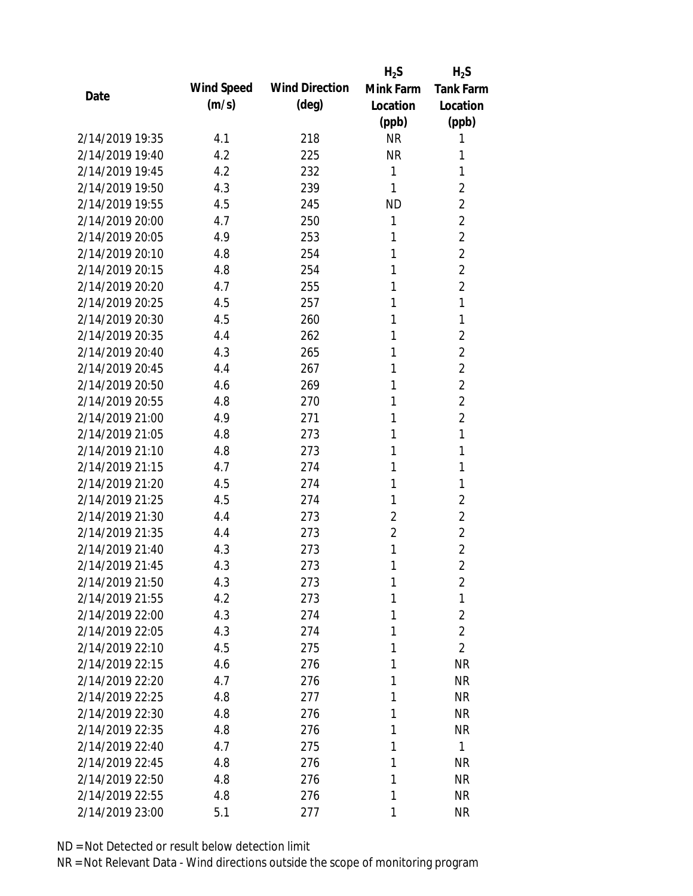|                 |            |                       | $H_2S$         | $H_2S$           |
|-----------------|------------|-----------------------|----------------|------------------|
| Date            | Wind Speed | <b>Wind Direction</b> | Mink Farm      | <b>Tank Farm</b> |
|                 | (m/s)      | $(\text{deg})$        | Location       | Location         |
|                 |            |                       | (ppb)          | (ppb)            |
| 2/14/2019 19:35 | 4.1        | 218                   | <b>NR</b>      | 1                |
| 2/14/2019 19:40 | 4.2        | 225                   | <b>NR</b>      | 1                |
| 2/14/2019 19:45 | 4.2        | 232                   | 1              | 1                |
| 2/14/2019 19:50 | 4.3        | 239                   | 1              | $\overline{2}$   |
| 2/14/2019 19:55 | 4.5        | 245                   | <b>ND</b>      | 2                |
| 2/14/2019 20:00 | 4.7        | 250                   | 1              | $\overline{2}$   |
| 2/14/2019 20:05 | 4.9        | 253                   | 1              | $\overline{2}$   |
| 2/14/2019 20:10 | 4.8        | 254                   | 1              | $\overline{2}$   |
| 2/14/2019 20:15 | 4.8        | 254                   | 1              | $\overline{2}$   |
| 2/14/2019 20:20 | 4.7        | 255                   | 1              | $\overline{2}$   |
| 2/14/2019 20:25 | 4.5        | 257                   | 1              | 1                |
| 2/14/2019 20:30 | 4.5        | 260                   | 1              | 1                |
| 2/14/2019 20:35 | 4.4        | 262                   | 1              | $\overline{2}$   |
| 2/14/2019 20:40 | 4.3        | 265                   | 1              | $\overline{2}$   |
| 2/14/2019 20:45 | 4.4        | 267                   | 1              | $\overline{2}$   |
| 2/14/2019 20:50 | 4.6        | 269                   | 1              | $\overline{2}$   |
| 2/14/2019 20:55 | 4.8        | 270                   | 1              | $\overline{2}$   |
| 2/14/2019 21:00 | 4.9        | 271                   | 1              | $\overline{2}$   |
| 2/14/2019 21:05 | 4.8        | 273                   | 1              | 1                |
| 2/14/2019 21:10 | 4.8        | 273                   | 1              | 1                |
| 2/14/2019 21:15 | 4.7        | 274                   | 1              | 1                |
| 2/14/2019 21:20 | 4.5        | 274                   | 1              | 1                |
| 2/14/2019 21:25 | 4.5        | 274                   | 1              | $\overline{2}$   |
| 2/14/2019 21:30 | 4.4        | 273                   | $\overline{2}$ | $\overline{2}$   |
| 2/14/2019 21:35 | 4.4        | 273                   | $\overline{2}$ | $\overline{2}$   |
| 2/14/2019 21:40 | 4.3        | 273                   | 1              | $\overline{2}$   |
| 2/14/2019 21:45 | 4.3        | 273                   | 1              | $\overline{2}$   |
| 2/14/2019 21:50 | 4.3        | 273                   | 1              | $\overline{2}$   |
| 2/14/2019 21:55 | 4.2        | 273                   | 1              | 1                |
| 2/14/2019 22:00 | 4.3        | 274                   | 1              | $\overline{2}$   |
| 2/14/2019 22:05 | 4.3        | 274                   | 1              | $\overline{2}$   |
| 2/14/2019 22:10 | 4.5        | 275                   | 1              | $\overline{2}$   |
| 2/14/2019 22:15 | 4.6        | 276                   | 1              | <b>NR</b>        |
| 2/14/2019 22:20 | 4.7        | 276                   | 1              | <b>NR</b>        |
| 2/14/2019 22:25 | 4.8        | 277                   | 1              | <b>NR</b>        |
| 2/14/2019 22:30 | 4.8        | 276                   | 1              | <b>NR</b>        |
| 2/14/2019 22:35 | 4.8        | 276                   | 1              | <b>NR</b>        |
| 2/14/2019 22:40 | 4.7        | 275                   | 1              | $\mathbf{1}$     |
| 2/14/2019 22:45 | 4.8        | 276                   | 1              | NR               |
| 2/14/2019 22:50 | 4.8        | 276                   | 1              | <b>NR</b>        |
| 2/14/2019 22:55 | 4.8        | 276                   | 1              | <b>NR</b>        |
| 2/14/2019 23:00 | 5.1        | 277                   | 1              | <b>NR</b>        |
|                 |            |                       |                |                  |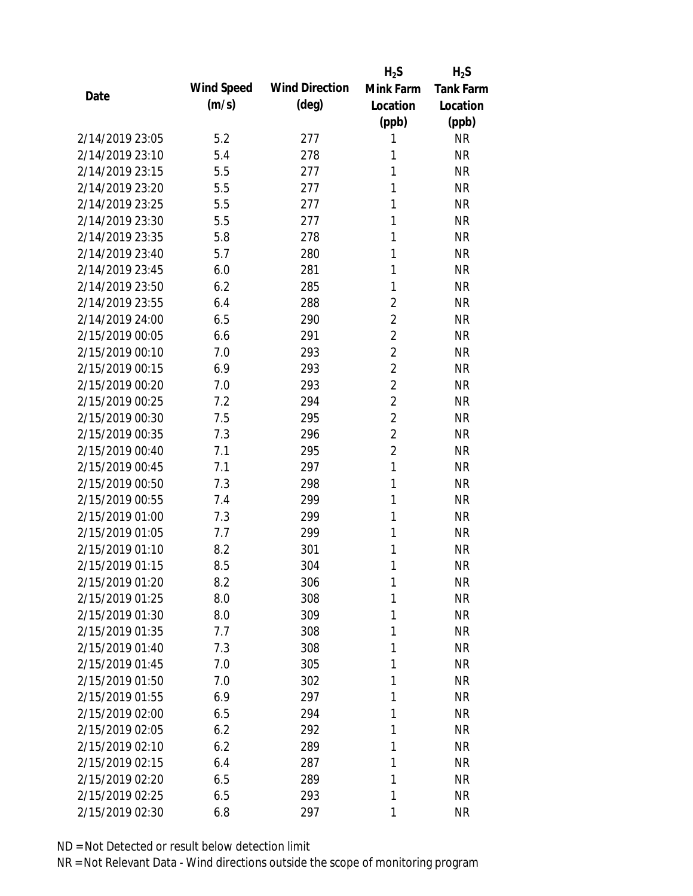|                 |            |                       | $H_2S$         | $H_2S$           |
|-----------------|------------|-----------------------|----------------|------------------|
| Date            | Wind Speed | <b>Wind Direction</b> | Mink Farm      | <b>Tank Farm</b> |
|                 | (m/s)      | $(\text{deg})$        | Location       | Location         |
|                 |            |                       | (ppb)          | (ppb)            |
| 2/14/2019 23:05 | 5.2        | 277                   | 1              | <b>NR</b>        |
| 2/14/2019 23:10 | 5.4        | 278                   | 1              | <b>NR</b>        |
| 2/14/2019 23:15 | 5.5        | 277                   | 1              | <b>NR</b>        |
| 2/14/2019 23:20 | 5.5        | 277                   | 1              | <b>NR</b>        |
| 2/14/2019 23:25 | 5.5        | 277                   | 1              | <b>NR</b>        |
| 2/14/2019 23:30 | 5.5        | 277                   | 1              | <b>NR</b>        |
| 2/14/2019 23:35 | 5.8        | 278                   | 1              | <b>NR</b>        |
| 2/14/2019 23:40 | 5.7        | 280                   | 1              | <b>NR</b>        |
| 2/14/2019 23:45 | 6.0        | 281                   | 1              | <b>NR</b>        |
| 2/14/2019 23:50 | 6.2        | 285                   | 1              | <b>NR</b>        |
| 2/14/2019 23:55 | 6.4        | 288                   | $\overline{2}$ | <b>NR</b>        |
| 2/14/2019 24:00 | 6.5        | 290                   | $\overline{2}$ | <b>NR</b>        |
| 2/15/2019 00:05 | 6.6        | 291                   | $\overline{2}$ | <b>NR</b>        |
| 2/15/2019 00:10 | 7.0        | 293                   | $\overline{2}$ | <b>NR</b>        |
| 2/15/2019 00:15 | 6.9        | 293                   | $\overline{2}$ | <b>NR</b>        |
| 2/15/2019 00:20 | 7.0        | 293                   | $\overline{2}$ | <b>NR</b>        |
| 2/15/2019 00:25 | 7.2        | 294                   | $\overline{2}$ | <b>NR</b>        |
| 2/15/2019 00:30 | 7.5        | 295                   | $\overline{2}$ | <b>NR</b>        |
| 2/15/2019 00:35 | 7.3        | 296                   | $\overline{2}$ | <b>NR</b>        |
| 2/15/2019 00:40 | 7.1        | 295                   | $\overline{2}$ | <b>NR</b>        |
| 2/15/2019 00:45 | 7.1        | 297                   | $\mathbf{1}$   | <b>NR</b>        |
| 2/15/2019 00:50 | 7.3        | 298                   | 1              | <b>NR</b>        |
| 2/15/2019 00:55 | 7.4        | 299                   | 1              | <b>NR</b>        |
| 2/15/2019 01:00 | 7.3        | 299                   | 1              | <b>NR</b>        |
| 2/15/2019 01:05 | 7.7        | 299                   | 1              | <b>NR</b>        |
| 2/15/2019 01:10 | 8.2        | 301                   | 1              | <b>NR</b>        |
| 2/15/2019 01:15 | 8.5        | 304                   | 1              | <b>NR</b>        |
| 2/15/2019 01:20 | 8.2        | 306                   | $\mathbf{1}$   | <b>NR</b>        |
| 2/15/2019 01:25 | 8.0        | 308                   | 1              | <b>NR</b>        |
| 2/15/2019 01:30 | 8.0        | 309                   | 1              | <b>NR</b>        |
| 2/15/2019 01:35 | 7.7        | 308                   | 1              | <b>NR</b>        |
| 2/15/2019 01:40 | 7.3        | 308                   | 1              | <b>NR</b>        |
| 2/15/2019 01:45 | 7.0        | 305                   | 1              | <b>NR</b>        |
| 2/15/2019 01:50 | 7.0        | 302                   | 1              | <b>NR</b>        |
| 2/15/2019 01:55 | 6.9        | 297                   | 1              | <b>NR</b>        |
| 2/15/2019 02:00 | 6.5        | 294                   | 1              | <b>NR</b>        |
| 2/15/2019 02:05 | 6.2        | 292                   | 1              | <b>NR</b>        |
| 2/15/2019 02:10 | 6.2        | 289                   | 1              | <b>NR</b>        |
| 2/15/2019 02:15 | 6.4        | 287                   | 1              | <b>NR</b>        |
| 2/15/2019 02:20 | 6.5        | 289                   | 1              | <b>NR</b>        |
| 2/15/2019 02:25 | 6.5        | 293                   | 1              | <b>NR</b>        |
| 2/15/2019 02:30 | 6.8        | 297                   | 1              | <b>NR</b>        |
|                 |            |                       |                |                  |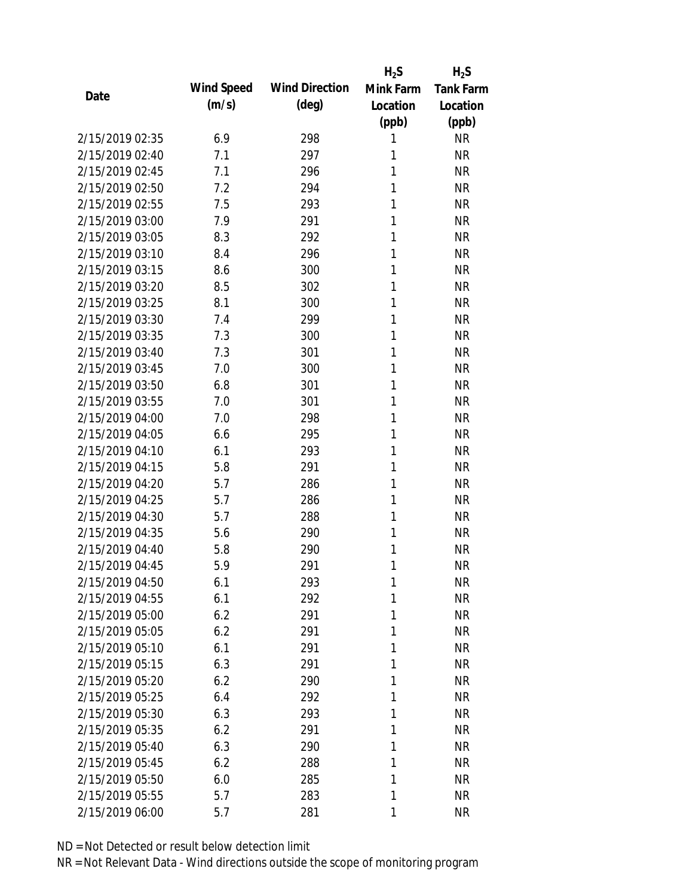|                 |            |                       | $H_2S$       | $H_2S$           |
|-----------------|------------|-----------------------|--------------|------------------|
| Date            | Wind Speed | <b>Wind Direction</b> | Mink Farm    | <b>Tank Farm</b> |
|                 | (m/s)      | $(\text{deg})$        | Location     | Location         |
|                 |            |                       | (ppb)        | (ppb)            |
| 2/15/2019 02:35 | 6.9        | 298                   | 1            | <b>NR</b>        |
| 2/15/2019 02:40 | 7.1        | 297                   | 1            | <b>NR</b>        |
| 2/15/2019 02:45 | 7.1        | 296                   | 1            | <b>NR</b>        |
| 2/15/2019 02:50 | 7.2        | 294                   | 1            | <b>NR</b>        |
| 2/15/2019 02:55 | 7.5        | 293                   | 1            | <b>NR</b>        |
| 2/15/2019 03:00 | 7.9        | 291                   | 1            | <b>NR</b>        |
| 2/15/2019 03:05 | 8.3        | 292                   | 1            | <b>NR</b>        |
| 2/15/2019 03:10 | 8.4        | 296                   | 1            | <b>NR</b>        |
| 2/15/2019 03:15 | 8.6        | 300                   | 1            | <b>NR</b>        |
| 2/15/2019 03:20 | 8.5        | 302                   | 1            | <b>NR</b>        |
| 2/15/2019 03:25 | 8.1        | 300                   | 1            | <b>NR</b>        |
| 2/15/2019 03:30 | 7.4        | 299                   | 1            | <b>NR</b>        |
| 2/15/2019 03:35 | 7.3        | 300                   | 1            | <b>NR</b>        |
| 2/15/2019 03:40 | 7.3        | 301                   | 1            | <b>NR</b>        |
| 2/15/2019 03:45 | 7.0        | 300                   | 1            | <b>NR</b>        |
| 2/15/2019 03:50 | 6.8        | 301                   | 1            | <b>NR</b>        |
| 2/15/2019 03:55 | 7.0        | 301                   | 1            | <b>NR</b>        |
| 2/15/2019 04:00 | 7.0        | 298                   | 1            | <b>NR</b>        |
| 2/15/2019 04:05 | 6.6        | 295                   | 1            | <b>NR</b>        |
| 2/15/2019 04:10 | 6.1        | 293                   | 1            | <b>NR</b>        |
| 2/15/2019 04:15 | 5.8        | 291                   | 1            | <b>NR</b>        |
| 2/15/2019 04:20 | 5.7        | 286                   | 1            | <b>NR</b>        |
| 2/15/2019 04:25 | 5.7        | 286                   | 1            | <b>NR</b>        |
| 2/15/2019 04:30 | 5.7        | 288                   | 1            | <b>NR</b>        |
| 2/15/2019 04:35 | 5.6        | 290                   | 1            | <b>NR</b>        |
| 2/15/2019 04:40 | 5.8        | 290                   | 1            | <b>NR</b>        |
| 2/15/2019 04:45 | 5.9        | 291                   | 1            | <b>NR</b>        |
| 2/15/2019 04:50 | 6.1        | 293                   | $\mathbf{1}$ | <b>NR</b>        |
| 2/15/2019 04:55 | 6.1        | 292                   | 1            | <b>NR</b>        |
| 2/15/2019 05:00 | 6.2        | 291                   | 1            | <b>NR</b>        |
| 2/15/2019 05:05 | 6.2        | 291                   | 1            | <b>NR</b>        |
| 2/15/2019 05:10 | 6.1        | 291                   | 1            | <b>NR</b>        |
| 2/15/2019 05:15 | 6.3        | 291                   | 1            | <b>NR</b>        |
| 2/15/2019 05:20 | 6.2        | 290                   | 1            | <b>NR</b>        |
| 2/15/2019 05:25 | 6.4        | 292                   | 1            | <b>NR</b>        |
| 2/15/2019 05:30 | 6.3        | 293                   | 1            | <b>NR</b>        |
| 2/15/2019 05:35 | 6.2        | 291                   | 1            | <b>NR</b>        |
| 2/15/2019 05:40 | 6.3        | 290                   | 1            | <b>NR</b>        |
| 2/15/2019 05:45 | 6.2        | 288                   | 1            | <b>NR</b>        |
| 2/15/2019 05:50 | 6.0        | 285                   | 1            | <b>NR</b>        |
| 2/15/2019 05:55 | 5.7        | 283                   | 1            | <b>NR</b>        |
| 2/15/2019 06:00 | 5.7        | 281                   | 1            | <b>NR</b>        |
|                 |            |                       |              |                  |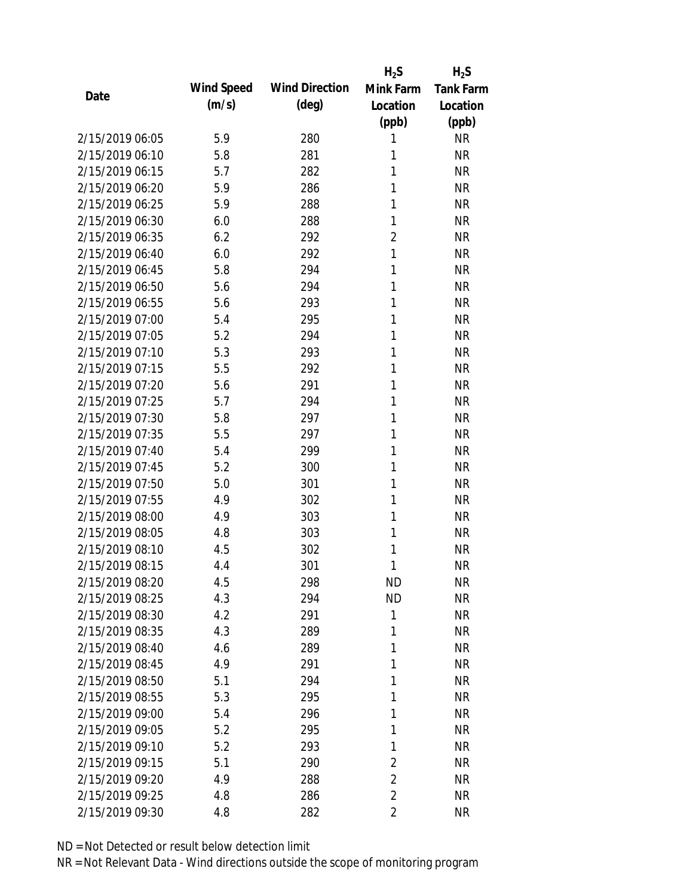|                 |            |                       | $H_2S$         | $H_2S$           |
|-----------------|------------|-----------------------|----------------|------------------|
| Date            | Wind Speed | <b>Wind Direction</b> | Mink Farm      | <b>Tank Farm</b> |
|                 | (m/s)      | $(\text{deg})$        | Location       | Location         |
|                 |            |                       | (ppb)          | (ppb)            |
| 2/15/2019 06:05 | 5.9        | 280                   | 1              | <b>NR</b>        |
| 2/15/2019 06:10 | 5.8        | 281                   | 1              | <b>NR</b>        |
| 2/15/2019 06:15 | 5.7        | 282                   | 1              | <b>NR</b>        |
| 2/15/2019 06:20 | 5.9        | 286                   | 1              | <b>NR</b>        |
| 2/15/2019 06:25 | 5.9        | 288                   | 1              | <b>NR</b>        |
| 2/15/2019 06:30 | 6.0        | 288                   | 1              | <b>NR</b>        |
| 2/15/2019 06:35 | 6.2        | 292                   | $\overline{2}$ | <b>NR</b>        |
| 2/15/2019 06:40 | 6.0        | 292                   | 1              | <b>NR</b>        |
| 2/15/2019 06:45 | 5.8        | 294                   | 1              | <b>NR</b>        |
| 2/15/2019 06:50 | 5.6        | 294                   | 1              | <b>NR</b>        |
| 2/15/2019 06:55 | 5.6        | 293                   | 1              | <b>NR</b>        |
| 2/15/2019 07:00 | 5.4        | 295                   | 1              | <b>NR</b>        |
| 2/15/2019 07:05 | 5.2        | 294                   | 1              | <b>NR</b>        |
| 2/15/2019 07:10 | 5.3        | 293                   | 1              | <b>NR</b>        |
| 2/15/2019 07:15 | 5.5        | 292                   | 1              | <b>NR</b>        |
| 2/15/2019 07:20 | 5.6        | 291                   | 1              | <b>NR</b>        |
| 2/15/2019 07:25 | 5.7        | 294                   | 1              | <b>NR</b>        |
| 2/15/2019 07:30 | 5.8        | 297                   | 1              | <b>NR</b>        |
| 2/15/2019 07:35 | 5.5        | 297                   | 1              | <b>NR</b>        |
| 2/15/2019 07:40 | 5.4        | 299                   | 1              | <b>NR</b>        |
| 2/15/2019 07:45 | 5.2        | 300                   | 1              | <b>NR</b>        |
| 2/15/2019 07:50 | 5.0        | 301                   | 1              | <b>NR</b>        |
| 2/15/2019 07:55 | 4.9        | 302                   | 1              | <b>NR</b>        |
| 2/15/2019 08:00 | 4.9        | 303                   | 1              | <b>NR</b>        |
| 2/15/2019 08:05 | 4.8        | 303                   | 1              | <b>NR</b>        |
| 2/15/2019 08:10 | 4.5        | 302                   | 1              | <b>NR</b>        |
| 2/15/2019 08:15 | 4.4        | 301                   | 1              | <b>NR</b>        |
| 2/15/2019 08:20 | 4.5        | 298                   | <b>ND</b>      | <b>NR</b>        |
| 2/15/2019 08:25 | 4.3        | 294                   | <b>ND</b>      | <b>NR</b>        |
| 2/15/2019 08:30 | 4.2        | 291                   | 1              | <b>NR</b>        |
| 2/15/2019 08:35 | 4.3        | 289                   | 1              | <b>NR</b>        |
| 2/15/2019 08:40 | 4.6        | 289                   | 1              | <b>NR</b>        |
| 2/15/2019 08:45 | 4.9        | 291                   | 1              | <b>NR</b>        |
| 2/15/2019 08:50 | 5.1        | 294                   | 1              | <b>NR</b>        |
| 2/15/2019 08:55 | 5.3        | 295                   | 1              | <b>NR</b>        |
| 2/15/2019 09:00 | 5.4        | 296                   | 1              | <b>NR</b>        |
| 2/15/2019 09:05 | 5.2        | 295                   | 1              | <b>NR</b>        |
| 2/15/2019 09:10 | 5.2        | 293                   | 1              | <b>NR</b>        |
| 2/15/2019 09:15 | 5.1        | 290                   | $\overline{2}$ | <b>NR</b>        |
| 2/15/2019 09:20 | 4.9        | 288                   | $\overline{2}$ | <b>NR</b>        |
| 2/15/2019 09:25 | 4.8        | 286                   | $\overline{2}$ | <b>NR</b>        |
| 2/15/2019 09:30 | 4.8        | 282                   | $\overline{2}$ | <b>NR</b>        |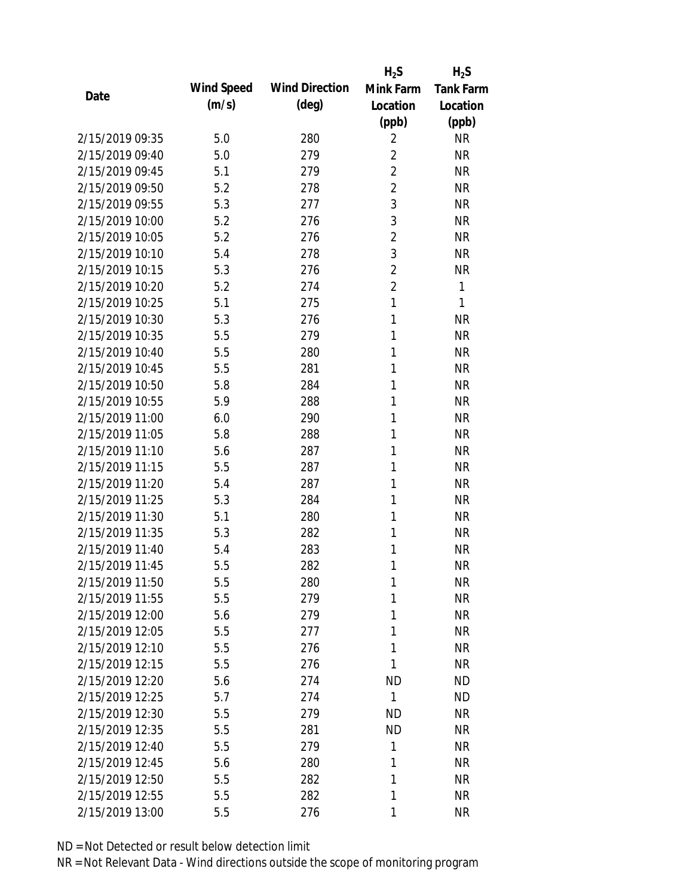|                 |            |                       | $H_2S$         | $H_2S$           |
|-----------------|------------|-----------------------|----------------|------------------|
| Date            | Wind Speed | <b>Wind Direction</b> | Mink Farm      | <b>Tank Farm</b> |
|                 | (m/s)      | $(\text{deg})$        | Location       | Location         |
|                 |            |                       | (ppb)          | (ppb)            |
| 2/15/2019 09:35 | 5.0        | 280                   | $\overline{2}$ | <b>NR</b>        |
| 2/15/2019 09:40 | 5.0        | 279                   | $\overline{2}$ | <b>NR</b>        |
| 2/15/2019 09:45 | 5.1        | 279                   | $\overline{2}$ | <b>NR</b>        |
| 2/15/2019 09:50 | 5.2        | 278                   | $\overline{2}$ | <b>NR</b>        |
| 2/15/2019 09:55 | 5.3        | 277                   | 3              | <b>NR</b>        |
| 2/15/2019 10:00 | 5.2        | 276                   | 3              | <b>NR</b>        |
| 2/15/2019 10:05 | 5.2        | 276                   | $\overline{2}$ | <b>NR</b>        |
| 2/15/2019 10:10 | 5.4        | 278                   | 3              | <b>NR</b>        |
| 2/15/2019 10:15 | 5.3        | 276                   | $\overline{2}$ | <b>NR</b>        |
| 2/15/2019 10:20 | 5.2        | 274                   | $\overline{2}$ | 1                |
| 2/15/2019 10:25 | 5.1        | 275                   | 1              | 1                |
| 2/15/2019 10:30 | 5.3        | 276                   | 1              | <b>NR</b>        |
| 2/15/2019 10:35 | 5.5        | 279                   | 1              | <b>NR</b>        |
| 2/15/2019 10:40 | 5.5        | 280                   | 1              | <b>NR</b>        |
| 2/15/2019 10:45 | 5.5        | 281                   | 1              | <b>NR</b>        |
| 2/15/2019 10:50 | 5.8        | 284                   | 1              | <b>NR</b>        |
| 2/15/2019 10:55 | 5.9        | 288                   | 1              | <b>NR</b>        |
| 2/15/2019 11:00 | 6.0        | 290                   | 1              | <b>NR</b>        |
| 2/15/2019 11:05 | 5.8        | 288                   | 1              | <b>NR</b>        |
| 2/15/2019 11:10 | 5.6        | 287                   | 1              | <b>NR</b>        |
| 2/15/2019 11:15 | 5.5        | 287                   | 1              | <b>NR</b>        |
| 2/15/2019 11:20 | 5.4        | 287                   | 1              | <b>NR</b>        |
| 2/15/2019 11:25 | 5.3        | 284                   | 1              | <b>NR</b>        |
| 2/15/2019 11:30 | 5.1        | 280                   | 1              | <b>NR</b>        |
| 2/15/2019 11:35 | 5.3        | 282                   | 1              | <b>NR</b>        |
| 2/15/2019 11:40 | 5.4        | 283                   | 1              | <b>NR</b>        |
| 2/15/2019 11:45 | 5.5        | 282                   | 1              | <b>NR</b>        |
| 2/15/2019 11:50 | 5.5        | 280                   | 1              | <b>NR</b>        |
| 2/15/2019 11:55 | 5.5        | 279                   | 1              | <b>NR</b>        |
| 2/15/2019 12:00 | 5.6        | 279                   | 1              | NR               |
| 2/15/2019 12:05 | 5.5        | 277                   | 1              | <b>NR</b>        |
| 2/15/2019 12:10 | 5.5        | 276                   | 1              | <b>NR</b>        |
| 2/15/2019 12:15 | 5.5        | 276                   | 1              | <b>NR</b>        |
| 2/15/2019 12:20 | 5.6        | 274                   | <b>ND</b>      | <b>ND</b>        |
| 2/15/2019 12:25 | 5.7        | 274                   | 1              | <b>ND</b>        |
| 2/15/2019 12:30 | 5.5        | 279                   | <b>ND</b>      | <b>NR</b>        |
| 2/15/2019 12:35 | 5.5        | 281                   | <b>ND</b>      | NR               |
| 2/15/2019 12:40 | 5.5        | 279                   | 1              | NR               |
| 2/15/2019 12:45 | 5.6        | 280                   | 1              | <b>NR</b>        |
| 2/15/2019 12:50 | 5.5        | 282                   | 1              | <b>NR</b>        |
| 2/15/2019 12:55 | 5.5        | 282                   | 1              | <b>NR</b>        |
| 2/15/2019 13:00 | 5.5        | 276                   | 1              | <b>NR</b>        |
|                 |            |                       |                |                  |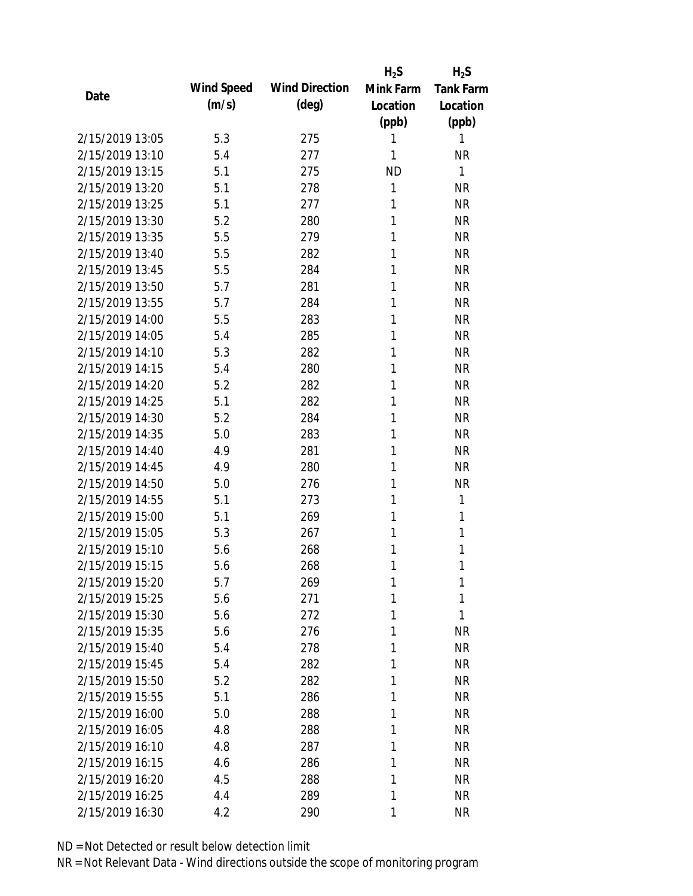|                 |            |                       | $H_2S$    | $H_2S$           |
|-----------------|------------|-----------------------|-----------|------------------|
| Date            | Wind Speed | <b>Wind Direction</b> | Mink Farm | <b>Tank Farm</b> |
|                 | (m/s)      | $(\text{deg})$        | Location  | Location         |
|                 |            |                       | (ppb)     | (ppb)            |
| 2/15/2019 13:05 | 5.3        | 275                   | 1         | 1                |
| 2/15/2019 13:10 | 5.4        | 277                   | 1         | <b>NR</b>        |
| 2/15/2019 13:15 | 5.1        | 275                   | <b>ND</b> | 1                |
| 2/15/2019 13:20 | 5.1        | 278                   | 1         | <b>NR</b>        |
| 2/15/2019 13:25 | 5.1        | 277                   | 1         | <b>NR</b>        |
| 2/15/2019 13:30 | 5.2        | 280                   | 1         | <b>NR</b>        |
| 2/15/2019 13:35 | 5.5        | 279                   | 1         | <b>NR</b>        |
| 2/15/2019 13:40 | 5.5        | 282                   | 1         | <b>NR</b>        |
| 2/15/2019 13:45 | 5.5        | 284                   | 1         | <b>NR</b>        |
| 2/15/2019 13:50 | 5.7        | 281                   | 1         | <b>NR</b>        |
| 2/15/2019 13:55 | 5.7        | 284                   | 1         | <b>NR</b>        |
| 2/15/2019 14:00 | 5.5        | 283                   | 1         | <b>NR</b>        |
| 2/15/2019 14:05 | 5.4        | 285                   | 1         | <b>NR</b>        |
| 2/15/2019 14:10 | 5.3        | 282                   | 1         | <b>NR</b>        |
| 2/15/2019 14:15 | 5.4        | 280                   | 1         | <b>NR</b>        |
| 2/15/2019 14:20 | 5.2        | 282                   | 1         | <b>NR</b>        |
| 2/15/2019 14:25 | 5.1        | 282                   | 1         | <b>NR</b>        |
| 2/15/2019 14:30 | 5.2        | 284                   | 1         | <b>NR</b>        |
| 2/15/2019 14:35 | 5.0        | 283                   | 1         | <b>NR</b>        |
| 2/15/2019 14:40 | 4.9        | 281                   | 1         | <b>NR</b>        |
| 2/15/2019 14:45 | 4.9        | 280                   | 1         | <b>NR</b>        |
| 2/15/2019 14:50 | 5.0        | 276                   | 1         | <b>NR</b>        |
| 2/15/2019 14:55 | 5.1        | 273                   | 1         | 1                |
| 2/15/2019 15:00 | 5.1        | 269                   | 1         | 1                |
| 2/15/2019 15:05 | 5.3        | 267                   | 1         | 1                |
| 2/15/2019 15:10 | 5.6        | 268                   | 1         | 1                |
| 2/15/2019 15:15 | 5.6        | 268                   | 1         | 1                |
| 2/15/2019 15:20 | 5.7        | 269                   | 1         | 1                |
| 2/15/2019 15:25 | 5.6        | 271                   | 1         | 1                |
| 2/15/2019 15:30 | 5.6        | 272                   | 1         | 1                |
| 2/15/2019 15:35 | 5.6        | 276                   | 1         | <b>NR</b>        |
| 2/15/2019 15:40 | 5.4        | 278                   | 1         | <b>NR</b>        |
| 2/15/2019 15:45 | 5.4        | 282                   | 1         | NR               |
| 2/15/2019 15:50 | 5.2        | 282                   | 1         | NR               |
| 2/15/2019 15:55 | 5.1        | 286                   | 1         | NR               |
| 2/15/2019 16:00 | 5.0        | 288                   | 1         | <b>NR</b>        |
| 2/15/2019 16:05 | 4.8        | 288                   | 1         | <b>NR</b>        |
| 2/15/2019 16:10 | 4.8        | 287                   | 1         | <b>NR</b>        |
| 2/15/2019 16:15 | 4.6        | 286                   | 1         | <b>NR</b>        |
| 2/15/2019 16:20 | 4.5        | 288                   | 1         | NR               |
| 2/15/2019 16:25 | 4.4        | 289                   | 1         | <b>NR</b>        |
| 2/15/2019 16:30 | 4.2        | 290                   | 1         | <b>NR</b>        |
|                 |            |                       |           |                  |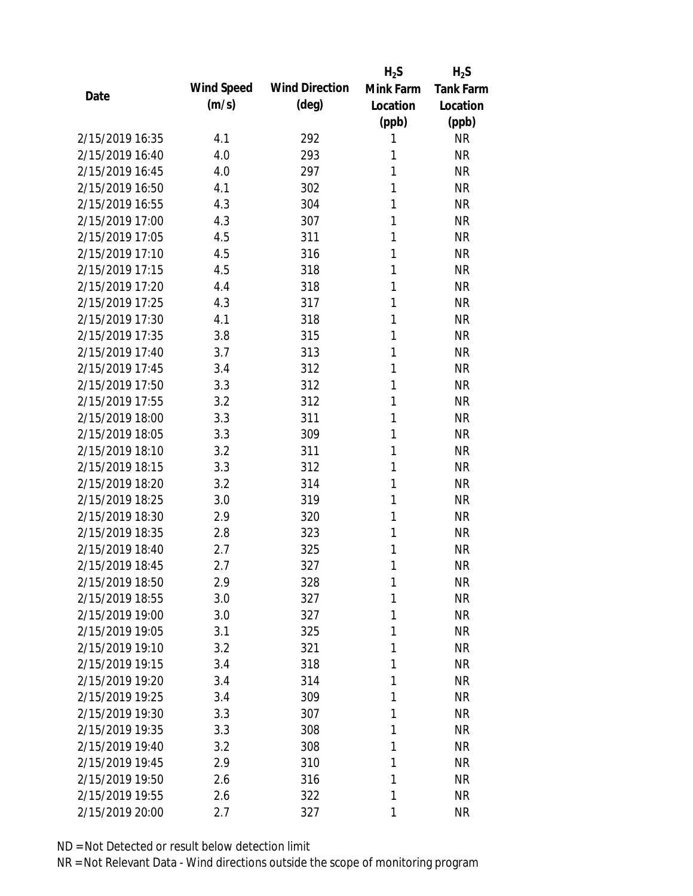|                 |            |                       | $H_2S$    | $H_2S$           |
|-----------------|------------|-----------------------|-----------|------------------|
| Date            | Wind Speed | <b>Wind Direction</b> | Mink Farm | <b>Tank Farm</b> |
|                 | (m/s)      | $(\text{deg})$        | Location  | Location         |
|                 |            |                       | (ppb)     | (ppb)            |
| 2/15/2019 16:35 | 4.1        | 292                   | 1         | <b>NR</b>        |
| 2/15/2019 16:40 | 4.0        | 293                   | 1         | <b>NR</b>        |
| 2/15/2019 16:45 | 4.0        | 297                   | 1         | <b>NR</b>        |
| 2/15/2019 16:50 | 4.1        | 302                   | 1         | <b>NR</b>        |
| 2/15/2019 16:55 | 4.3        | 304                   | 1         | <b>NR</b>        |
| 2/15/2019 17:00 | 4.3        | 307                   | 1         | <b>NR</b>        |
| 2/15/2019 17:05 | 4.5        | 311                   | 1         | <b>NR</b>        |
| 2/15/2019 17:10 | 4.5        | 316                   | 1         | <b>NR</b>        |
| 2/15/2019 17:15 | 4.5        | 318                   | 1         | <b>NR</b>        |
| 2/15/2019 17:20 | 4.4        | 318                   | 1         | <b>NR</b>        |
| 2/15/2019 17:25 | 4.3        | 317                   | 1         | <b>NR</b>        |
| 2/15/2019 17:30 | 4.1        | 318                   | 1         | <b>NR</b>        |
| 2/15/2019 17:35 | 3.8        | 315                   | 1         | <b>NR</b>        |
| 2/15/2019 17:40 | 3.7        | 313                   | 1         | <b>NR</b>        |
| 2/15/2019 17:45 | 3.4        | 312                   | 1         | <b>NR</b>        |
| 2/15/2019 17:50 | 3.3        | 312                   | 1         | <b>NR</b>        |
| 2/15/2019 17:55 | 3.2        | 312                   | 1         | <b>NR</b>        |
| 2/15/2019 18:00 | 3.3        | 311                   | 1         | <b>NR</b>        |
| 2/15/2019 18:05 | 3.3        | 309                   | 1         | <b>NR</b>        |
| 2/15/2019 18:10 | 3.2        | 311                   | 1         | <b>NR</b>        |
| 2/15/2019 18:15 | 3.3        | 312                   | 1         | <b>NR</b>        |
| 2/15/2019 18:20 | 3.2        | 314                   | 1         | <b>NR</b>        |
| 2/15/2019 18:25 | 3.0        | 319                   | 1         | <b>NR</b>        |
| 2/15/2019 18:30 | 2.9        | 320                   | 1         | <b>NR</b>        |
| 2/15/2019 18:35 | 2.8        | 323                   | 1         | <b>NR</b>        |
| 2/15/2019 18:40 | 2.7        | 325                   | 1         | <b>NR</b>        |
| 2/15/2019 18:45 | 2.7        | 327                   | 1         | <b>NR</b>        |
| 2/15/2019 18:50 | 2.9        | 328                   | 1         | <b>NR</b>        |
| 2/15/2019 18:55 | 3.0        | 327                   | 1         | <b>NR</b>        |
| 2/15/2019 19:00 | 3.0        | 327                   | 1         | <b>NR</b>        |
| 2/15/2019 19:05 | 3.1        | 325                   | 1         | <b>NR</b>        |
| 2/15/2019 19:10 | 3.2        | 321                   | 1         | <b>NR</b>        |
| 2/15/2019 19:15 | 3.4        | 318                   | 1         | <b>NR</b>        |
| 2/15/2019 19:20 | 3.4        | 314                   | 1         | <b>NR</b>        |
| 2/15/2019 19:25 | 3.4        | 309                   | 1         | <b>NR</b>        |
| 2/15/2019 19:30 | 3.3        | 307                   | 1         | <b>NR</b>        |
| 2/15/2019 19:35 | 3.3        | 308                   | 1         | <b>NR</b>        |
| 2/15/2019 19:40 | 3.2        | 308                   | 1         | <b>NR</b>        |
| 2/15/2019 19:45 | 2.9        | 310                   | 1         | <b>NR</b>        |
| 2/15/2019 19:50 | 2.6        | 316                   | 1         | <b>NR</b>        |
| 2/15/2019 19:55 | 2.6        | 322                   | 1         | <b>NR</b>        |
| 2/15/2019 20:00 | 2.7        | 327                   | 1         | <b>NR</b>        |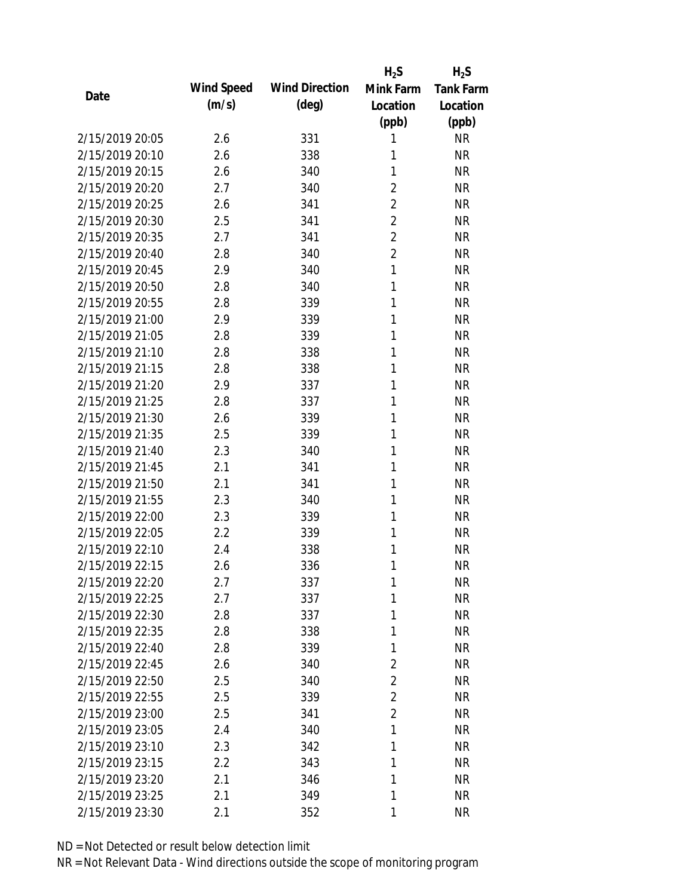|                 |            |                       | $H_2S$         | $H_2S$           |
|-----------------|------------|-----------------------|----------------|------------------|
| Date            | Wind Speed | <b>Wind Direction</b> | Mink Farm      | <b>Tank Farm</b> |
|                 | (m/s)      | $(\text{deg})$        | Location       | Location         |
|                 |            |                       | (ppb)          | (ppb)            |
| 2/15/2019 20:05 | 2.6        | 331                   | 1              | <b>NR</b>        |
| 2/15/2019 20:10 | 2.6        | 338                   | 1              | <b>NR</b>        |
| 2/15/2019 20:15 | 2.6        | 340                   | 1              | <b>NR</b>        |
| 2/15/2019 20:20 | 2.7        | 340                   | $\overline{2}$ | <b>NR</b>        |
| 2/15/2019 20:25 | 2.6        | 341                   | $\overline{2}$ | <b>NR</b>        |
| 2/15/2019 20:30 | 2.5        | 341                   | $\overline{2}$ | <b>NR</b>        |
| 2/15/2019 20:35 | 2.7        | 341                   | $\overline{2}$ | <b>NR</b>        |
| 2/15/2019 20:40 | 2.8        | 340                   | $\overline{2}$ | <b>NR</b>        |
| 2/15/2019 20:45 | 2.9        | 340                   | $\mathbf{1}$   | <b>NR</b>        |
| 2/15/2019 20:50 | 2.8        | 340                   | 1              | <b>NR</b>        |
| 2/15/2019 20:55 | 2.8        | 339                   | 1              | <b>NR</b>        |
| 2/15/2019 21:00 | 2.9        | 339                   | 1              | <b>NR</b>        |
| 2/15/2019 21:05 | 2.8        | 339                   | 1              | <b>NR</b>        |
| 2/15/2019 21:10 | 2.8        | 338                   | 1              | <b>NR</b>        |
| 2/15/2019 21:15 | 2.8        | 338                   | 1              | <b>NR</b>        |
| 2/15/2019 21:20 | 2.9        | 337                   | 1              | <b>NR</b>        |
| 2/15/2019 21:25 | 2.8        | 337                   | 1              | <b>NR</b>        |
| 2/15/2019 21:30 | 2.6        | 339                   | 1              | <b>NR</b>        |
| 2/15/2019 21:35 | 2.5        | 339                   | 1              | <b>NR</b>        |
| 2/15/2019 21:40 | 2.3        | 340                   | 1              | <b>NR</b>        |
| 2/15/2019 21:45 | 2.1        | 341                   | 1              | <b>NR</b>        |
| 2/15/2019 21:50 | 2.1        | 341                   | 1              | <b>NR</b>        |
| 2/15/2019 21:55 | 2.3        | 340                   | 1              | <b>NR</b>        |
| 2/15/2019 22:00 | 2.3        | 339                   | 1              | <b>NR</b>        |
| 2/15/2019 22:05 | 2.2        | 339                   | 1              | <b>NR</b>        |
| 2/15/2019 22:10 | 2.4        | 338                   | 1              | <b>NR</b>        |
| 2/15/2019 22:15 | 2.6        | 336                   | 1              | <b>NR</b>        |
| 2/15/2019 22:20 | 2.7        | 337                   | 1              | <b>NR</b>        |
| 2/15/2019 22:25 | 2.7        | 337                   | 1              | <b>NR</b>        |
| 2/15/2019 22:30 | 2.8        | 337                   | 1              | <b>NR</b>        |
| 2/15/2019 22:35 | 2.8        | 338                   | 1              | <b>NR</b>        |
| 2/15/2019 22:40 | 2.8        | 339                   | 1              | <b>NR</b>        |
| 2/15/2019 22:45 | 2.6        | 340                   | $\overline{2}$ | <b>NR</b>        |
| 2/15/2019 22:50 | 2.5        | 340                   | $\overline{2}$ | <b>NR</b>        |
| 2/15/2019 22:55 | 2.5        | 339                   | $\overline{2}$ | <b>NR</b>        |
| 2/15/2019 23:00 | 2.5        | 341                   | $\overline{2}$ | <b>NR</b>        |
| 2/15/2019 23:05 | 2.4        | 340                   | 1              | <b>NR</b>        |
| 2/15/2019 23:10 | 2.3        | 342                   | 1              | <b>NR</b>        |
| 2/15/2019 23:15 | 2.2        | 343                   | 1              | <b>NR</b>        |
| 2/15/2019 23:20 | 2.1        | 346                   | 1              | <b>NR</b>        |
| 2/15/2019 23:25 | 2.1        | 349                   | 1              | <b>NR</b>        |
| 2/15/2019 23:30 | 2.1        | 352                   | 1              | <b>NR</b>        |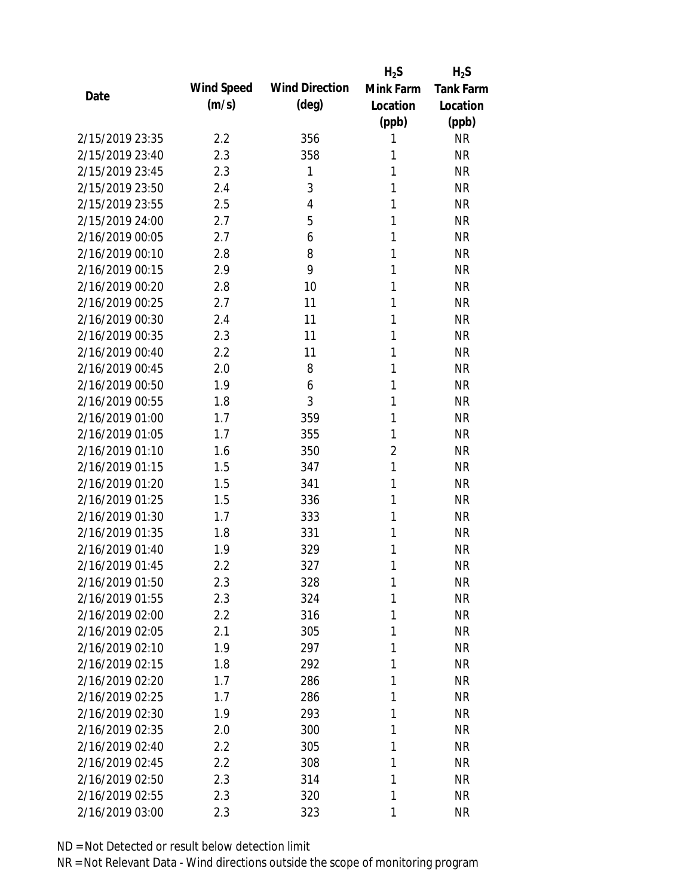|                 |            |                       | $H_2S$         | $H_2S$           |
|-----------------|------------|-----------------------|----------------|------------------|
| Date            | Wind Speed | <b>Wind Direction</b> | Mink Farm      | <b>Tank Farm</b> |
|                 | (m/s)      | $(\text{deg})$        | Location       | Location         |
|                 |            |                       | (ppb)          | (ppb)            |
| 2/15/2019 23:35 | 2.2        | 356                   | 1              | <b>NR</b>        |
| 2/15/2019 23:40 | 2.3        | 358                   | 1              | <b>NR</b>        |
| 2/15/2019 23:45 | 2.3        | 1                     | 1              | <b>NR</b>        |
| 2/15/2019 23:50 | 2.4        | 3                     | 1              | <b>NR</b>        |
| 2/15/2019 23:55 | 2.5        | 4                     | 1              | <b>NR</b>        |
| 2/15/2019 24:00 | 2.7        | 5                     | 1              | <b>NR</b>        |
| 2/16/2019 00:05 | 2.7        | 6                     | 1              | <b>NR</b>        |
| 2/16/2019 00:10 | 2.8        | 8                     | 1              | <b>NR</b>        |
| 2/16/2019 00:15 | 2.9        | 9                     | 1              | <b>NR</b>        |
| 2/16/2019 00:20 | 2.8        | 10                    | 1              | <b>NR</b>        |
| 2/16/2019 00:25 | 2.7        | 11                    | 1              | <b>NR</b>        |
| 2/16/2019 00:30 | 2.4        | 11                    | 1              | <b>NR</b>        |
| 2/16/2019 00:35 | 2.3        | 11                    | 1              | <b>NR</b>        |
| 2/16/2019 00:40 | 2.2        | 11                    | 1              | <b>NR</b>        |
| 2/16/2019 00:45 | 2.0        | 8                     | 1              | <b>NR</b>        |
| 2/16/2019 00:50 | 1.9        | 6                     | 1              | <b>NR</b>        |
| 2/16/2019 00:55 | 1.8        | 3                     | 1              | <b>NR</b>        |
| 2/16/2019 01:00 | 1.7        | 359                   | 1              | <b>NR</b>        |
| 2/16/2019 01:05 | 1.7        | 355                   | 1              | <b>NR</b>        |
| 2/16/2019 01:10 | 1.6        | 350                   | $\overline{2}$ | <b>NR</b>        |
| 2/16/2019 01:15 | 1.5        | 347                   | 1              | <b>NR</b>        |
| 2/16/2019 01:20 | 1.5        | 341                   | 1              | <b>NR</b>        |
| 2/16/2019 01:25 | 1.5        | 336                   | 1              | <b>NR</b>        |
| 2/16/2019 01:30 | 1.7        | 333                   | 1              | <b>NR</b>        |
| 2/16/2019 01:35 | 1.8        | 331                   | 1              | <b>NR</b>        |
| 2/16/2019 01:40 | 1.9        | 329                   | 1              | <b>NR</b>        |
| 2/16/2019 01:45 | 2.2        | 327                   | 1              | <b>NR</b>        |
| 2/16/2019 01:50 | 2.3        | 328                   | 1              | <b>NR</b>        |
| 2/16/2019 01:55 | 2.3        | 324                   | 1              | <b>NR</b>        |
| 2/16/2019 02:00 | $2.2\,$    | 316                   | 1              | <b>NR</b>        |
| 2/16/2019 02:05 | 2.1        | 305                   | 1              | <b>NR</b>        |
| 2/16/2019 02:10 | 1.9        | 297                   | 1              | <b>NR</b>        |
| 2/16/2019 02:15 | 1.8        | 292                   | 1              | <b>NR</b>        |
| 2/16/2019 02:20 | 1.7        | 286                   | 1              | <b>NR</b>        |
| 2/16/2019 02:25 | 1.7        | 286                   | 1              | <b>NR</b>        |
| 2/16/2019 02:30 | 1.9        | 293                   | 1              | <b>NR</b>        |
| 2/16/2019 02:35 | 2.0        | 300                   | 1              | <b>NR</b>        |
| 2/16/2019 02:40 | 2.2        | 305                   | 1              | <b>NR</b>        |
| 2/16/2019 02:45 | 2.2        | 308                   | 1              | <b>NR</b>        |
| 2/16/2019 02:50 | 2.3        | 314                   | 1              | <b>NR</b>        |
| 2/16/2019 02:55 | 2.3        | 320                   | 1              | <b>NR</b>        |
| 2/16/2019 03:00 | 2.3        | 323                   | 1              | <b>NR</b>        |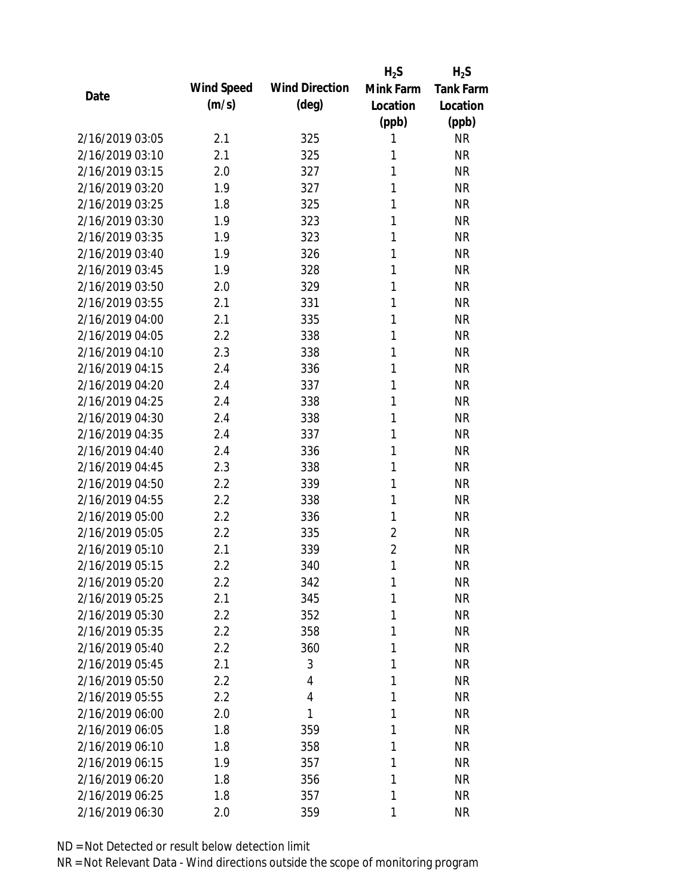|                 |            |                       | $H_2S$         | $H_2S$           |
|-----------------|------------|-----------------------|----------------|------------------|
| Date            | Wind Speed | <b>Wind Direction</b> | Mink Farm      | <b>Tank Farm</b> |
|                 | (m/s)      | $(\text{deg})$        | Location       | Location         |
|                 |            |                       | (ppb)          | (ppb)            |
| 2/16/2019 03:05 | 2.1        | 325                   | 1              | <b>NR</b>        |
| 2/16/2019 03:10 | 2.1        | 325                   | 1              | <b>NR</b>        |
| 2/16/2019 03:15 | 2.0        | 327                   | 1              | <b>NR</b>        |
| 2/16/2019 03:20 | 1.9        | 327                   | 1              | <b>NR</b>        |
| 2/16/2019 03:25 | 1.8        | 325                   | 1              | <b>NR</b>        |
| 2/16/2019 03:30 | 1.9        | 323                   | 1              | <b>NR</b>        |
| 2/16/2019 03:35 | 1.9        | 323                   | 1              | <b>NR</b>        |
| 2/16/2019 03:40 | 1.9        | 326                   | 1              | <b>NR</b>        |
| 2/16/2019 03:45 | 1.9        | 328                   | 1              | <b>NR</b>        |
| 2/16/2019 03:50 | 2.0        | 329                   | 1              | <b>NR</b>        |
| 2/16/2019 03:55 | 2.1        | 331                   | 1              | <b>NR</b>        |
| 2/16/2019 04:00 | 2.1        | 335                   | 1              | <b>NR</b>        |
| 2/16/2019 04:05 | 2.2        | 338                   | 1              | <b>NR</b>        |
| 2/16/2019 04:10 | 2.3        | 338                   | 1              | <b>NR</b>        |
| 2/16/2019 04:15 | 2.4        | 336                   | 1              | <b>NR</b>        |
| 2/16/2019 04:20 | 2.4        | 337                   | 1              | <b>NR</b>        |
| 2/16/2019 04:25 | 2.4        | 338                   | 1              | <b>NR</b>        |
| 2/16/2019 04:30 | 2.4        | 338                   | 1              | <b>NR</b>        |
| 2/16/2019 04:35 | 2.4        | 337                   | 1              | <b>NR</b>        |
| 2/16/2019 04:40 | 2.4        | 336                   | 1              | <b>NR</b>        |
| 2/16/2019 04:45 | 2.3        | 338                   | 1              | <b>NR</b>        |
| 2/16/2019 04:50 | 2.2        | 339                   | 1              | <b>NR</b>        |
| 2/16/2019 04:55 | 2.2        | 338                   | 1              | <b>NR</b>        |
| 2/16/2019 05:00 | 2.2        | 336                   | 1              | <b>NR</b>        |
| 2/16/2019 05:05 | 2.2        | 335                   | $\overline{2}$ | <b>NR</b>        |
| 2/16/2019 05:10 | 2.1        | 339                   | $\overline{2}$ | <b>NR</b>        |
| 2/16/2019 05:15 | 2.2        | 340                   | 1              | <b>NR</b>        |
| 2/16/2019 05:20 | 2.2        | 342                   | 1              | <b>NR</b>        |
| 2/16/2019 05:25 | 2.1        | 345                   | 1              | <b>NR</b>        |
| 2/16/2019 05:30 | 2.2        | 352                   | 1              | <b>NR</b>        |
| 2/16/2019 05:35 | 2.2        | 358                   | 1              | <b>NR</b>        |
| 2/16/2019 05:40 | 2.2        | 360                   | 1              | <b>NR</b>        |
| 2/16/2019 05:45 | 2.1        | 3                     | 1              | <b>NR</b>        |
| 2/16/2019 05:50 | 2.2        | 4                     | 1              | <b>NR</b>        |
| 2/16/2019 05:55 | 2.2        | 4                     | 1              | <b>NR</b>        |
| 2/16/2019 06:00 | 2.0        | 1                     | 1              | <b>NR</b>        |
| 2/16/2019 06:05 | 1.8        | 359                   | 1              | <b>NR</b>        |
| 2/16/2019 06:10 | 1.8        | 358                   | 1              | <b>NR</b>        |
| 2/16/2019 06:15 | 1.9        | 357                   | 1              | <b>NR</b>        |
| 2/16/2019 06:20 | 1.8        | 356                   | 1              | <b>NR</b>        |
| 2/16/2019 06:25 | 1.8        | 357                   | 1              | <b>NR</b>        |
| 2/16/2019 06:30 | 2.0        | 359                   | 1              | <b>NR</b>        |
|                 |            |                       |                |                  |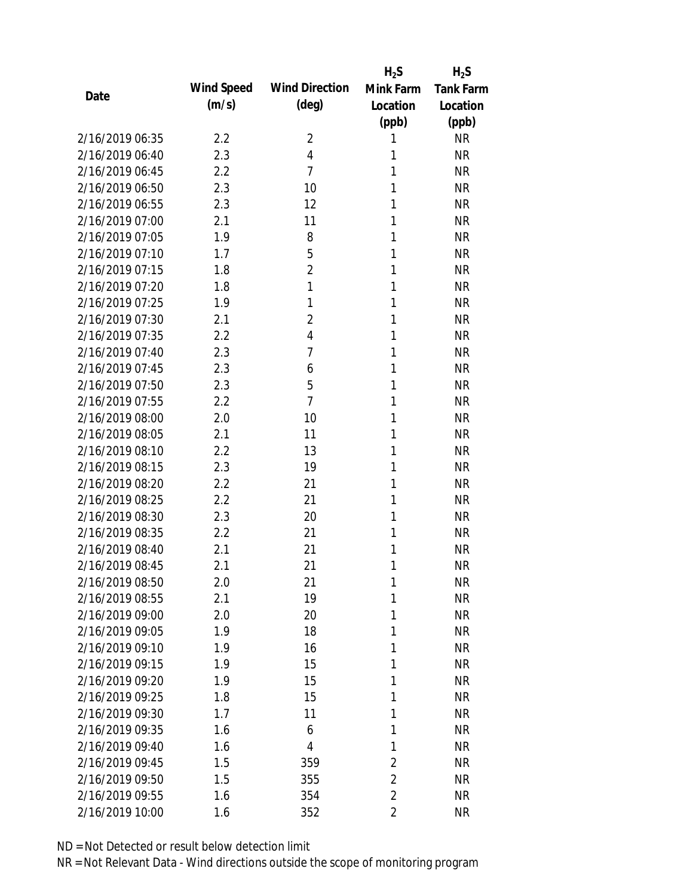|                 |            |                       | $H_2S$         | $H_2S$           |
|-----------------|------------|-----------------------|----------------|------------------|
| Date            | Wind Speed | <b>Wind Direction</b> | Mink Farm      | <b>Tank Farm</b> |
|                 | (m/s)      | $(\text{deg})$        | Location       | Location         |
|                 |            |                       | (ppb)          | (ppb)            |
| 2/16/2019 06:35 | 2.2        | $\overline{2}$        | 1              | <b>NR</b>        |
| 2/16/2019 06:40 | 2.3        | $\overline{4}$        | 1              | <b>NR</b>        |
| 2/16/2019 06:45 | 2.2        | $\overline{7}$        | 1              | <b>NR</b>        |
| 2/16/2019 06:50 | 2.3        | 10                    | 1              | <b>NR</b>        |
| 2/16/2019 06:55 | 2.3        | 12                    | 1              | <b>NR</b>        |
| 2/16/2019 07:00 | 2.1        | 11                    | 1              | <b>NR</b>        |
| 2/16/2019 07:05 | 1.9        | 8                     | 1              | <b>NR</b>        |
| 2/16/2019 07:10 | 1.7        | 5                     | 1              | <b>NR</b>        |
| 2/16/2019 07:15 | 1.8        | $\overline{2}$        | 1              | <b>NR</b>        |
| 2/16/2019 07:20 | 1.8        | 1                     | 1              | <b>NR</b>        |
| 2/16/2019 07:25 | 1.9        | 1                     | 1              | <b>NR</b>        |
| 2/16/2019 07:30 | 2.1        | $\overline{2}$        | 1              | <b>NR</b>        |
| 2/16/2019 07:35 | 2.2        | $\overline{4}$        | 1              | <b>NR</b>        |
| 2/16/2019 07:40 | 2.3        | 7                     | 1              | <b>NR</b>        |
| 2/16/2019 07:45 | 2.3        | 6                     | 1              | <b>NR</b>        |
| 2/16/2019 07:50 | 2.3        | 5                     | 1              | <b>NR</b>        |
| 2/16/2019 07:55 | 2.2        | $\overline{7}$        | 1              | <b>NR</b>        |
| 2/16/2019 08:00 | 2.0        | 10                    | 1              | <b>NR</b>        |
| 2/16/2019 08:05 | 2.1        | 11                    | 1              | <b>NR</b>        |
| 2/16/2019 08:10 | 2.2        | 13                    | 1              | <b>NR</b>        |
| 2/16/2019 08:15 | 2.3        | 19                    | 1              | <b>NR</b>        |
| 2/16/2019 08:20 | 2.2        | 21                    | 1              | <b>NR</b>        |
| 2/16/2019 08:25 | 2.2        | 21                    | 1              | <b>NR</b>        |
| 2/16/2019 08:30 | 2.3        | 20                    | 1              | <b>NR</b>        |
| 2/16/2019 08:35 | 2.2        | 21                    | 1              | <b>NR</b>        |
| 2/16/2019 08:40 | 2.1        | 21                    | 1              | <b>NR</b>        |
| 2/16/2019 08:45 | 2.1        | 21                    | 1              | <b>NR</b>        |
| 2/16/2019 08:50 | 2.0        | 21                    | 1              | <b>NR</b>        |
| 2/16/2019 08:55 | 2.1        | 19                    | 1              | <b>NR</b>        |
| 2/16/2019 09:00 | 2.0        | 20                    | 1              | <b>NR</b>        |
| 2/16/2019 09:05 | 1.9        | 18                    | 1              | <b>NR</b>        |
| 2/16/2019 09:10 | 1.9        | 16                    | 1              | <b>NR</b>        |
| 2/16/2019 09:15 | 1.9        | 15                    | 1              | <b>NR</b>        |
| 2/16/2019 09:20 | 1.9        | 15                    | 1              | <b>NR</b>        |
| 2/16/2019 09:25 | 1.8        | 15                    | 1              | <b>NR</b>        |
| 2/16/2019 09:30 | 1.7        | 11                    | 1              | <b>NR</b>        |
| 2/16/2019 09:35 | 1.6        | 6                     | 1              | <b>NR</b>        |
| 2/16/2019 09:40 | 1.6        | 4                     | 1              | <b>NR</b>        |
| 2/16/2019 09:45 | 1.5        | 359                   | $\overline{2}$ | <b>NR</b>        |
| 2/16/2019 09:50 | 1.5        | 355                   | $\overline{2}$ | <b>NR</b>        |
| 2/16/2019 09:55 | 1.6        | 354                   | $\overline{2}$ | <b>NR</b>        |
| 2/16/2019 10:00 | 1.6        | 352                   | $\overline{2}$ | <b>NR</b>        |
|                 |            |                       |                |                  |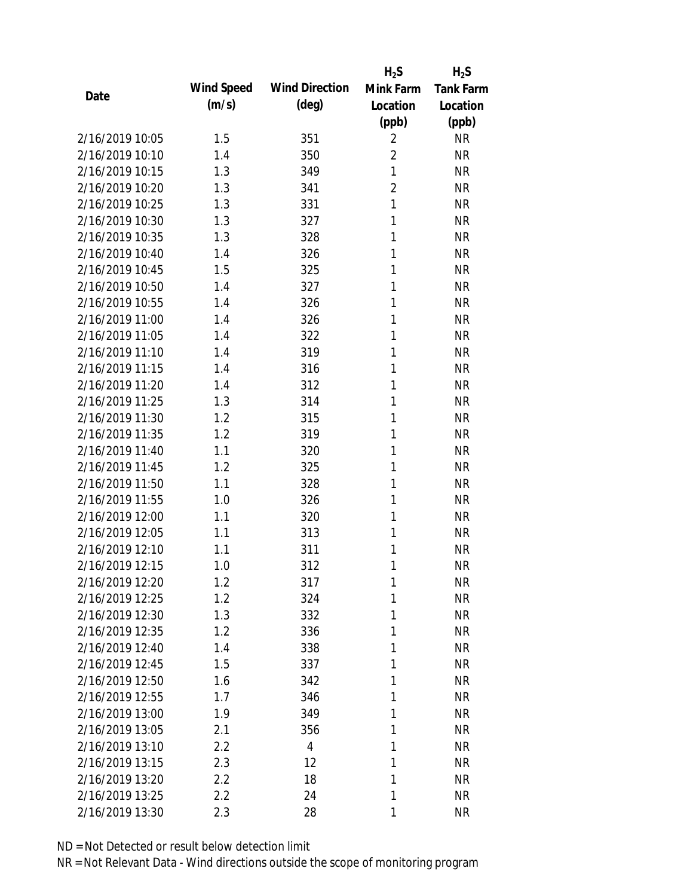|                 |            |                       | $H_2S$         | $H_2S$           |
|-----------------|------------|-----------------------|----------------|------------------|
| Date            | Wind Speed | <b>Wind Direction</b> | Mink Farm      | <b>Tank Farm</b> |
|                 | (m/s)      | $(\text{deg})$        | Location       | Location         |
|                 |            |                       | (ppb)          | (ppb)            |
| 2/16/2019 10:05 | 1.5        | 351                   | $\overline{2}$ | <b>NR</b>        |
| 2/16/2019 10:10 | 1.4        | 350                   | $\overline{2}$ | <b>NR</b>        |
| 2/16/2019 10:15 | 1.3        | 349                   | $\mathbf{1}$   | <b>NR</b>        |
| 2/16/2019 10:20 | 1.3        | 341                   | $\overline{2}$ | <b>NR</b>        |
| 2/16/2019 10:25 | 1.3        | 331                   | 1              | <b>NR</b>        |
| 2/16/2019 10:30 | 1.3        | 327                   | 1              | <b>NR</b>        |
| 2/16/2019 10:35 | 1.3        | 328                   | 1              | <b>NR</b>        |
| 2/16/2019 10:40 | 1.4        | 326                   | 1              | <b>NR</b>        |
| 2/16/2019 10:45 | 1.5        | 325                   | 1              | <b>NR</b>        |
| 2/16/2019 10:50 | 1.4        | 327                   | 1              | <b>NR</b>        |
| 2/16/2019 10:55 | 1.4        | 326                   | 1              | <b>NR</b>        |
| 2/16/2019 11:00 | 1.4        | 326                   | 1              | <b>NR</b>        |
| 2/16/2019 11:05 | 1.4        | 322                   | 1              | <b>NR</b>        |
| 2/16/2019 11:10 | 1.4        | 319                   | 1              | <b>NR</b>        |
| 2/16/2019 11:15 | 1.4        | 316                   | 1              | <b>NR</b>        |
| 2/16/2019 11:20 | 1.4        | 312                   | 1              | <b>NR</b>        |
| 2/16/2019 11:25 | 1.3        | 314                   | 1              | <b>NR</b>        |
| 2/16/2019 11:30 | 1.2        | 315                   | 1              | <b>NR</b>        |
| 2/16/2019 11:35 | 1.2        | 319                   | 1              | <b>NR</b>        |
| 2/16/2019 11:40 | 1.1        | 320                   | 1              | <b>NR</b>        |
| 2/16/2019 11:45 | 1.2        | 325                   | 1              | <b>NR</b>        |
| 2/16/2019 11:50 | 1.1        | 328                   | 1              | <b>NR</b>        |
| 2/16/2019 11:55 | 1.0        | 326                   | 1              | <b>NR</b>        |
| 2/16/2019 12:00 | 1.1        | 320                   | 1              | <b>NR</b>        |
| 2/16/2019 12:05 | 1.1        | 313                   | 1              | <b>NR</b>        |
| 2/16/2019 12:10 | 1.1        | 311                   | 1              | <b>NR</b>        |
| 2/16/2019 12:15 | 1.0        | 312                   | 1              | <b>NR</b>        |
| 2/16/2019 12:20 | 1.2        | 317                   | 1              | <b>NR</b>        |
| 2/16/2019 12:25 | 1.2        | 324                   | 1              | <b>NR</b>        |
| 2/16/2019 12:30 | 1.3        | 332                   | 1              | <b>NR</b>        |
| 2/16/2019 12:35 | 1.2        | 336                   | 1              | <b>NR</b>        |
| 2/16/2019 12:40 | 1.4        | 338                   | 1              | <b>NR</b>        |
| 2/16/2019 12:45 | 1.5        | 337                   | 1              | <b>NR</b>        |
| 2/16/2019 12:50 | 1.6        | 342                   | 1              | <b>NR</b>        |
| 2/16/2019 12:55 | 1.7        | 346                   | 1              | <b>NR</b>        |
| 2/16/2019 13:00 | 1.9        | 349                   | 1              | <b>NR</b>        |
| 2/16/2019 13:05 | 2.1        | 356                   | 1              | <b>NR</b>        |
| 2/16/2019 13:10 | 2.2        | $\overline{4}$        | 1              | <b>NR</b>        |
| 2/16/2019 13:15 | 2.3        | 12                    | 1              | <b>NR</b>        |
| 2/16/2019 13:20 | 2.2        | 18                    | 1              | <b>NR</b>        |
| 2/16/2019 13:25 | 2.2        | 24                    | 1              | <b>NR</b>        |
| 2/16/2019 13:30 | 2.3        | 28                    | 1              | <b>NR</b>        |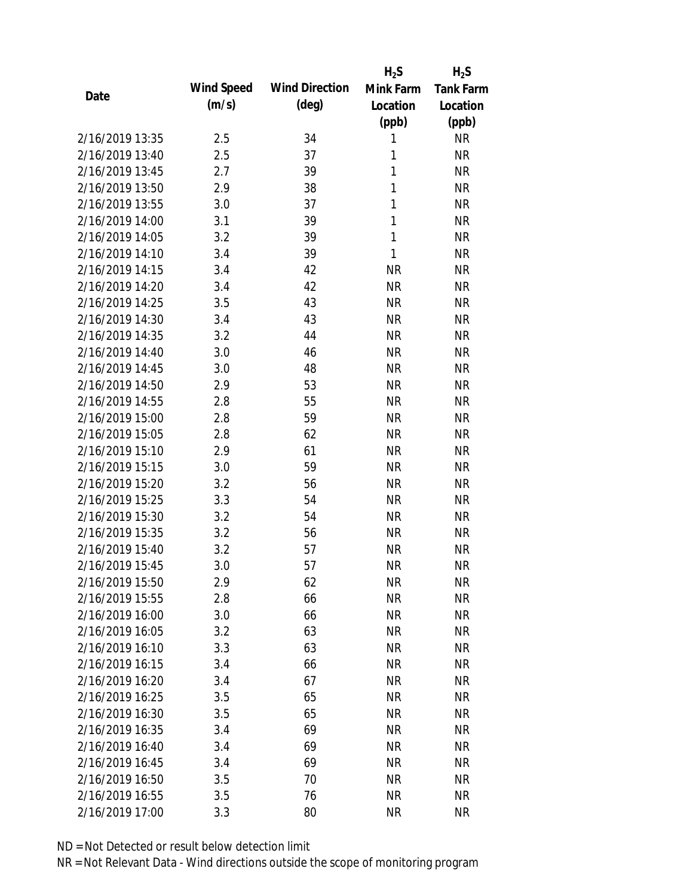|                 |            |                       | $H_2S$       | $H_2S$           |
|-----------------|------------|-----------------------|--------------|------------------|
| Date            | Wind Speed | <b>Wind Direction</b> | Mink Farm    | <b>Tank Farm</b> |
|                 | (m/s)      | $(\text{deg})$        | Location     | Location         |
|                 |            |                       | (ppb)        | (ppb)            |
| 2/16/2019 13:35 | 2.5        | 34                    | 1            | <b>NR</b>        |
| 2/16/2019 13:40 | 2.5        | 37                    | 1            | <b>NR</b>        |
| 2/16/2019 13:45 | 2.7        | 39                    | 1            | <b>NR</b>        |
| 2/16/2019 13:50 | 2.9        | 38                    | 1            | <b>NR</b>        |
| 2/16/2019 13:55 | 3.0        | 37                    | 1            | <b>NR</b>        |
| 2/16/2019 14:00 | 3.1        | 39                    | 1            | <b>NR</b>        |
| 2/16/2019 14:05 | 3.2        | 39                    | $\mathbf{1}$ | <b>NR</b>        |
| 2/16/2019 14:10 | 3.4        | 39                    | 1            | <b>NR</b>        |
| 2/16/2019 14:15 | 3.4        | 42                    | <b>NR</b>    | <b>NR</b>        |
| 2/16/2019 14:20 | 3.4        | 42                    | <b>NR</b>    | <b>NR</b>        |
| 2/16/2019 14:25 | 3.5        | 43                    | <b>NR</b>    | <b>NR</b>        |
| 2/16/2019 14:30 | 3.4        | 43                    | <b>NR</b>    | <b>NR</b>        |
| 2/16/2019 14:35 | 3.2        | 44                    | <b>NR</b>    | <b>NR</b>        |
| 2/16/2019 14:40 | 3.0        | 46                    | <b>NR</b>    | <b>NR</b>        |
| 2/16/2019 14:45 | 3.0        | 48                    | <b>NR</b>    | <b>NR</b>        |
| 2/16/2019 14:50 | 2.9        | 53                    | <b>NR</b>    | <b>NR</b>        |
| 2/16/2019 14:55 | 2.8        | 55                    | <b>NR</b>    | <b>NR</b>        |
| 2/16/2019 15:00 | 2.8        | 59                    | <b>NR</b>    | <b>NR</b>        |
| 2/16/2019 15:05 | 2.8        | 62                    | <b>NR</b>    | <b>NR</b>        |
| 2/16/2019 15:10 | 2.9        | 61                    | <b>NR</b>    | <b>NR</b>        |
| 2/16/2019 15:15 | 3.0        | 59                    | <b>NR</b>    | <b>NR</b>        |
| 2/16/2019 15:20 | 3.2        | 56                    | <b>NR</b>    | <b>NR</b>        |
| 2/16/2019 15:25 | 3.3        | 54                    | <b>NR</b>    | <b>NR</b>        |
| 2/16/2019 15:30 | 3.2        | 54                    | <b>NR</b>    | <b>NR</b>        |
| 2/16/2019 15:35 | 3.2        | 56                    | <b>NR</b>    | <b>NR</b>        |
| 2/16/2019 15:40 | 3.2        | 57                    | <b>NR</b>    | <b>NR</b>        |
| 2/16/2019 15:45 | 3.0        | 57                    | <b>NR</b>    | <b>NR</b>        |
| 2/16/2019 15:50 | 2.9        | 62                    | <b>NR</b>    | <b>NR</b>        |
| 2/16/2019 15:55 | 2.8        | 66                    | <b>NR</b>    | <b>NR</b>        |
| 2/16/2019 16:00 | 3.0        | 66                    | NR           | <b>NR</b>        |
| 2/16/2019 16:05 | 3.2        | 63                    | <b>NR</b>    | <b>NR</b>        |
| 2/16/2019 16:10 | 3.3        | 63                    | <b>NR</b>    | <b>NR</b>        |
| 2/16/2019 16:15 | 3.4        | 66                    | <b>NR</b>    | <b>NR</b>        |
| 2/16/2019 16:20 | 3.4        | 67                    | <b>NR</b>    | <b>NR</b>        |
| 2/16/2019 16:25 | 3.5        | 65                    | <b>NR</b>    | <b>NR</b>        |
| 2/16/2019 16:30 | 3.5        | 65                    | <b>NR</b>    | <b>NR</b>        |
| 2/16/2019 16:35 | 3.4        | 69                    | <b>NR</b>    | <b>NR</b>        |
| 2/16/2019 16:40 | 3.4        | 69                    | <b>NR</b>    | <b>NR</b>        |
| 2/16/2019 16:45 | 3.4        | 69                    | <b>NR</b>    | <b>NR</b>        |
| 2/16/2019 16:50 | 3.5        | 70                    | <b>NR</b>    | <b>NR</b>        |
| 2/16/2019 16:55 | 3.5        | 76                    | <b>NR</b>    | <b>NR</b>        |
| 2/16/2019 17:00 | 3.3        | 80                    | <b>NR</b>    | <b>NR</b>        |
|                 |            |                       |              |                  |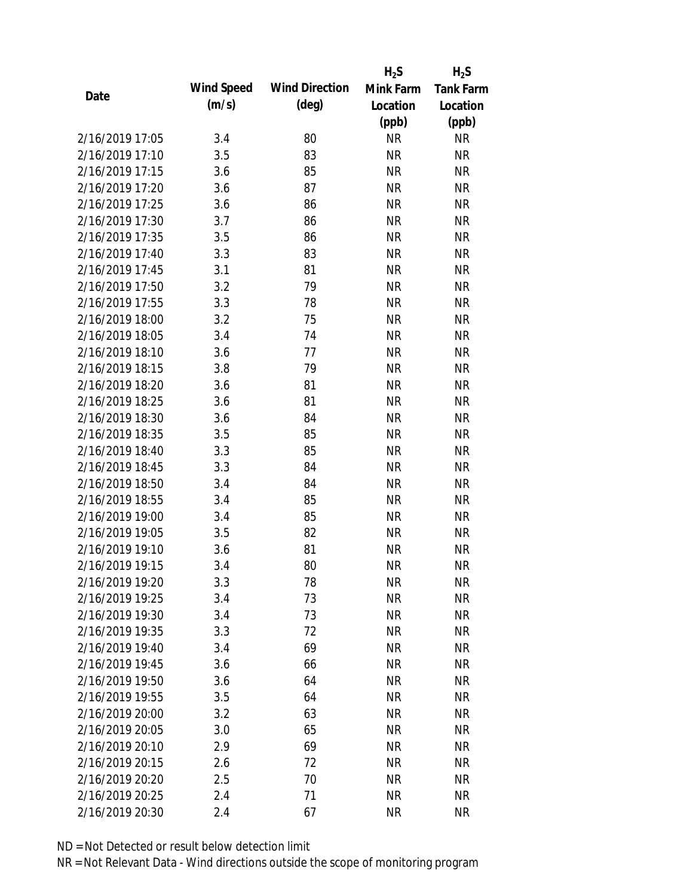|                 |            |                       | $H_2S$    | $H_2S$           |
|-----------------|------------|-----------------------|-----------|------------------|
| Date            | Wind Speed | <b>Wind Direction</b> | Mink Farm | <b>Tank Farm</b> |
|                 | (m/s)      | $(\text{deg})$        | Location  | Location         |
|                 |            |                       | (ppb)     | (ppb)            |
| 2/16/2019 17:05 | 3.4        | 80                    | <b>NR</b> | <b>NR</b>        |
| 2/16/2019 17:10 | 3.5        | 83                    | <b>NR</b> | <b>NR</b>        |
| 2/16/2019 17:15 | 3.6        | 85                    | <b>NR</b> | <b>NR</b>        |
| 2/16/2019 17:20 | 3.6        | 87                    | <b>NR</b> | <b>NR</b>        |
| 2/16/2019 17:25 | 3.6        | 86                    | <b>NR</b> | <b>NR</b>        |
| 2/16/2019 17:30 | 3.7        | 86                    | <b>NR</b> | <b>NR</b>        |
| 2/16/2019 17:35 | 3.5        | 86                    | <b>NR</b> | <b>NR</b>        |
| 2/16/2019 17:40 | 3.3        | 83                    | <b>NR</b> | <b>NR</b>        |
| 2/16/2019 17:45 | 3.1        | 81                    | <b>NR</b> | <b>NR</b>        |
| 2/16/2019 17:50 | 3.2        | 79                    | <b>NR</b> | <b>NR</b>        |
| 2/16/2019 17:55 | 3.3        | 78                    | <b>NR</b> | <b>NR</b>        |
| 2/16/2019 18:00 | 3.2        | 75                    | <b>NR</b> | <b>NR</b>        |
| 2/16/2019 18:05 | 3.4        | 74                    | <b>NR</b> | <b>NR</b>        |
| 2/16/2019 18:10 | 3.6        | 77                    | <b>NR</b> | <b>NR</b>        |
| 2/16/2019 18:15 | 3.8        | 79                    | <b>NR</b> | <b>NR</b>        |
| 2/16/2019 18:20 | 3.6        | 81                    | <b>NR</b> | <b>NR</b>        |
| 2/16/2019 18:25 | 3.6        | 81                    | <b>NR</b> | <b>NR</b>        |
| 2/16/2019 18:30 | 3.6        | 84                    | <b>NR</b> | <b>NR</b>        |
| 2/16/2019 18:35 | 3.5        | 85                    | <b>NR</b> | <b>NR</b>        |
| 2/16/2019 18:40 | 3.3        | 85                    | <b>NR</b> | <b>NR</b>        |
| 2/16/2019 18:45 | 3.3        | 84                    | <b>NR</b> | <b>NR</b>        |
| 2/16/2019 18:50 | 3.4        | 84                    | <b>NR</b> | <b>NR</b>        |
| 2/16/2019 18:55 | 3.4        | 85                    | <b>NR</b> | <b>NR</b>        |
| 2/16/2019 19:00 | 3.4        | 85                    | <b>NR</b> | <b>NR</b>        |
| 2/16/2019 19:05 | 3.5        | 82                    | <b>NR</b> | <b>NR</b>        |
| 2/16/2019 19:10 | 3.6        | 81                    | <b>NR</b> | <b>NR</b>        |
| 2/16/2019 19:15 | 3.4        | 80                    | <b>NR</b> | <b>NR</b>        |
| 2/16/2019 19:20 | 3.3        | 78                    | <b>NR</b> | <b>NR</b>        |
| 2/16/2019 19:25 | 3.4        | 73                    | <b>NR</b> | <b>NR</b>        |
| 2/16/2019 19:30 | 3.4        | 73                    | NR        | <b>NR</b>        |
| 2/16/2019 19:35 | 3.3        | 72                    | <b>NR</b> | <b>NR</b>        |
| 2/16/2019 19:40 | 3.4        | 69                    | <b>NR</b> | <b>NR</b>        |
| 2/16/2019 19:45 | 3.6        | 66                    | NR        | <b>NR</b>        |
| 2/16/2019 19:50 | 3.6        | 64                    | <b>NR</b> | <b>NR</b>        |
| 2/16/2019 19:55 | 3.5        | 64                    | <b>NR</b> | <b>NR</b>        |
| 2/16/2019 20:00 | 3.2        | 63                    | <b>NR</b> | <b>NR</b>        |
| 2/16/2019 20:05 | 3.0        | 65                    | <b>NR</b> | <b>NR</b>        |
| 2/16/2019 20:10 | 2.9        | 69                    | NR        | <b>NR</b>        |
| 2/16/2019 20:15 | 2.6        | 72                    | <b>NR</b> | <b>NR</b>        |
| 2/16/2019 20:20 | 2.5        | 70                    | <b>NR</b> | <b>NR</b>        |
| 2/16/2019 20:25 | 2.4        | 71                    | <b>NR</b> | <b>NR</b>        |
| 2/16/2019 20:30 | 2.4        | 67                    | <b>NR</b> | <b>NR</b>        |
|                 |            |                       |           |                  |